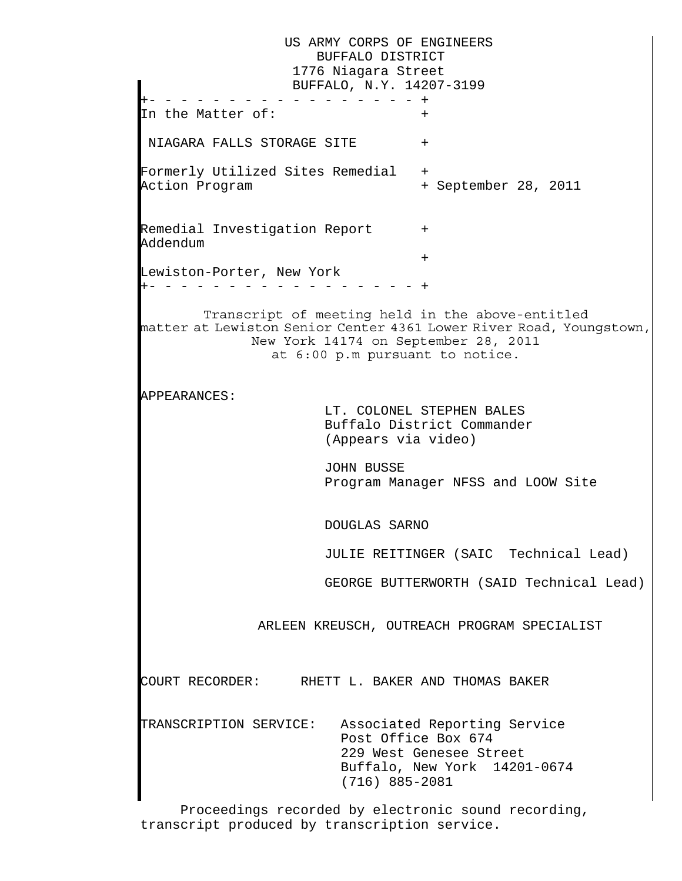US ARMY CORPS OF ENGINEERS BUFFALO DISTRICT 1776 Niagara Street BUFFALO, N.Y. 14207-3199 +- - - - - - - - - - - - - - - - - + In the Matter of:  $\,$ NIAGARA FALLS STORAGE SITE + Formerly Utilized Sites Remedial + Action Program  $+$  September 28, 2011  $\mathbf{L}$ Remedial Investigation Report + Addendum + Lewiston-Porter, New York +- - - - - - - - - - - - - - - - - + Transcript of meeting held in the above-entitled matter at Lewiston Senior Center 4361 Lower River Road, Youngstown, New York 14174 on September 28, 2011 at 6:00 p.m pursuant to notice. APPEARANCES: LT. COLONEL STEPHEN BALES Buffalo District Commander (Appears via video) JOHN BUSSE Program Manager NFSS and LOOW Site  $\mathbf{L}$  DOUGLAS SARNO  $\mathbf{L}$  JULIE REITINGER (SAIC Technical Lead) GEORGE BUTTERWORTH (SAID Technical Lead) ARLEEN KREUSCH, OUTREACH PROGRAM SPECIALIST  $\mathbf{L}$ COURT RECORDER: RHETT L. BAKER AND THOMAS BAKER TRANSCRIPTION SERVICE: Associated Reporting Service Post Office Box 674 229 West Genesee Street Buffalo, New York 14201-0674 (716) 885-2081

Proceedings recorded by electronic sound recording, transcript produced by transcription service.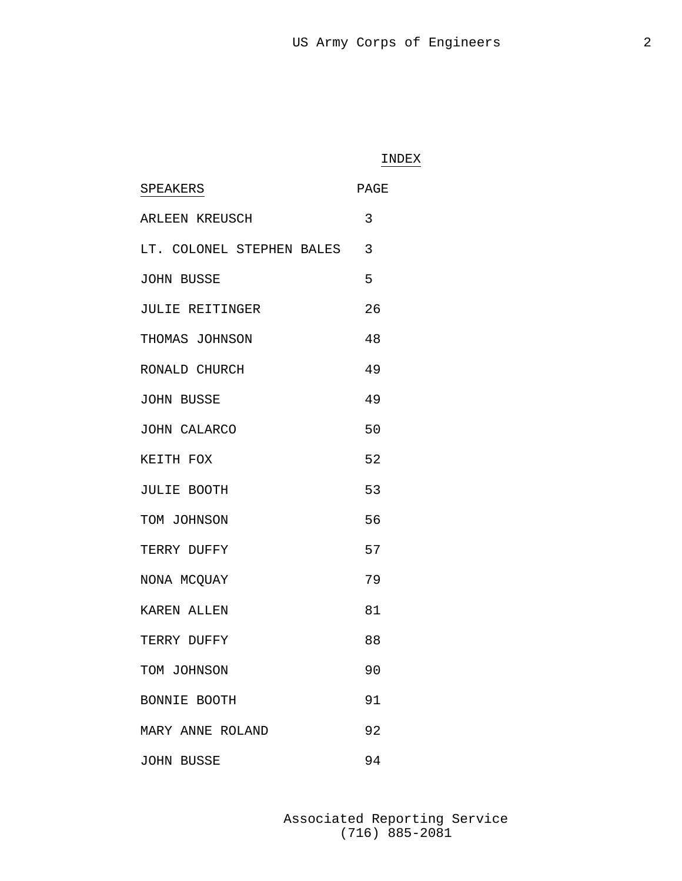### INDEX

| SPEAKERS                  | PAGE |
|---------------------------|------|
| ARLEEN KREUSCH            | 3    |
| LT. COLONEL STEPHEN BALES | 3    |
| <b>JOHN BUSSE</b>         | 5    |
| JULIE REITINGER           | 26   |
| THOMAS JOHNSON            | 48   |
| RONALD CHURCH             | 49   |
| <b>JOHN BUSSE</b>         | 49   |
| <b>JOHN CALARCO</b>       | 50   |
| KEITH FOX                 | 52   |
| <b>JULIE BOOTH</b>        | 53   |
| TOM JOHNSON               | 56   |
| TERRY DUFFY               | 57   |
| NONA MCQUAY               | 79   |
| KAREN ALLEN               | 81   |
| TERRY DUFFY               | 88   |
| TOM JOHNSON               | 90   |
| BONNIE BOOTH              | 91   |
| MARY ANNE ROLAND          | 92   |
| <b>JOHN BUSSE</b>         | 94   |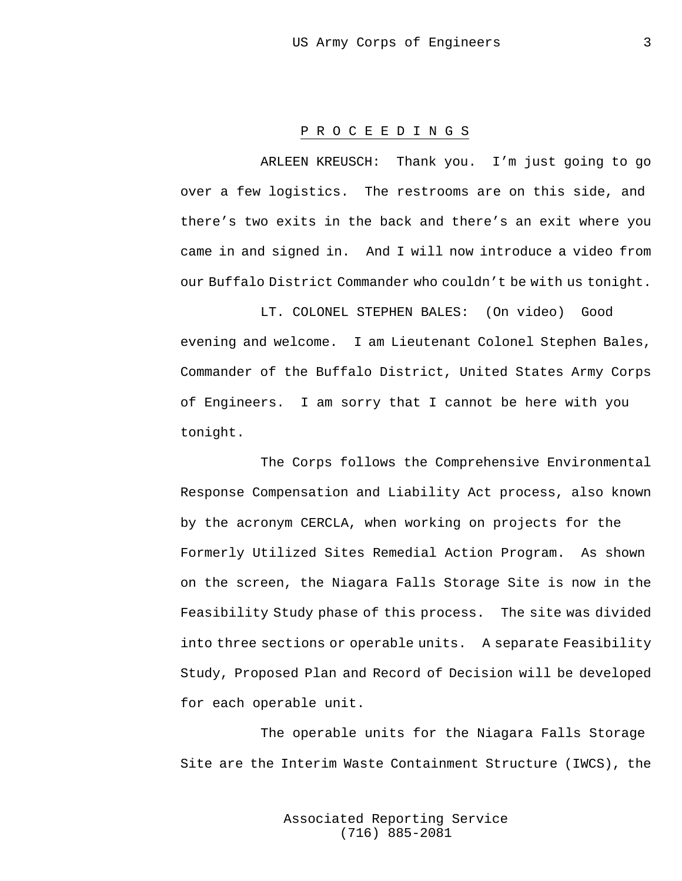#### P R O C E E D I N G S

ARLEEN KREUSCH: Thank you. I'm just going to go over a few logistics. The restrooms are on this side, and there's two exits in the back and there's an exit where you came in and signed in. And I will now introduce a video from our Buffalo District Commander who couldn't be with us tonight.

 LT. COLONEL STEPHEN BALES: (On video) Good evening and welcome. I am Lieutenant Colonel Stephen Bales, Commander of the Buffalo District, United States Army Corps of Engineers. I am sorry that I cannot be here with you tonight.

The Corps follows the Comprehensive Environmental Response Compensation and Liability Act process, also known by the acronym CERCLA, when working on projects for the Formerly Utilized Sites Remedial Action Program. As shown on the screen, the Niagara Falls Storage Site is now in the Feasibility Study phase of this process. The site was divided into three sections or operable units. A separate Feasibility Study, Proposed Plan and Record of Decision will be developed for each operable unit.

The operable units for the Niagara Falls Storage Site are the Interim Waste Containment Structure (IWCS), the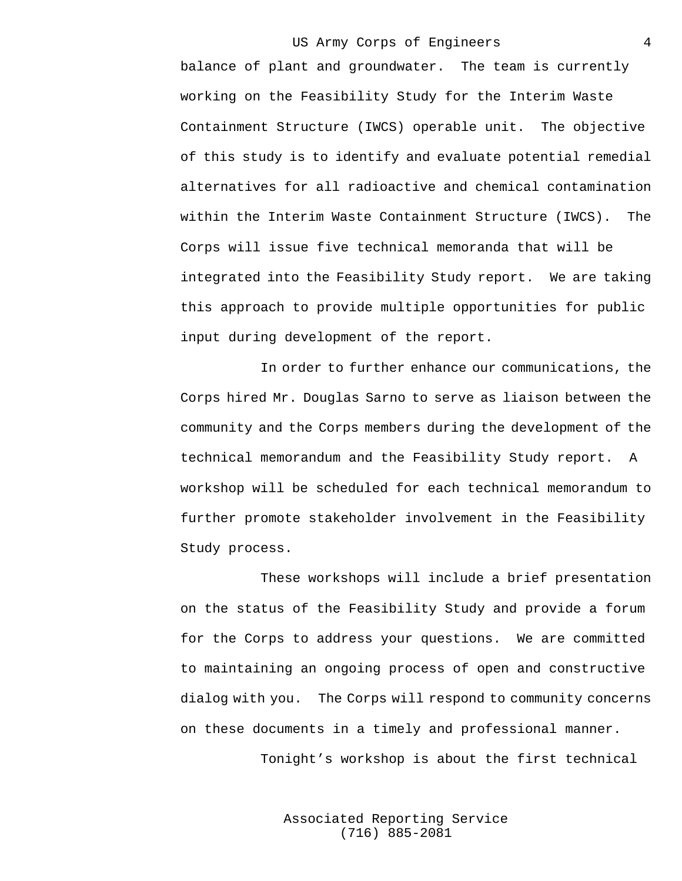balance of plant and groundwater. The team is currently working on the Feasibility Study for the Interim Waste Containment Structure (IWCS) operable unit. The objective of this study is to identify and evaluate potential remedial alternatives for all radioactive and chemical contamination within the Interim Waste Containment Structure (IWCS). The Corps will issue five technical memoranda that will be integrated into the Feasibility Study report. We are taking this approach to provide multiple opportunities for public input during development of the report.

In order to further enhance our communications, the Corps hired Mr. Douglas Sarno to serve as liaison between the community and the Corps members during the development of the technical memorandum and the Feasibility Study report. A workshop will be scheduled for each technical memorandum to further promote stakeholder involvement in the Feasibility Study process.

These workshops will include a brief presentation on the status of the Feasibility Study and provide a forum for the Corps to address your questions. We are committed to maintaining an ongoing process of open and constructive dialog with you. The Corps will respond to community concerns on these documents in a timely and professional manner.

Tonight's workshop is about the first technical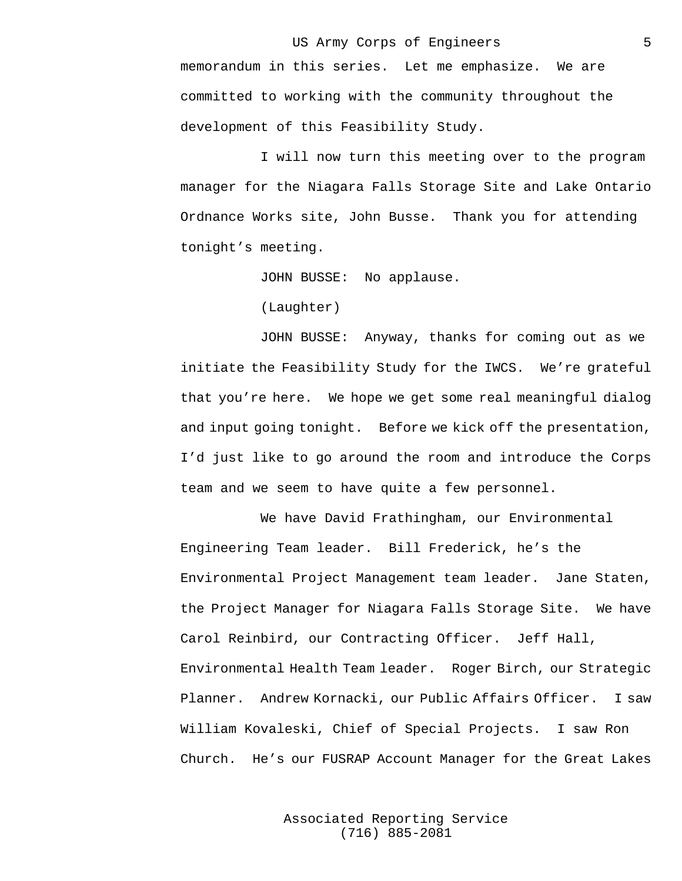memorandum in this series. Let me emphasize. We are committed to working with the community throughout the development of this Feasibility Study.

I will now turn this meeting over to the program manager for the Niagara Falls Storage Site and Lake Ontario Ordnance Works site, John Busse. Thank you for attending tonight's meeting.

JOHN BUSSE: No applause.

(Laughter)

JOHN BUSSE: Anyway, thanks for coming out as we initiate the Feasibility Study for the IWCS. We're grateful that you're here. We hope we get some real meaningful dialog and input going tonight. Before we kick off the presentation, I'd just like to go around the room and introduce the Corps team and we seem to have quite a few personnel.

We have David Frathingham, our Environmental Engineering Team leader. Bill Frederick, he's the Environmental Project Management team leader. Jane Staten, the Project Manager for Niagara Falls Storage Site. We have Carol Reinbird, our Contracting Officer. Jeff Hall, Environmental Health Team leader. Roger Birch, our Strategic Planner. Andrew Kornacki, our Public Affairs Officer. I saw William Kovaleski, Chief of Special Projects. I saw Ron Church. He's our FUSRAP Account Manager for the Great Lakes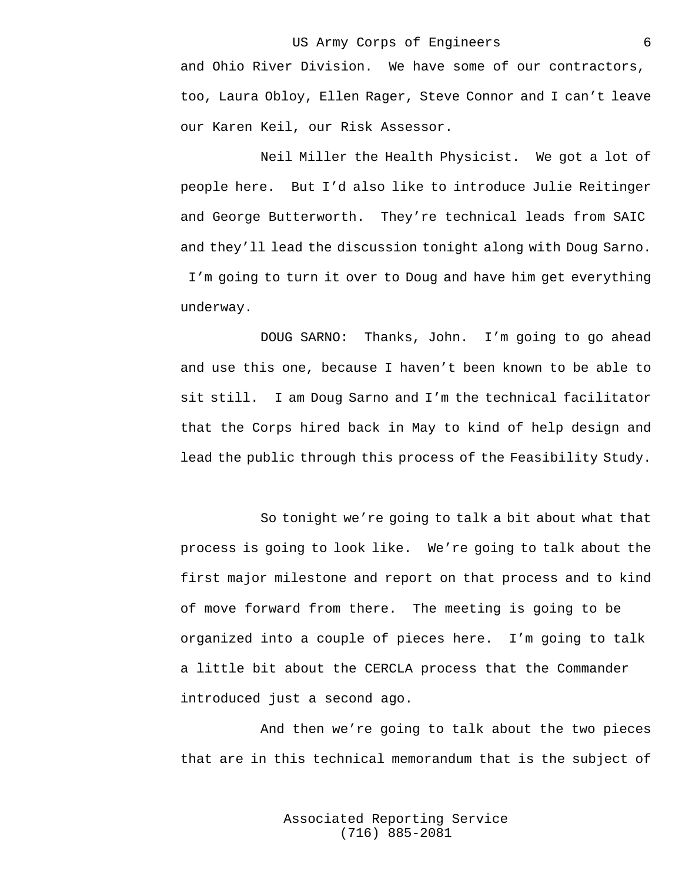and Ohio River Division. We have some of our contractors, too, Laura Obloy, Ellen Rager, Steve Connor and I can't leave our Karen Keil, our Risk Assessor.

Neil Miller the Health Physicist. We got a lot of people here. But I'd also like to introduce Julie Reitinger and George Butterworth. They're technical leads from SAIC and they'll lead the discussion tonight along with Doug Sarno. I'm going to turn it over to Doug and have him get everything underway.

DOUG SARNO: Thanks, John. I'm going to go ahead and use this one, because I haven't been known to be able to sit still. I am Doug Sarno and I'm the technical facilitator that the Corps hired back in May to kind of help design and lead the public through this process of the Feasibility Study.

So tonight we're going to talk a bit about what that process is going to look like. We're going to talk about the first major milestone and report on that process and to kind of move forward from there. The meeting is going to be organized into a couple of pieces here. I'm going to talk a little bit about the CERCLA process that the Commander introduced just a second ago.

And then we're going to talk about the two pieces that are in this technical memorandum that is the subject of

> Associated Reporting Service (716) 885-2081

6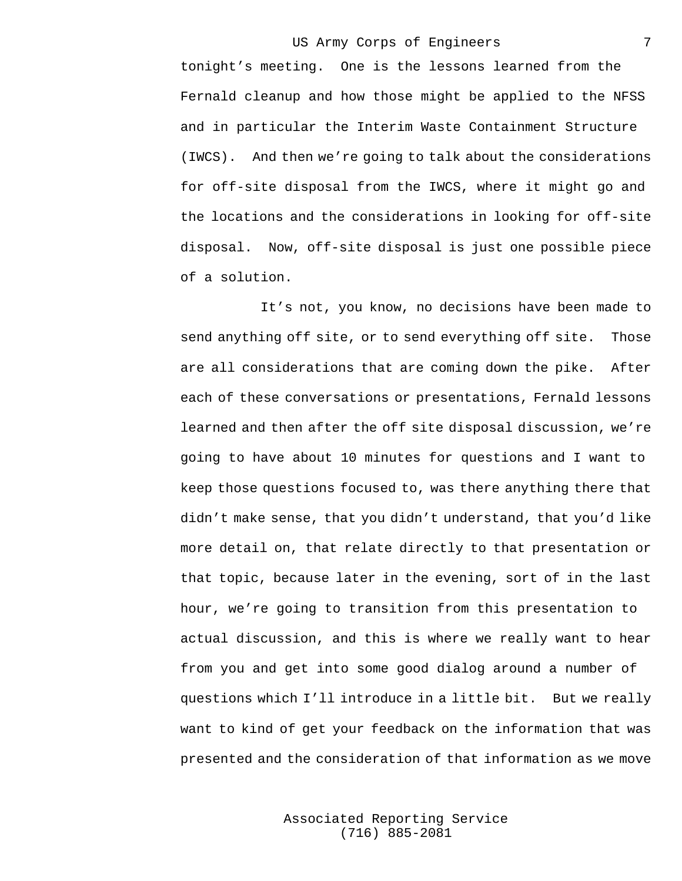tonight's meeting. One is the lessons learned from the Fernald cleanup and how those might be applied to the NFSS and in particular the Interim Waste Containment Structure (IWCS). And then we're going to talk about the considerations for off-site disposal from the IWCS, where it might go and the locations and the considerations in looking for off-site disposal. Now, off-site disposal is just one possible piece of a solution.

It's not, you know, no decisions have been made to send anything off site, or to send everything off site. Those are all considerations that are coming down the pike. After each of these conversations or presentations, Fernald lessons learned and then after the off site disposal discussion, we're going to have about 10 minutes for questions and I want to keep those questions focused to, was there anything there that didn't make sense, that you didn't understand, that you'd like more detail on, that relate directly to that presentation or that topic, because later in the evening, sort of in the last hour, we're going to transition from this presentation to actual discussion, and this is where we really want to hear from you and get into some good dialog around a number of questions which I'll introduce in a little bit. But we really want to kind of get your feedback on the information that was presented and the consideration of that information as we move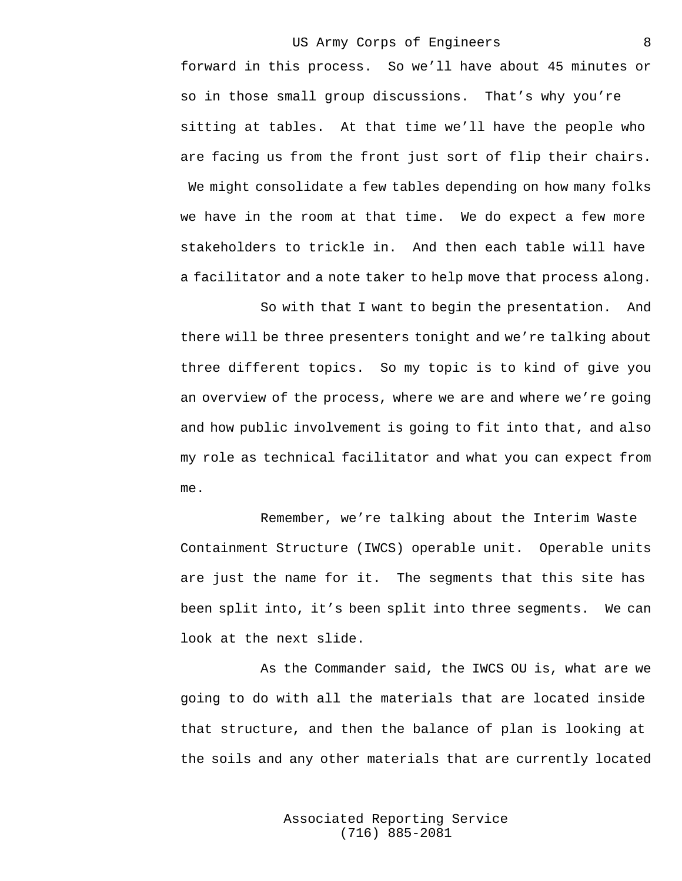forward in this process. So we'll have about 45 minutes or so in those small group discussions. That's why you're sitting at tables. At that time we'll have the people who are facing us from the front just sort of flip their chairs. We might consolidate a few tables depending on how many folks

we have in the room at that time. We do expect a few more stakeholders to trickle in. And then each table will have a facilitator and a note taker to help move that process along.

So with that I want to begin the presentation. And there will be three presenters tonight and we're talking about three different topics. So my topic is to kind of give you an overview of the process, where we are and where we're going and how public involvement is going to fit into that, and also my role as technical facilitator and what you can expect from me.

Remember, we're talking about the Interim Waste Containment Structure (IWCS) operable unit. Operable units are just the name for it. The segments that this site has been split into, it's been split into three segments. We can look at the next slide.

As the Commander said, the IWCS OU is, what are we going to do with all the materials that are located inside that structure, and then the balance of plan is looking at the soils and any other materials that are currently located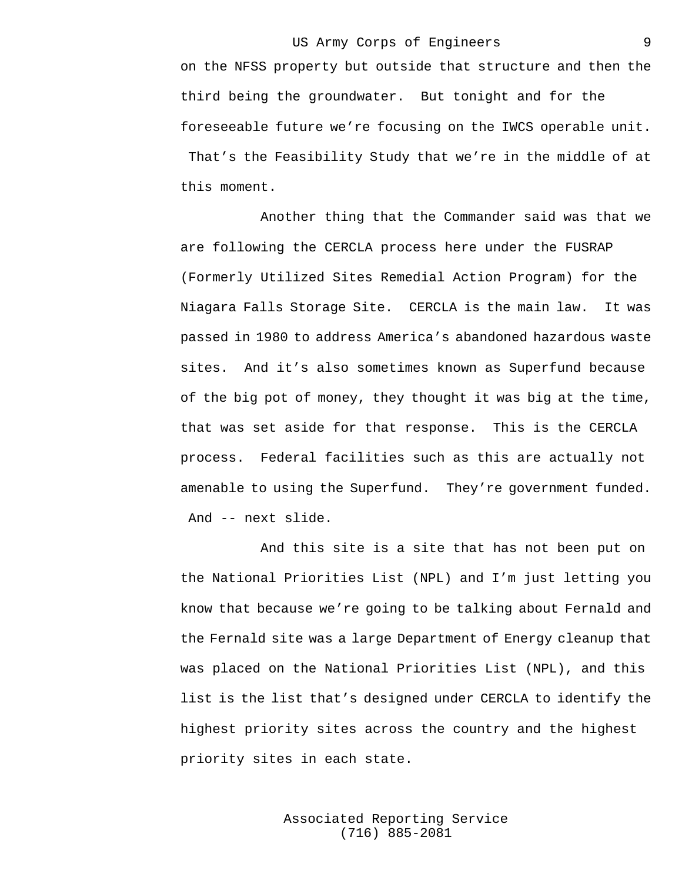on the NFSS property but outside that structure and then the third being the groundwater. But tonight and for the foreseeable future we're focusing on the IWCS operable unit. That's the Feasibility Study that we're in the middle of at this moment.

Another thing that the Commander said was that we are following the CERCLA process here under the FUSRAP (Formerly Utilized Sites Remedial Action Program) for the Niagara Falls Storage Site. CERCLA is the main law. It was passed in 1980 to address America's abandoned hazardous waste sites. And it's also sometimes known as Superfund because of the big pot of money, they thought it was big at the time, that was set aside for that response. This is the CERCLA process. Federal facilities such as this are actually not amenable to using the Superfund. They're government funded. And -- next slide.

And this site is a site that has not been put on the National Priorities List (NPL) and I'm just letting you know that because we're going to be talking about Fernald and the Fernald site was a large Department of Energy cleanup that was placed on the National Priorities List (NPL), and this list is the list that's designed under CERCLA to identify the highest priority sites across the country and the highest priority sites in each state.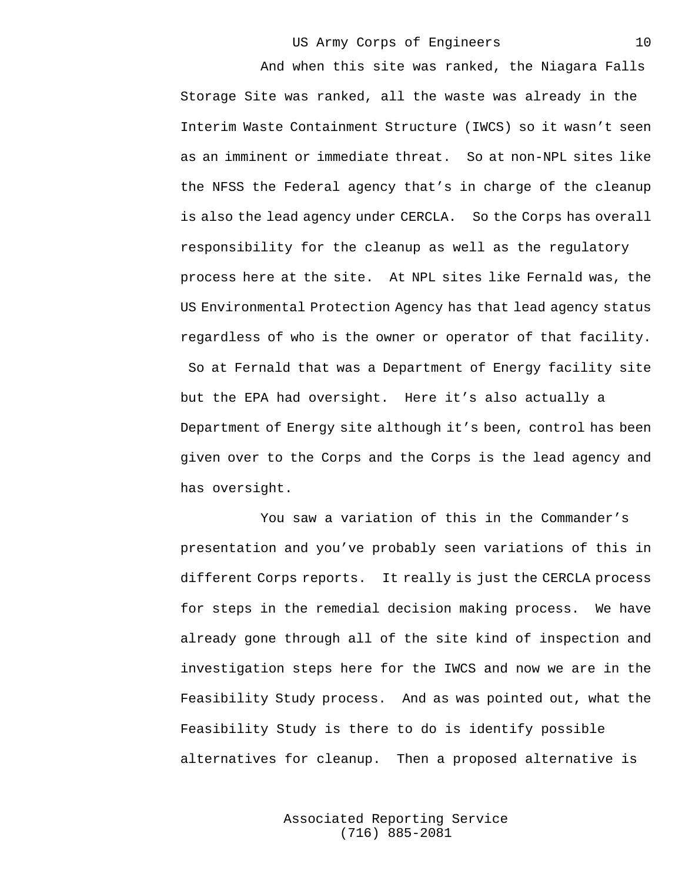And when this site was ranked, the Niagara Falls Storage Site was ranked, all the waste was already in the Interim Waste Containment Structure (IWCS) so it wasn't seen as an imminent or immediate threat. So at non-NPL sites like the NFSS the Federal agency that's in charge of the cleanup is also the lead agency under CERCLA. So the Corps has overall responsibility for the cleanup as well as the regulatory process here at the site. At NPL sites like Fernald was, the US Environmental Protection Agency has that lead agency status regardless of who is the owner or operator of that facility. So at Fernald that was a Department of Energy facility site but the EPA had oversight. Here it's also actually a Department of Energy site although it's been, control has been given over to the Corps and the Corps is the lead agency and has oversight.

You saw a variation of this in the Commander's presentation and you've probably seen variations of this in different Corps reports. It really is just the CERCLA process for steps in the remedial decision making process. We have already gone through all of the site kind of inspection and investigation steps here for the IWCS and now we are in the Feasibility Study process. And as was pointed out, what the Feasibility Study is there to do is identify possible alternatives for cleanup. Then a proposed alternative is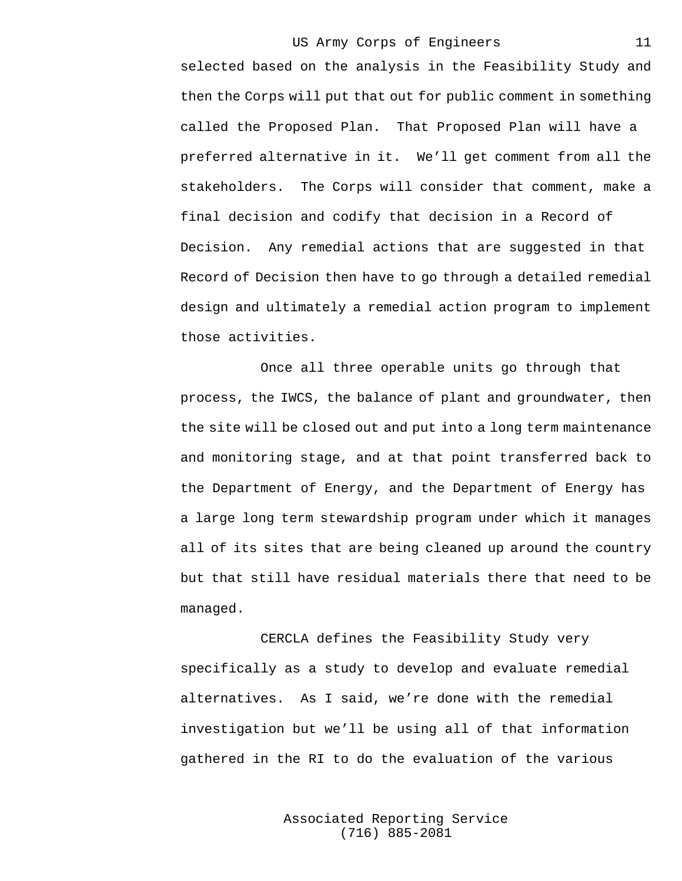selected based on the analysis in the Feasibility Study and then the Corps will put that out for public comment in something called the Proposed Plan. That Proposed Plan will have a preferred alternative in it. We'll get comment from all the stakeholders. The Corps will consider that comment, make a final decision and codify that decision in a Record of Decision. Any remedial actions that are suggested in that Record of Decision then have to go through a detailed remedial design and ultimately a remedial action program to implement those activities.

Once all three operable units go through that process, the IWCS, the balance of plant and groundwater, then the site will be closed out and put into a long term maintenance and monitoring stage, and at that point transferred back to the Department of Energy, and the Department of Energy has a large long term stewardship program under which it manages all of its sites that are being cleaned up around the country but that still have residual materials there that need to be managed.

CERCLA defines the Feasibility Study very specifically as a study to develop and evaluate remedial alternatives. As I said, we're done with the remedial investigation but we'll be using all of that information gathered in the RI to do the evaluation of the various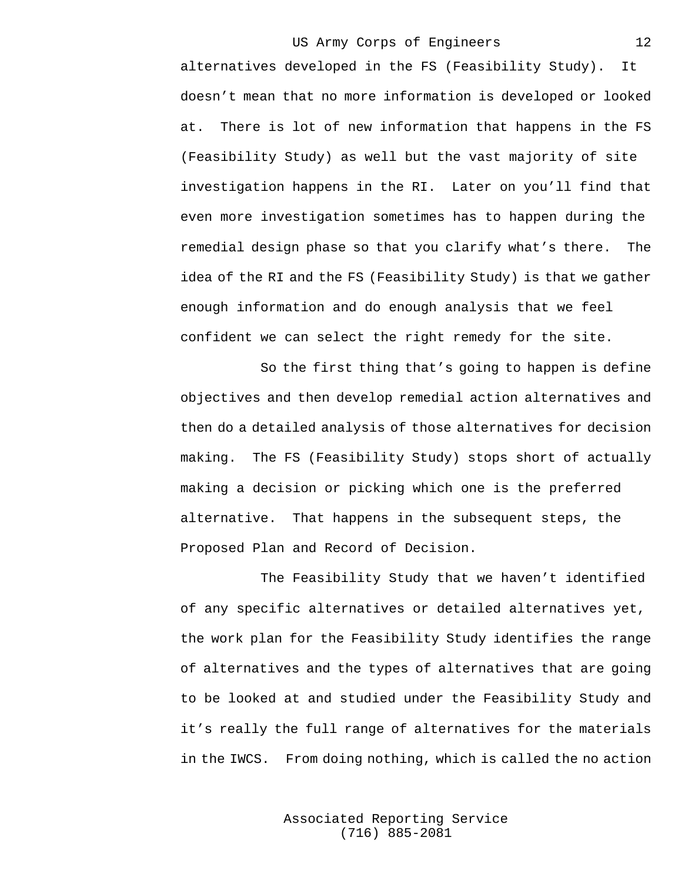alternatives developed in the FS (Feasibility Study). It doesn't mean that no more information is developed or looked at. There is lot of new information that happens in the FS (Feasibility Study) as well but the vast majority of site investigation happens in the RI. Later on you'll find that even more investigation sometimes has to happen during the remedial design phase so that you clarify what's there. The idea of the RI and the FS (Feasibility Study) is that we gather enough information and do enough analysis that we feel confident we can select the right remedy for the site.

So the first thing that's going to happen is define objectives and then develop remedial action alternatives and then do a detailed analysis of those alternatives for decision making. The FS (Feasibility Study) stops short of actually making a decision or picking which one is the preferred alternative. That happens in the subsequent steps, the Proposed Plan and Record of Decision.

The Feasibility Study that we haven't identified of any specific alternatives or detailed alternatives yet, the work plan for the Feasibility Study identifies the range of alternatives and the types of alternatives that are going to be looked at and studied under the Feasibility Study and it's really the full range of alternatives for the materials in the IWCS. From doing nothing, which is called the no action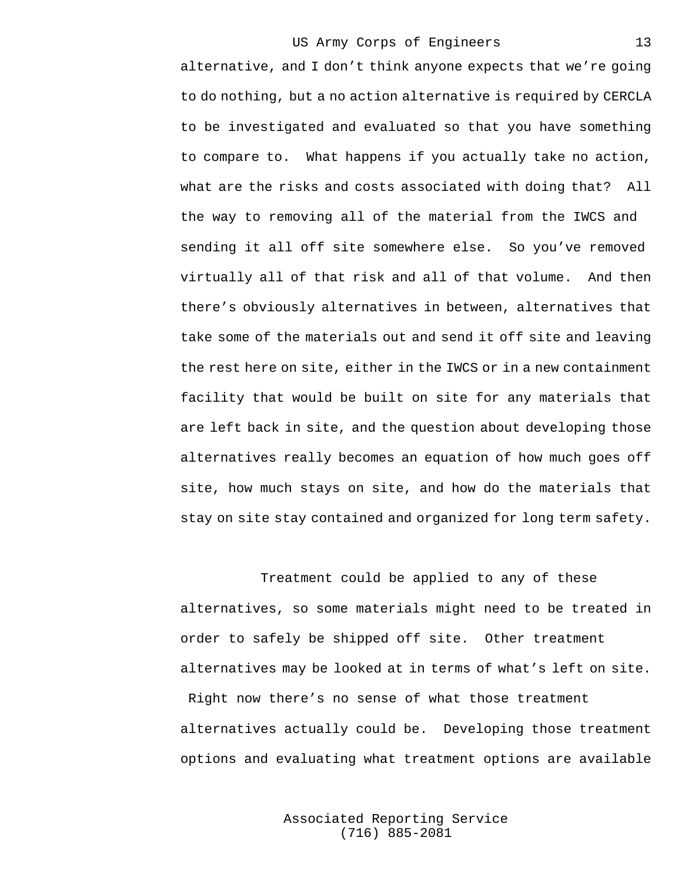alternative, and I don't think anyone expects that we're going to do nothing, but a no action alternative is required by CERCLA to be investigated and evaluated so that you have something to compare to. What happens if you actually take no action, what are the risks and costs associated with doing that? All the way to removing all of the material from the IWCS and sending it all off site somewhere else. So you've removed virtually all of that risk and all of that volume. And then there's obviously alternatives in between, alternatives that take some of the materials out and send it off site and leaving the rest here on site, either in the IWCS or in a new containment facility that would be built on site for any materials that are left back in site, and the question about developing those alternatives really becomes an equation of how much goes off site, how much stays on site, and how do the materials that stay on site stay contained and organized for long term safety.

Treatment could be applied to any of these alternatives, so some materials might need to be treated in order to safely be shipped off site. Other treatment alternatives may be looked at in terms of what's left on site. Right now there's no sense of what those treatment alternatives actually could be. Developing those treatment options and evaluating what treatment options are available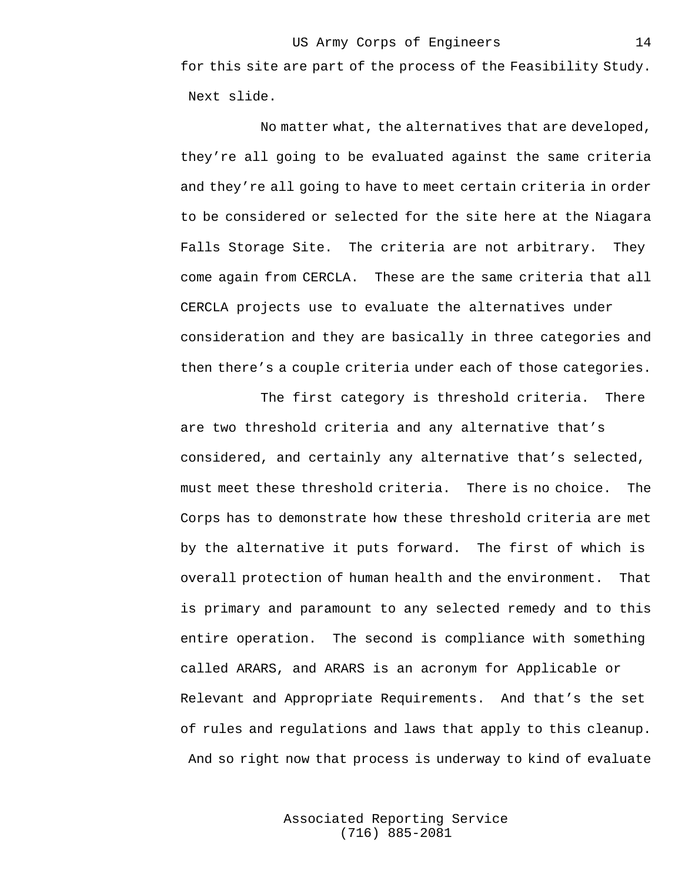for this site are part of the process of the Feasibility Study. Next slide.

No matter what, the alternatives that are developed, they're all going to be evaluated against the same criteria and they're all going to have to meet certain criteria in order to be considered or selected for the site here at the Niagara Falls Storage Site. The criteria are not arbitrary. They come again from CERCLA. These are the same criteria that all CERCLA projects use to evaluate the alternatives under consideration and they are basically in three categories and then there's a couple criteria under each of those categories.

The first category is threshold criteria. There are two threshold criteria and any alternative that's considered, and certainly any alternative that's selected, must meet these threshold criteria. There is no choice. The Corps has to demonstrate how these threshold criteria are met by the alternative it puts forward. The first of which is overall protection of human health and the environment. That is primary and paramount to any selected remedy and to this entire operation. The second is compliance with something called ARARS, and ARARS is an acronym for Applicable or Relevant and Appropriate Requirements. And that's the set of rules and regulations and laws that apply to this cleanup. And so right now that process is underway to kind of evaluate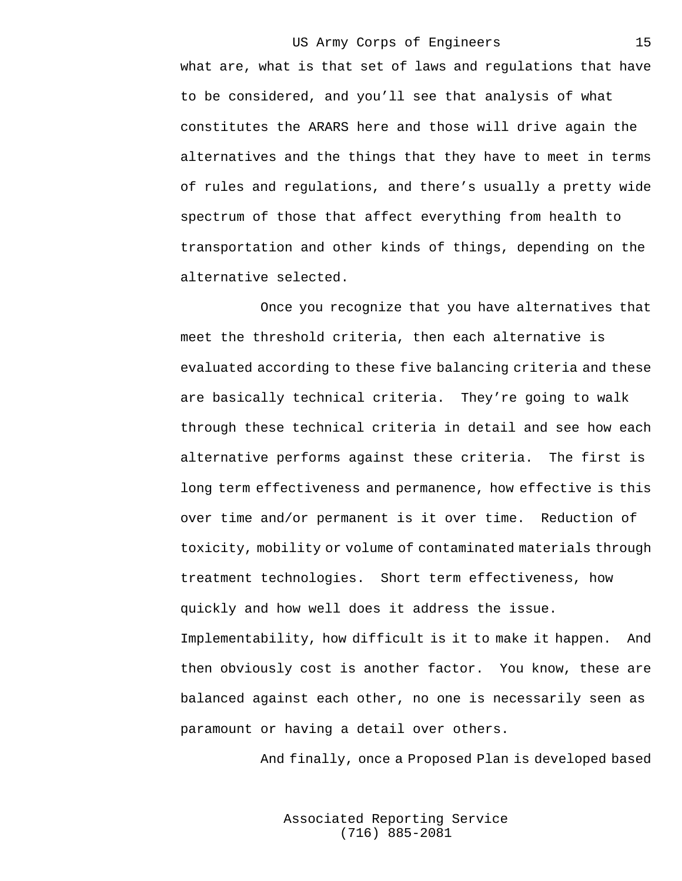what are, what is that set of laws and regulations that have to be considered, and you'll see that analysis of what constitutes the ARARS here and those will drive again the alternatives and the things that they have to meet in terms of rules and regulations, and there's usually a pretty wide spectrum of those that affect everything from health to transportation and other kinds of things, depending on the alternative selected.

Once you recognize that you have alternatives that meet the threshold criteria, then each alternative is evaluated according to these five balancing criteria and these are basically technical criteria. They're going to walk through these technical criteria in detail and see how each alternative performs against these criteria. The first is long term effectiveness and permanence, how effective is this over time and/or permanent is it over time. Reduction of toxicity, mobility or volume of contaminated materials through treatment technologies. Short term effectiveness, how quickly and how well does it address the issue. Implementability, how difficult is it to make it happen. And then obviously cost is another factor. You know, these are balanced against each other, no one is necessarily seen as paramount or having a detail over others.

And finally, once a Proposed Plan is developed based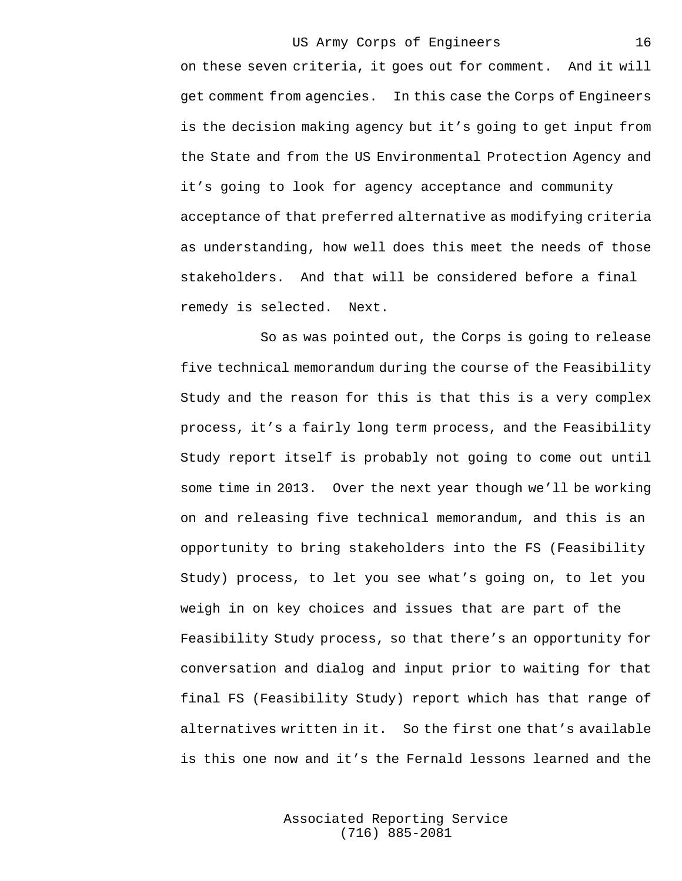on these seven criteria, it goes out for comment. And it will get comment from agencies. In this case the Corps of Engineers is the decision making agency but it's going to get input from the State and from the US Environmental Protection Agency and it's going to look for agency acceptance and community acceptance of that preferred alternative as modifying criteria as understanding, how well does this meet the needs of those stakeholders. And that will be considered before a final remedy is selected. Next.

So as was pointed out, the Corps is going to release five technical memorandum during the course of the Feasibility Study and the reason for this is that this is a very complex process, it's a fairly long term process, and the Feasibility Study report itself is probably not going to come out until some time in 2013. Over the next year though we'll be working on and releasing five technical memorandum, and this is an opportunity to bring stakeholders into the FS (Feasibility Study) process, to let you see what's going on, to let you weigh in on key choices and issues that are part of the Feasibility Study process, so that there's an opportunity for conversation and dialog and input prior to waiting for that final FS (Feasibility Study) report which has that range of alternatives written in it. So the first one that's available is this one now and it's the Fernald lessons learned and the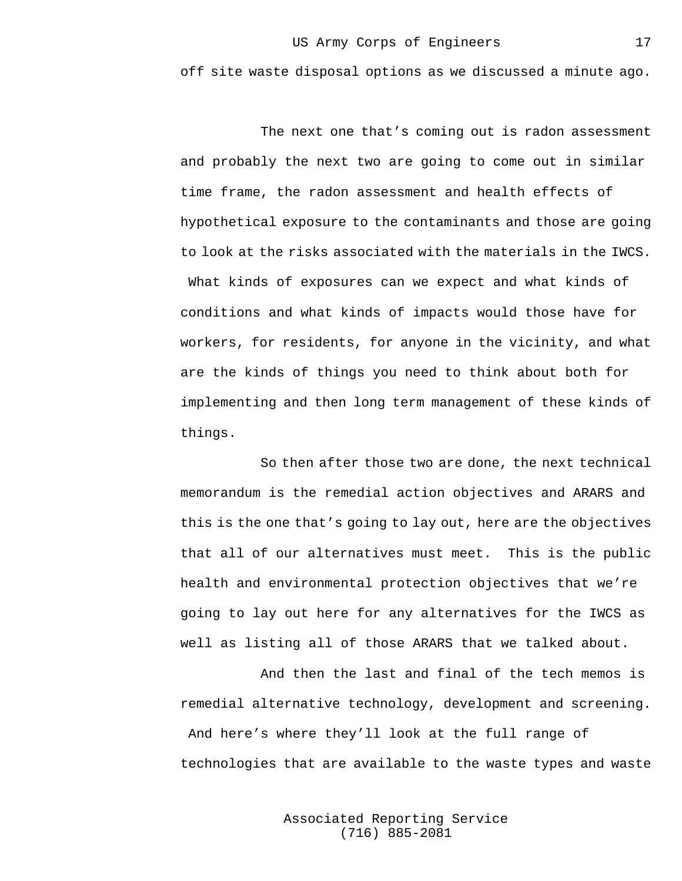off site waste disposal options as we discussed a minute ago.

The next one that's coming out is radon assessment and probably the next two are going to come out in similar time frame, the radon assessment and health effects of hypothetical exposure to the contaminants and those are going to look at the risks associated with the materials in the IWCS. What kinds of exposures can we expect and what kinds of conditions and what kinds of impacts would those have for workers, for residents, for anyone in the vicinity, and what are the kinds of things you need to think about both for implementing and then long term management of these kinds of things.

So then after those two are done, the next technical memorandum is the remedial action objectives and ARARS and this is the one that's going to lay out, here are the objectives that all of our alternatives must meet. This is the public health and environmental protection objectives that we're going to lay out here for any alternatives for the IWCS as well as listing all of those ARARS that we talked about.

And then the last and final of the tech memos is remedial alternative technology, development and screening. And here's where they'll look at the full range of technologies that are available to the waste types and waste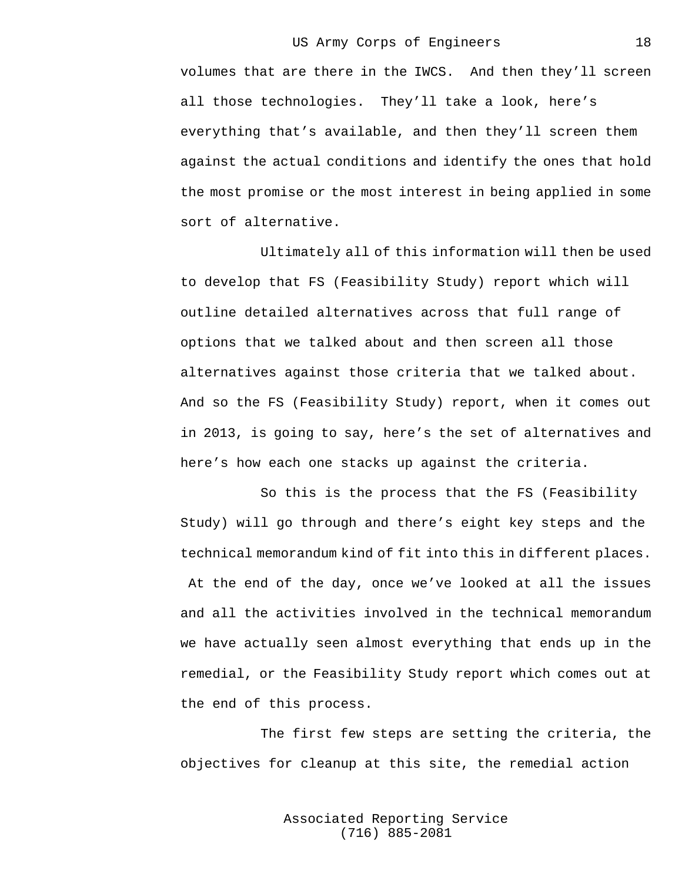18

volumes that are there in the IWCS. And then they'll screen all those technologies. They'll take a look, here's everything that's available, and then they'll screen them against the actual conditions and identify the ones that hold the most promise or the most interest in being applied in some sort of alternative.

Ultimately all of this information will then be used to develop that FS (Feasibility Study) report which will outline detailed alternatives across that full range of options that we talked about and then screen all those alternatives against those criteria that we talked about. And so the FS (Feasibility Study) report, when it comes out in 2013, is going to say, here's the set of alternatives and here's how each one stacks up against the criteria.

So this is the process that the FS (Feasibility Study) will go through and there's eight key steps and the technical memorandum kind of fit into this in different places. At the end of the day, once we've looked at all the issues and all the activities involved in the technical memorandum we have actually seen almost everything that ends up in the remedial, or the Feasibility Study report which comes out at the end of this process.

The first few steps are setting the criteria, the objectives for cleanup at this site, the remedial action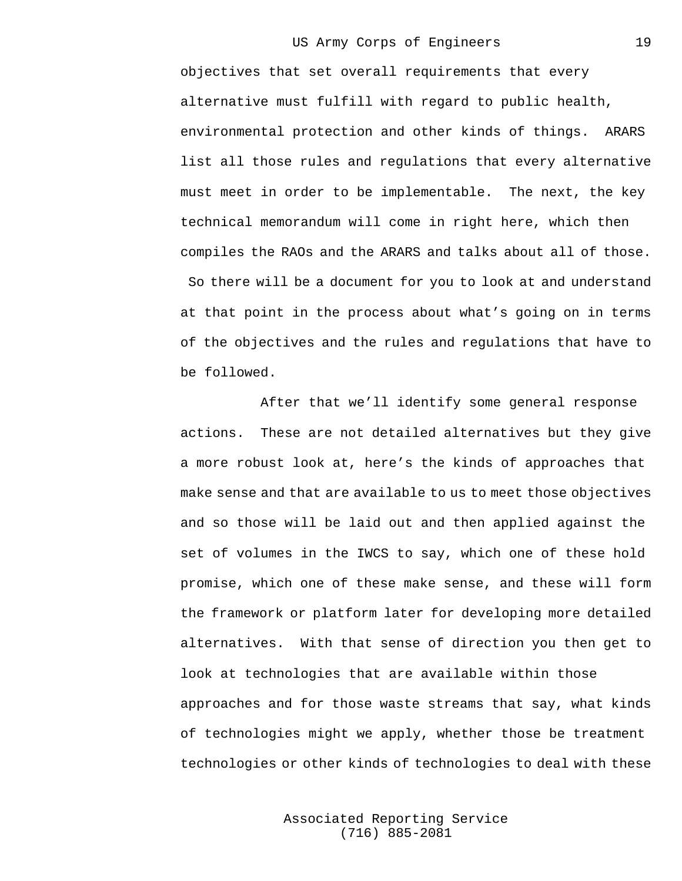19

objectives that set overall requirements that every alternative must fulfill with regard to public health, environmental protection and other kinds of things. ARARS list all those rules and regulations that every alternative must meet in order to be implementable. The next, the key technical memorandum will come in right here, which then compiles the RAOs and the ARARS and talks about all of those. So there will be a document for you to look at and understand at that point in the process about what's going on in terms of the objectives and the rules and regulations that have to be followed.

After that we'll identify some general response actions. These are not detailed alternatives but they give a more robust look at, here's the kinds of approaches that make sense and that are available to us to meet those objectives and so those will be laid out and then applied against the set of volumes in the IWCS to say, which one of these hold promise, which one of these make sense, and these will form the framework or platform later for developing more detailed alternatives. With that sense of direction you then get to look at technologies that are available within those approaches and for those waste streams that say, what kinds of technologies might we apply, whether those be treatment technologies or other kinds of technologies to deal with these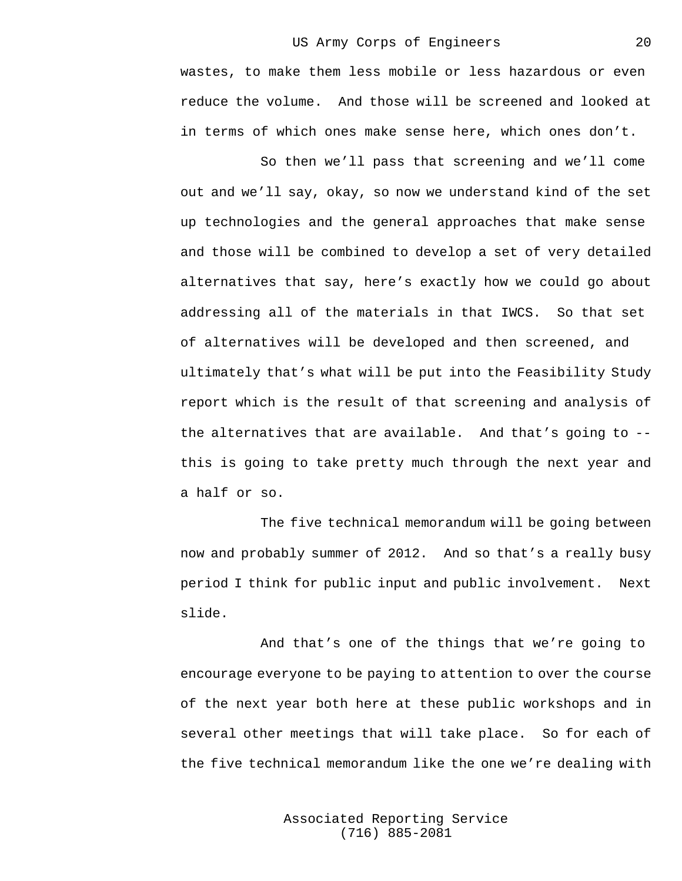wastes, to make them less mobile or less hazardous or even reduce the volume. And those will be screened and looked at in terms of which ones make sense here, which ones don't.

So then we'll pass that screening and we'll come out and we'll say, okay, so now we understand kind of the set up technologies and the general approaches that make sense and those will be combined to develop a set of very detailed alternatives that say, here's exactly how we could go about addressing all of the materials in that IWCS. So that set of alternatives will be developed and then screened, and ultimately that's what will be put into the Feasibility Study report which is the result of that screening and analysis of the alternatives that are available. And that's going to - this is going to take pretty much through the next year and a half or so.

The five technical memorandum will be going between now and probably summer of 2012. And so that's a really busy period I think for public input and public involvement. Next slide.

And that's one of the things that we're going to encourage everyone to be paying to attention to over the course of the next year both here at these public workshops and in several other meetings that will take place. So for each of the five technical memorandum like the one we're dealing with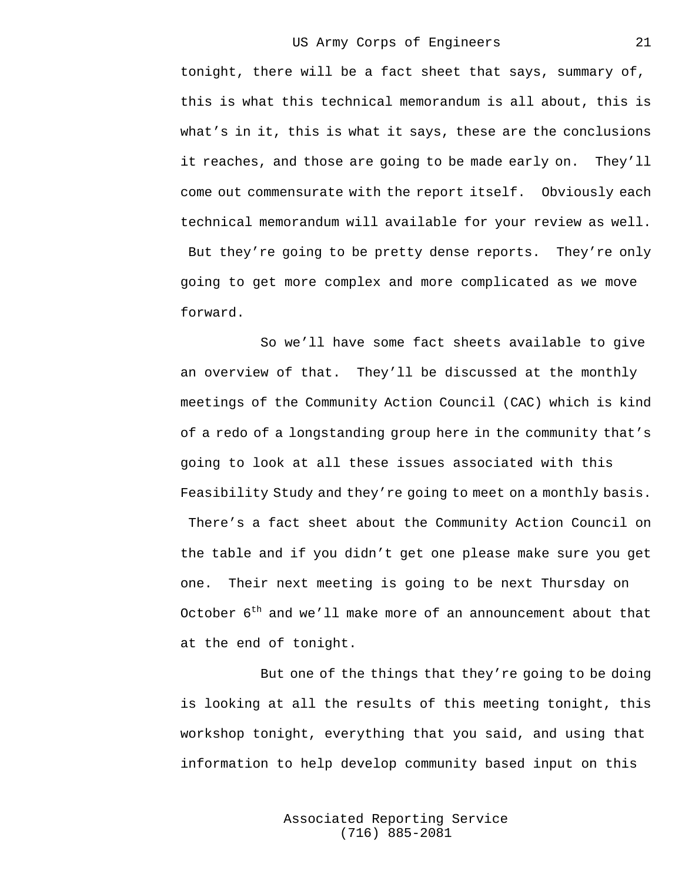21

tonight, there will be a fact sheet that says, summary of, this is what this technical memorandum is all about, this is what's in it, this is what it says, these are the conclusions it reaches, and those are going to be made early on. They'll come out commensurate with the report itself. Obviously each technical memorandum will available for your review as well. But they're going to be pretty dense reports. They're only going to get more complex and more complicated as we move forward.

So we'll have some fact sheets available to give an overview of that. They'll be discussed at the monthly meetings of the Community Action Council (CAC) which is kind of a redo of a longstanding group here in the community that's going to look at all these issues associated with this Feasibility Study and they're going to meet on a monthly basis. There's a fact sheet about the Community Action Council on the table and if you didn't get one please make sure you get one. Their next meeting is going to be next Thursday on October  $6<sup>th</sup>$  and we'll make more of an announcement about that at the end of tonight.

But one of the things that they're going to be doing is looking at all the results of this meeting tonight, this workshop tonight, everything that you said, and using that information to help develop community based input on this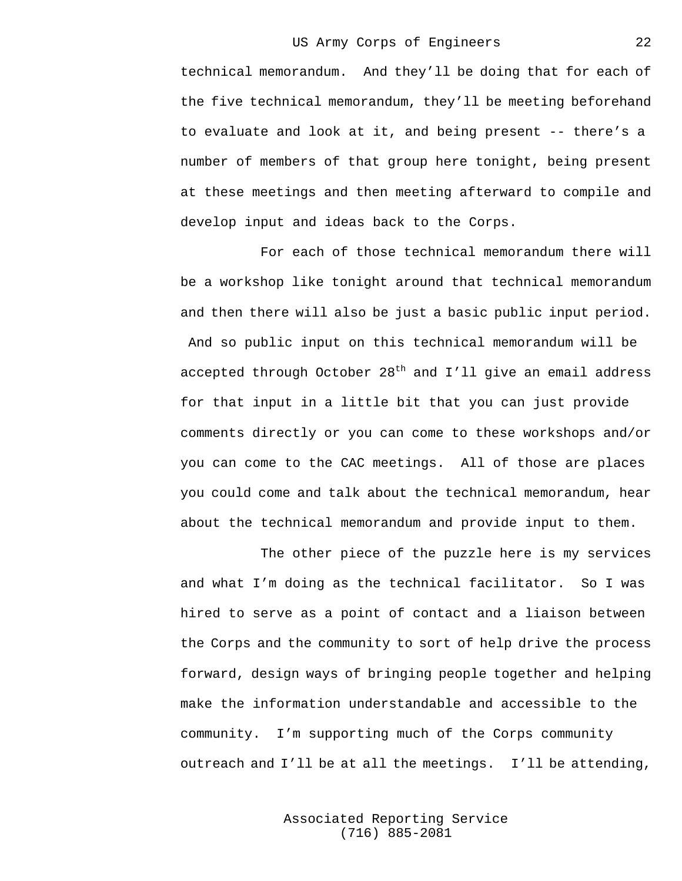technical memorandum. And they'll be doing that for each of the five technical memorandum, they'll be meeting beforehand to evaluate and look at it, and being present -- there's a number of members of that group here tonight, being present at these meetings and then meeting afterward to compile and develop input and ideas back to the Corps.

For each of those technical memorandum there will be a workshop like tonight around that technical memorandum and then there will also be just a basic public input period. And so public input on this technical memorandum will be accepted through October  $28<sup>th</sup>$  and I'll give an email address for that input in a little bit that you can just provide comments directly or you can come to these workshops and/or you can come to the CAC meetings. All of those are places you could come and talk about the technical memorandum, hear about the technical memorandum and provide input to them.

The other piece of the puzzle here is my services and what I'm doing as the technical facilitator. So I was hired to serve as a point of contact and a liaison between the Corps and the community to sort of help drive the process forward, design ways of bringing people together and helping make the information understandable and accessible to the community. I'm supporting much of the Corps community outreach and I'll be at all the meetings. I'll be attending,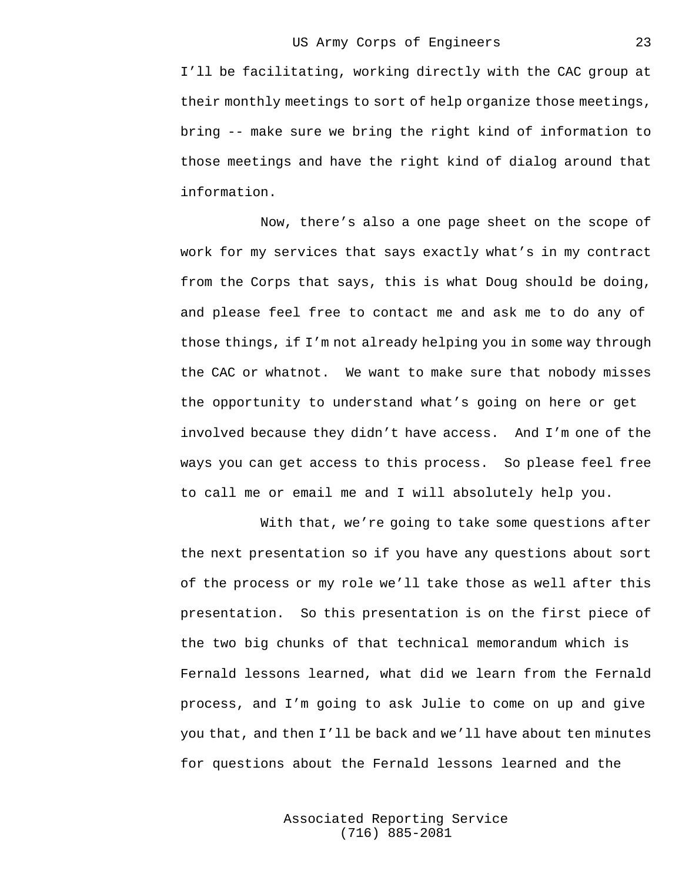I'll be facilitating, working directly with the CAC group at their monthly meetings to sort of help organize those meetings, bring -- make sure we bring the right kind of information to those meetings and have the right kind of dialog around that information.

Now, there's also a one page sheet on the scope of work for my services that says exactly what's in my contract from the Corps that says, this is what Doug should be doing, and please feel free to contact me and ask me to do any of those things, if I'm not already helping you in some way through the CAC or whatnot. We want to make sure that nobody misses the opportunity to understand what's going on here or get involved because they didn't have access. And I'm one of the ways you can get access to this process. So please feel free to call me or email me and I will absolutely help you.

With that, we're going to take some questions after the next presentation so if you have any questions about sort of the process or my role we'll take those as well after this presentation. So this presentation is on the first piece of the two big chunks of that technical memorandum which is Fernald lessons learned, what did we learn from the Fernald process, and I'm going to ask Julie to come on up and give you that, and then I'll be back and we'll have about ten minutes for questions about the Fernald lessons learned and the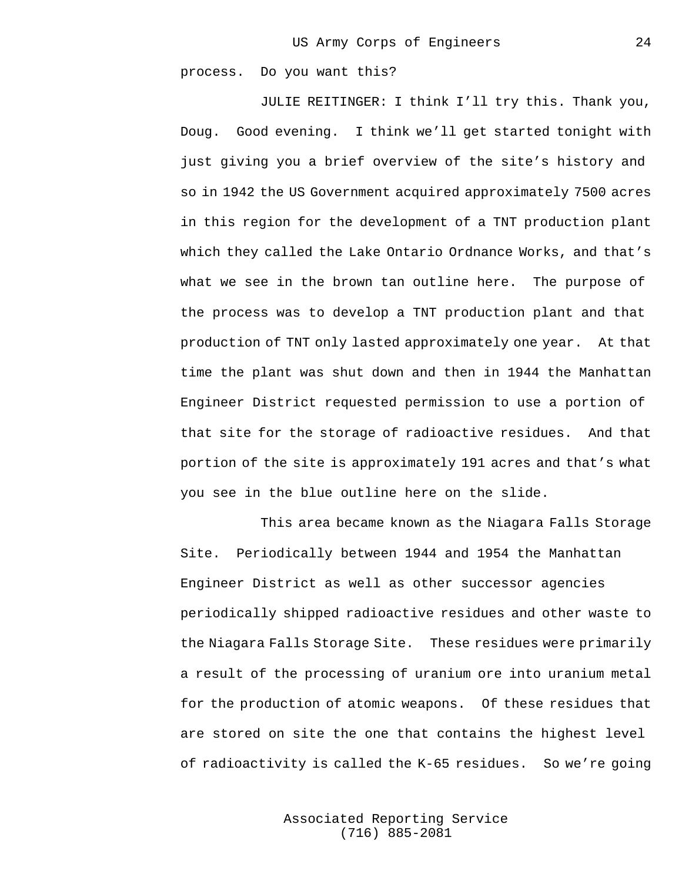process. Do you want this?

JULIE REITINGER: I think I'll try this. Thank you, Doug. Good evening. I think we'll get started tonight with just giving you a brief overview of the site's history and so in 1942 the US Government acquired approximately 7500 acres in this region for the development of a TNT production plant which they called the Lake Ontario Ordnance Works, and that's what we see in the brown tan outline here. The purpose of the process was to develop a TNT production plant and that production of TNT only lasted approximately one year. At that time the plant was shut down and then in 1944 the Manhattan Engineer District requested permission to use a portion of that site for the storage of radioactive residues. And that portion of the site is approximately 191 acres and that's what you see in the blue outline here on the slide.

This area became known as the Niagara Falls Storage Site. Periodically between 1944 and 1954 the Manhattan Engineer District as well as other successor agencies periodically shipped radioactive residues and other waste to the Niagara Falls Storage Site. These residues were primarily a result of the processing of uranium ore into uranium metal for the production of atomic weapons. Of these residues that are stored on site the one that contains the highest level of radioactivity is called the K-65 residues. So we're going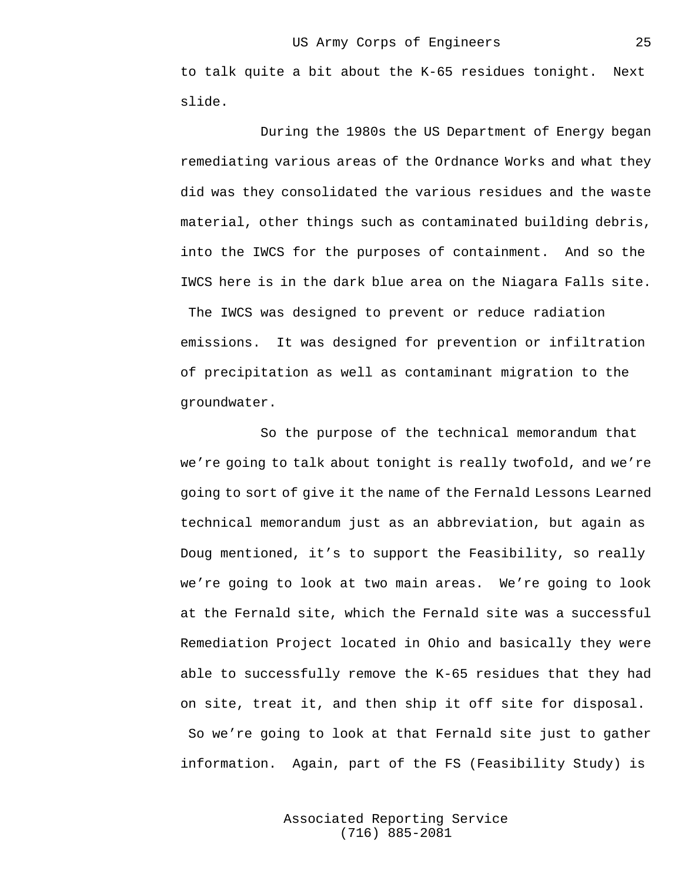to talk quite a bit about the K-65 residues tonight. Next slide.

During the 1980s the US Department of Energy began remediating various areas of the Ordnance Works and what they did was they consolidated the various residues and the waste material, other things such as contaminated building debris, into the IWCS for the purposes of containment. And so the IWCS here is in the dark blue area on the Niagara Falls site. The IWCS was designed to prevent or reduce radiation emissions. It was designed for prevention or infiltration of precipitation as well as contaminant migration to the groundwater.

So the purpose of the technical memorandum that we're going to talk about tonight is really twofold, and we're going to sort of give it the name of the Fernald Lessons Learned technical memorandum just as an abbreviation, but again as Doug mentioned, it's to support the Feasibility, so really we're going to look at two main areas. We're going to look at the Fernald site, which the Fernald site was a successful Remediation Project located in Ohio and basically they were able to successfully remove the K-65 residues that they had on site, treat it, and then ship it off site for disposal. So we're going to look at that Fernald site just to gather information. Again, part of the FS (Feasibility Study) is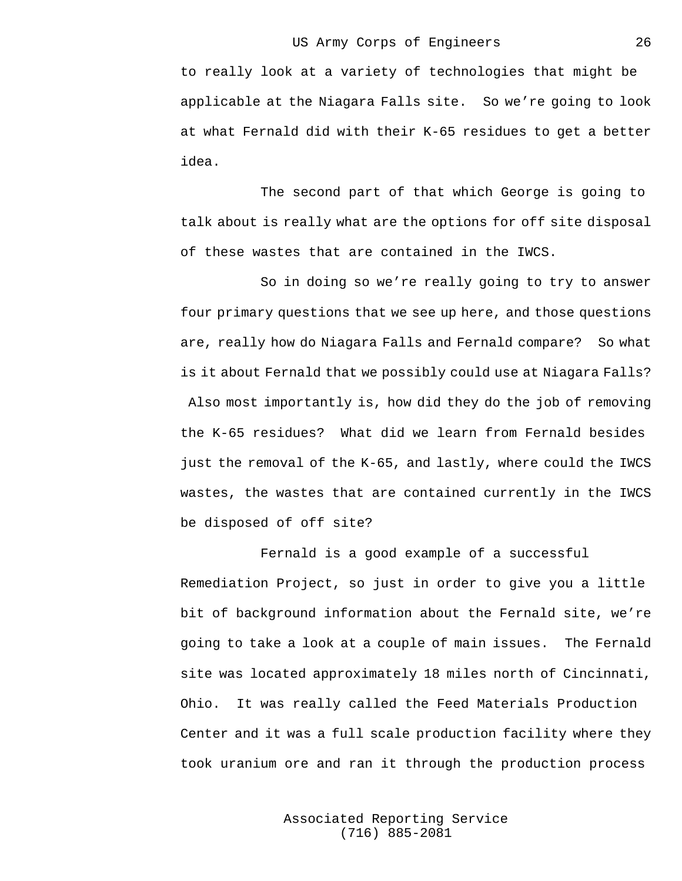to really look at a variety of technologies that might be applicable at the Niagara Falls site. So we're going to look at what Fernald did with their K-65 residues to get a better idea.

The second part of that which George is going to talk about is really what are the options for off site disposal of these wastes that are contained in the IWCS.

So in doing so we're really going to try to answer four primary questions that we see up here, and those questions are, really how do Niagara Falls and Fernald compare? So what is it about Fernald that we possibly could use at Niagara Falls? Also most importantly is, how did they do the job of removing the K-65 residues? What did we learn from Fernald besides just the removal of the K-65, and lastly, where could the IWCS wastes, the wastes that are contained currently in the IWCS be disposed of off site?

Fernald is a good example of a successful Remediation Project, so just in order to give you a little bit of background information about the Fernald site, we're going to take a look at a couple of main issues. The Fernald site was located approximately 18 miles north of Cincinnati, Ohio. It was really called the Feed Materials Production Center and it was a full scale production facility where they took uranium ore and ran it through the production process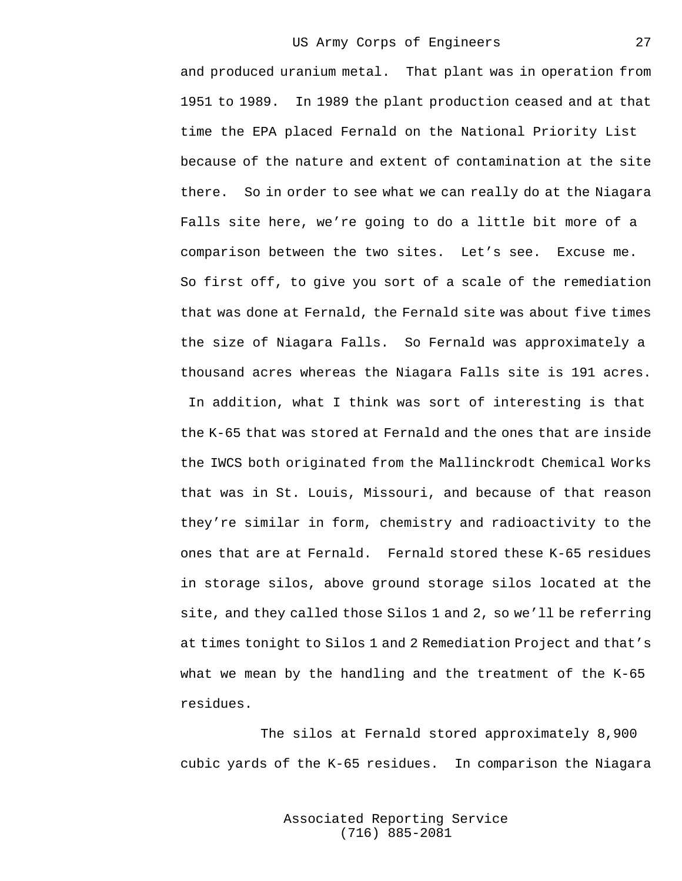and produced uranium metal. That plant was in operation from 1951 to 1989. In 1989 the plant production ceased and at that time the EPA placed Fernald on the National Priority List because of the nature and extent of contamination at the site there. So in order to see what we can really do at the Niagara Falls site here, we're going to do a little bit more of a comparison between the two sites. Let's see. Excuse me. So first off, to give you sort of a scale of the remediation that was done at Fernald, the Fernald site was about five times the size of Niagara Falls. So Fernald was approximately a thousand acres whereas the Niagara Falls site is 191 acres. In addition, what I think was sort of interesting is that the K-65 that was stored at Fernald and the ones that are inside the IWCS both originated from the Mallinckrodt Chemical Works that was in St. Louis, Missouri, and because of that reason they're similar in form, chemistry and radioactivity to the ones that are at Fernald. Fernald stored these K-65 residues in storage silos, above ground storage silos located at the site, and they called those Silos 1 and 2, so we'll be referring at times tonight to Silos 1 and 2 Remediation Project and that's what we mean by the handling and the treatment of the K-65 residues.

The silos at Fernald stored approximately 8,900 cubic yards of the K-65 residues. In comparison the Niagara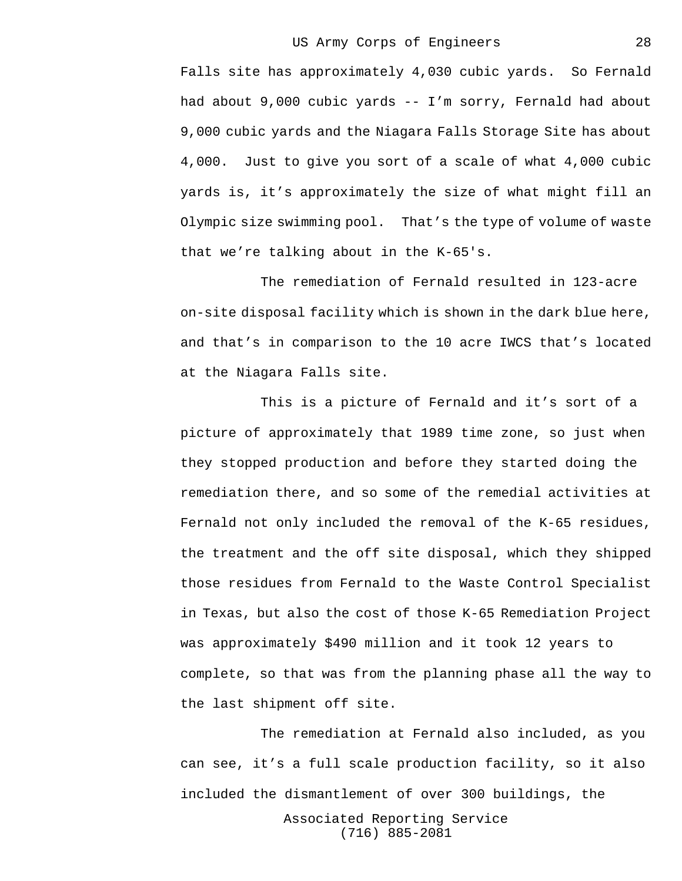Falls site has approximately 4,030 cubic yards. So Fernald had about 9,000 cubic yards -- I'm sorry, Fernald had about 9,000 cubic yards and the Niagara Falls Storage Site has about 4,000. Just to give you sort of a scale of what 4,000 cubic yards is, it's approximately the size of what might fill an Olympic size swimming pool. That's the type of volume of waste that we're talking about in the K-65's.

The remediation of Fernald resulted in 123-acre on-site disposal facility which is shown in the dark blue here, and that's in comparison to the 10 acre IWCS that's located at the Niagara Falls site.

This is a picture of Fernald and it's sort of a picture of approximately that 1989 time zone, so just when they stopped production and before they started doing the remediation there, and so some of the remedial activities at Fernald not only included the removal of the K-65 residues, the treatment and the off site disposal, which they shipped those residues from Fernald to the Waste Control Specialist in Texas, but also the cost of those K-65 Remediation Project was approximately \$490 million and it took 12 years to complete, so that was from the planning phase all the way to the last shipment off site.

The remediation at Fernald also included, as you can see, it's a full scale production facility, so it also included the dismantlement of over 300 buildings, the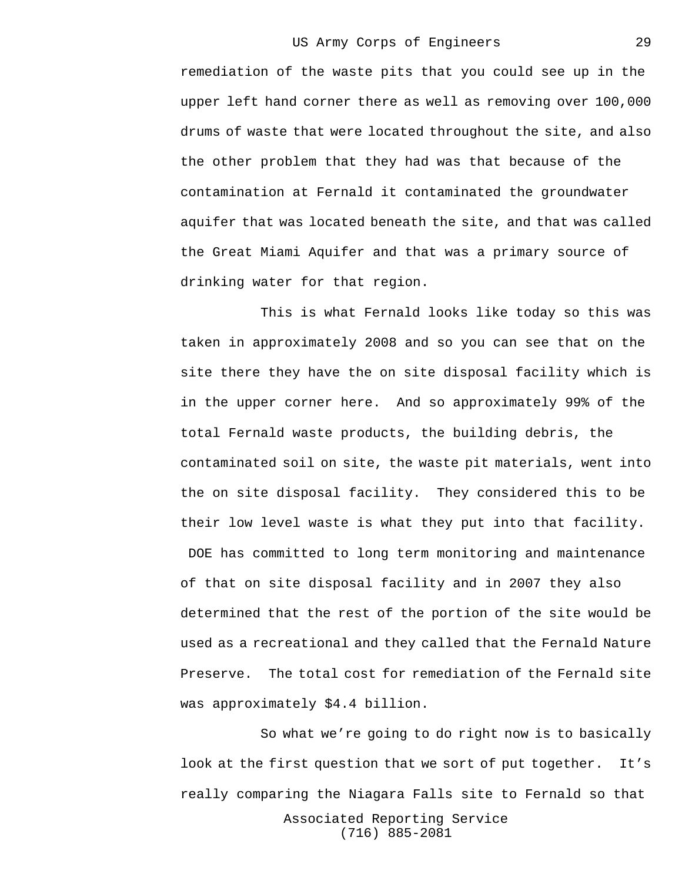remediation of the waste pits that you could see up in the upper left hand corner there as well as removing over 100,000 drums of waste that were located throughout the site, and also the other problem that they had was that because of the contamination at Fernald it contaminated the groundwater aquifer that was located beneath the site, and that was called the Great Miami Aquifer and that was a primary source of drinking water for that region.

This is what Fernald looks like today so this was taken in approximately 2008 and so you can see that on the site there they have the on site disposal facility which is in the upper corner here. And so approximately 99% of the total Fernald waste products, the building debris, the contaminated soil on site, the waste pit materials, went into the on site disposal facility. They considered this to be their low level waste is what they put into that facility.

 DOE has committed to long term monitoring and maintenance of that on site disposal facility and in 2007 they also determined that the rest of the portion of the site would be used as a recreational and they called that the Fernald Nature Preserve. The total cost for remediation of the Fernald site was approximately \$4.4 billion.

So what we're going to do right now is to basically look at the first question that we sort of put together. It's really comparing the Niagara Falls site to Fernald so that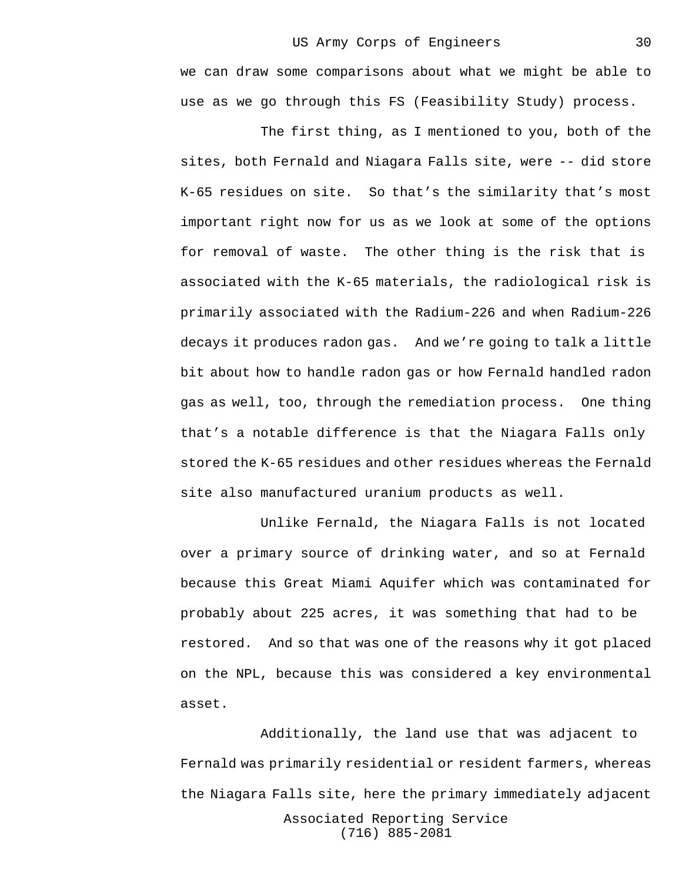we can draw some comparisons about what we might be able to use as we go through this FS (Feasibility Study) process.

The first thing, as I mentioned to you, both of the sites, both Fernald and Niagara Falls site, were -- did store K-65 residues on site. So that's the similarity that's most important right now for us as we look at some of the options for removal of waste. The other thing is the risk that is associated with the K-65 materials, the radiological risk is primarily associated with the Radium-226 and when Radium-226 decays it produces radon gas. And we're going to talk a little bit about how to handle radon gas or how Fernald handled radon gas as well, too, through the remediation process. One thing that's a notable difference is that the Niagara Falls only stored the K-65 residues and other residues whereas the Fernald site also manufactured uranium products as well.

Unlike Fernald, the Niagara Falls is not located over a primary source of drinking water, and so at Fernald because this Great Miami Aquifer which was contaminated for probably about 225 acres, it was something that had to be restored. And so that was one of the reasons why it got placed on the NPL, because this was considered a key environmental asset.

Associated Reporting Service (716) 885-2081 Additionally, the land use that was adjacent to Fernald was primarily residential or resident farmers, whereas the Niagara Falls site, here the primary immediately adjacent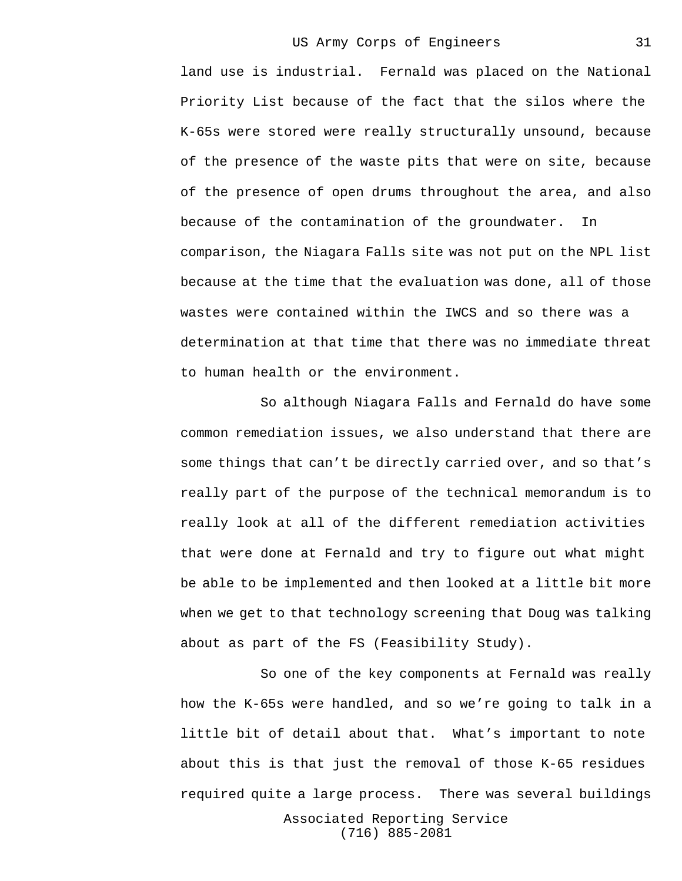land use is industrial. Fernald was placed on the National Priority List because of the fact that the silos where the K-65s were stored were really structurally unsound, because of the presence of the waste pits that were on site, because of the presence of open drums throughout the area, and also because of the contamination of the groundwater. In comparison, the Niagara Falls site was not put on the NPL list because at the time that the evaluation was done, all of those wastes were contained within the IWCS and so there was a determination at that time that there was no immediate threat to human health or the environment.

So although Niagara Falls and Fernald do have some common remediation issues, we also understand that there are some things that can't be directly carried over, and so that's really part of the purpose of the technical memorandum is to really look at all of the different remediation activities that were done at Fernald and try to figure out what might be able to be implemented and then looked at a little bit more when we get to that technology screening that Doug was talking about as part of the FS (Feasibility Study).

So one of the key components at Fernald was really how the K-65s were handled, and so we're going to talk in a little bit of detail about that. What's important to note about this is that just the removal of those K-65 residues required quite a large process. There was several buildings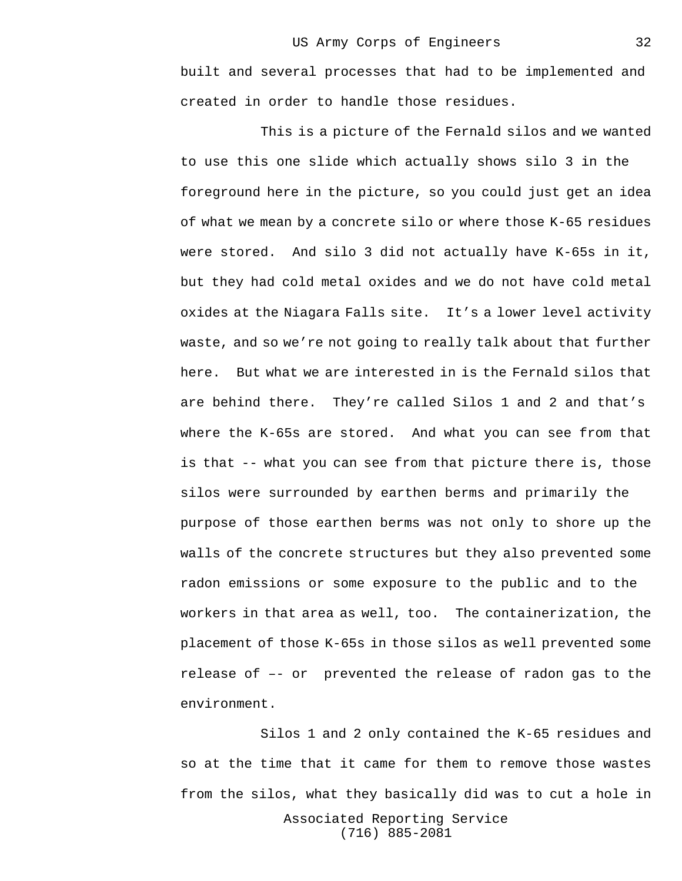built and several processes that had to be implemented and created in order to handle those residues.

This is a picture of the Fernald silos and we wanted to use this one slide which actually shows silo 3 in the foreground here in the picture, so you could just get an idea of what we mean by a concrete silo or where those K-65 residues were stored. And silo 3 did not actually have K-65s in it, but they had cold metal oxides and we do not have cold metal oxides at the Niagara Falls site. It's a lower level activity waste, and so we're not going to really talk about that further here. But what we are interested in is the Fernald silos that are behind there. They're called Silos 1 and 2 and that's where the K-65s are stored. And what you can see from that is that -- what you can see from that picture there is, those silos were surrounded by earthen berms and primarily the purpose of those earthen berms was not only to shore up the walls of the concrete structures but they also prevented some radon emissions or some exposure to the public and to the workers in that area as well, too. The containerization, the placement of those K-65s in those silos as well prevented some release of –- or prevented the release of radon gas to the environment.

Associated Reporting Service (716) 885-2081 Silos 1 and 2 only contained the K-65 residues and so at the time that it came for them to remove those wastes from the silos, what they basically did was to cut a hole in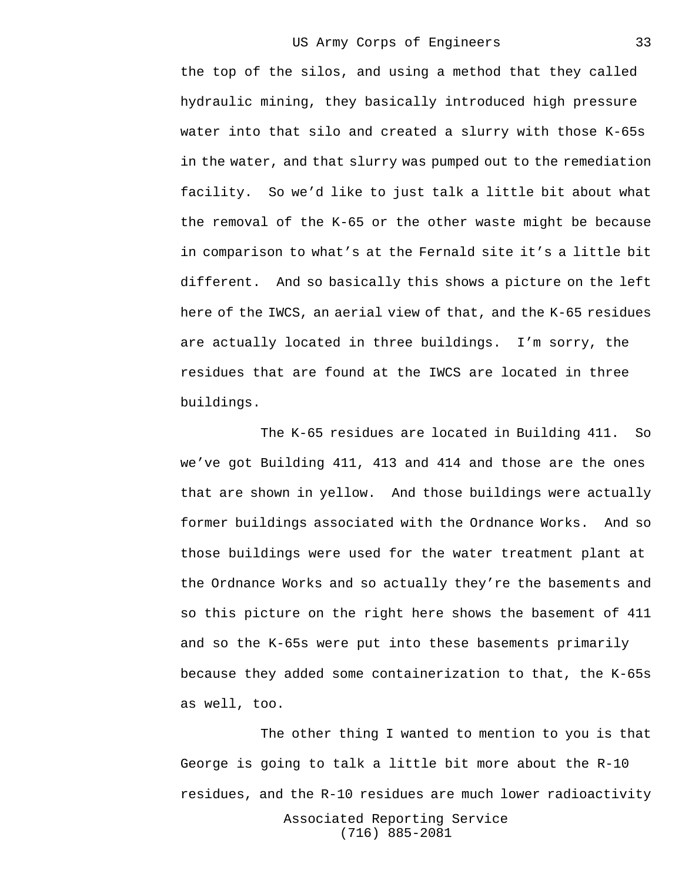the top of the silos, and using a method that they called hydraulic mining, they basically introduced high pressure water into that silo and created a slurry with those K-65s in the water, and that slurry was pumped out to the remediation facility. So we'd like to just talk a little bit about what the removal of the K-65 or the other waste might be because in comparison to what's at the Fernald site it's a little bit different. And so basically this shows a picture on the left here of the IWCS, an aerial view of that, and the K-65 residues are actually located in three buildings. I'm sorry, the residues that are found at the IWCS are located in three buildings.

The K-65 residues are located in Building 411. So we've got Building 411, 413 and 414 and those are the ones that are shown in yellow. And those buildings were actually former buildings associated with the Ordnance Works. And so those buildings were used for the water treatment plant at the Ordnance Works and so actually they're the basements and so this picture on the right here shows the basement of 411 and so the K-65s were put into these basements primarily because they added some containerization to that, the K-65s as well, too.

Associated Reporting Service (716) 885-2081 The other thing I wanted to mention to you is that George is going to talk a little bit more about the R-10 residues, and the R-10 residues are much lower radioactivity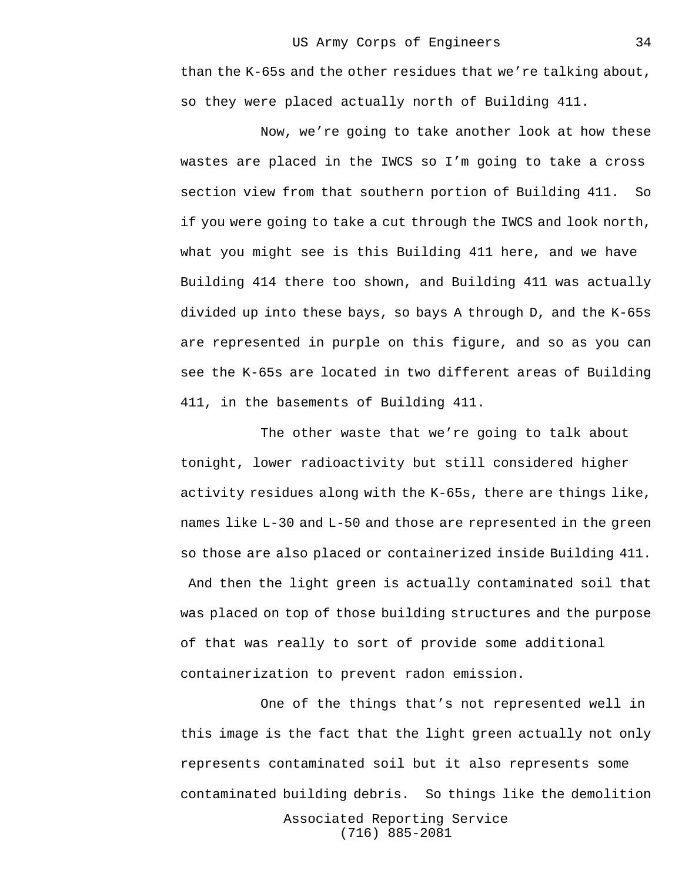than the K-65s and the other residues that we're talking about, so they were placed actually north of Building 411.

Now, we're going to take another look at how these wastes are placed in the IWCS so I'm going to take a cross section view from that southern portion of Building 411. So if you were going to take a cut through the IWCS and look north, what you might see is this Building 411 here, and we have Building 414 there too shown, and Building 411 was actually divided up into these bays, so bays A through D, and the K-65s are represented in purple on this figure, and so as you can see the K-65s are located in two different areas of Building 411, in the basements of Building 411.

The other waste that we're going to talk about tonight, lower radioactivity but still considered higher activity residues along with the K-65s, there are things like, names like L-30 and L-50 and those are represented in the green so those are also placed or containerized inside Building 411. And then the light green is actually contaminated soil that was placed on top of those building structures and the purpose of that was really to sort of provide some additional containerization to prevent radon emission.

Associated Reporting Service One of the things that's not represented well in this image is the fact that the light green actually not only represents contaminated soil but it also represents some contaminated building debris. So things like the demolition

(716) 885-2081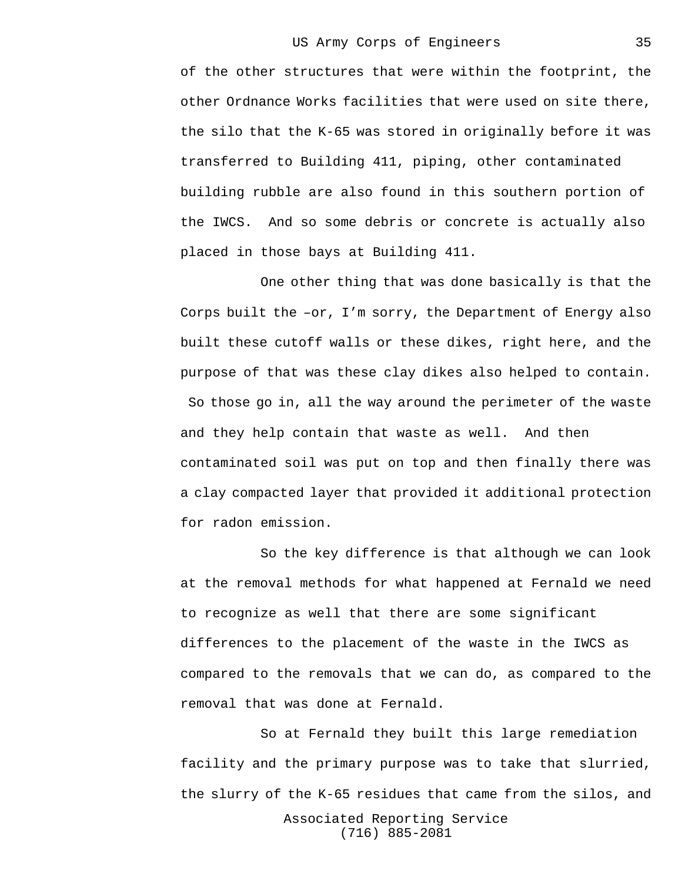of the other structures that were within the footprint, the other Ordnance Works facilities that were used on site there, the silo that the K-65 was stored in originally before it was transferred to Building 411, piping, other contaminated building rubble are also found in this southern portion of the IWCS. And so some debris or concrete is actually also placed in those bays at Building 411.

One other thing that was done basically is that the Corps built the –or, I'm sorry, the Department of Energy also built these cutoff walls or these dikes, right here, and the purpose of that was these clay dikes also helped to contain. So those go in, all the way around the perimeter of the waste and they help contain that waste as well. And then contaminated soil was put on top and then finally there was a clay compacted layer that provided it additional protection for radon emission.

So the key difference is that although we can look at the removal methods for what happened at Fernald we need to recognize as well that there are some significant differences to the placement of the waste in the IWCS as compared to the removals that we can do, as compared to the removal that was done at Fernald.

Associated Reporting Service (716) 885-2081 So at Fernald they built this large remediation facility and the primary purpose was to take that slurried, the slurry of the K-65 residues that came from the silos, and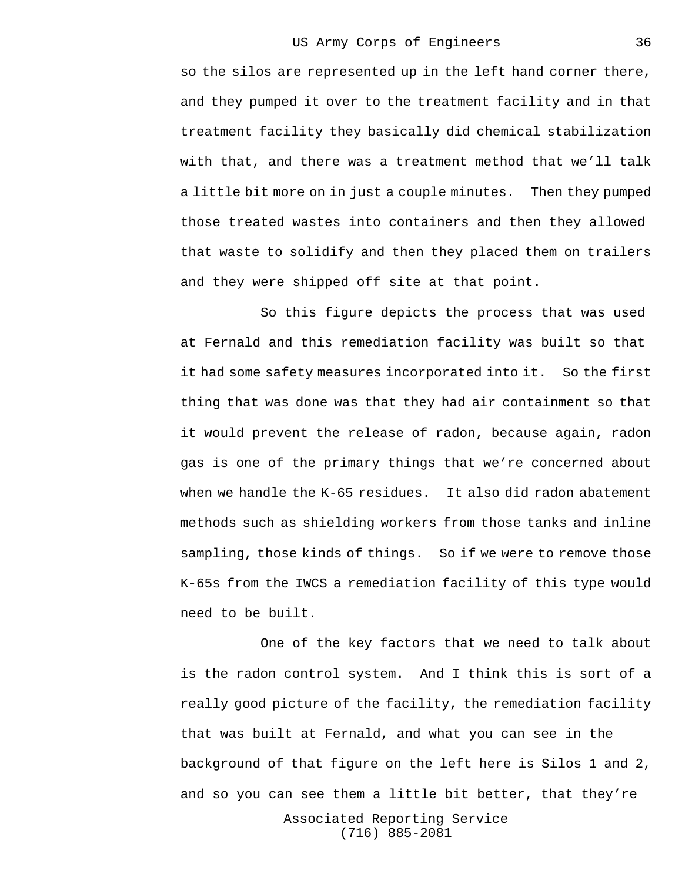so the silos are represented up in the left hand corner there, and they pumped it over to the treatment facility and in that treatment facility they basically did chemical stabilization with that, and there was a treatment method that we'll talk a little bit more on in just a couple minutes. Then they pumped those treated wastes into containers and then they allowed that waste to solidify and then they placed them on trailers and they were shipped off site at that point.

So this figure depicts the process that was used at Fernald and this remediation facility was built so that it had some safety measures incorporated into it. So the first thing that was done was that they had air containment so that it would prevent the release of radon, because again, radon gas is one of the primary things that we're concerned about when we handle the K-65 residues. It also did radon abatement methods such as shielding workers from those tanks and inline sampling, those kinds of things. So if we were to remove those K-65s from the IWCS a remediation facility of this type would need to be built.

One of the key factors that we need to talk about is the radon control system. And I think this is sort of a really good picture of the facility, the remediation facility that was built at Fernald, and what you can see in the background of that figure on the left here is Silos 1 and 2, and so you can see them a little bit better, that they're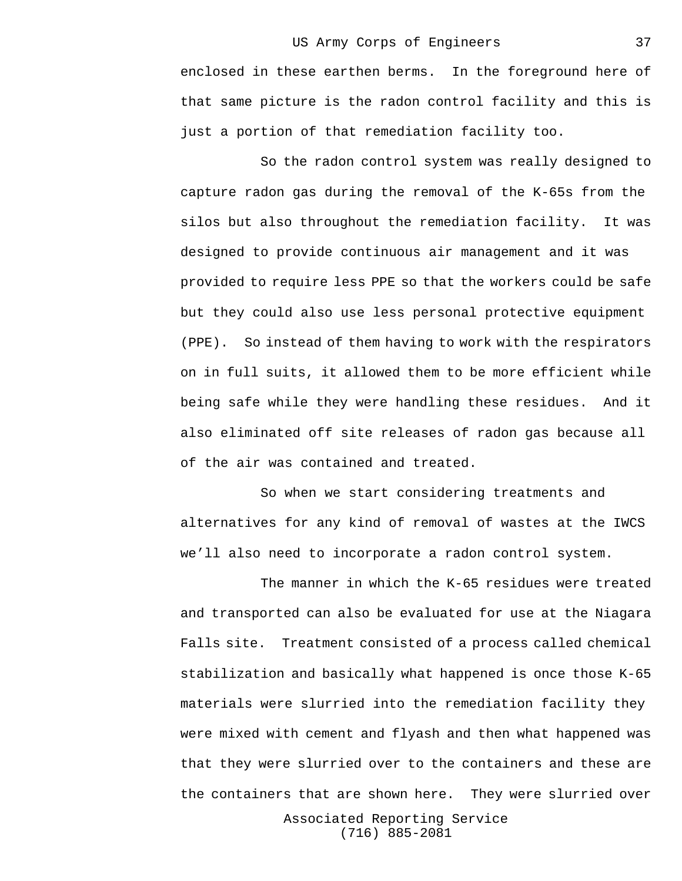## US Army Corps of Engineers

enclosed in these earthen berms. In the foreground here of that same picture is the radon control facility and this is just a portion of that remediation facility too.

So the radon control system was really designed to capture radon gas during the removal of the K-65s from the silos but also throughout the remediation facility. It was designed to provide continuous air management and it was provided to require less PPE so that the workers could be safe but they could also use less personal protective equipment (PPE). So instead of them having to work with the respirators on in full suits, it allowed them to be more efficient while being safe while they were handling these residues. And it also eliminated off site releases of radon gas because all of the air was contained and treated.

So when we start considering treatments and alternatives for any kind of removal of wastes at the IWCS we'll also need to incorporate a radon control system.

The manner in which the K-65 residues were treated and transported can also be evaluated for use at the Niagara Falls site. Treatment consisted of a process called chemical stabilization and basically what happened is once those K-65 materials were slurried into the remediation facility they were mixed with cement and flyash and then what happened was that they were slurried over to the containers and these are the containers that are shown here. They were slurried over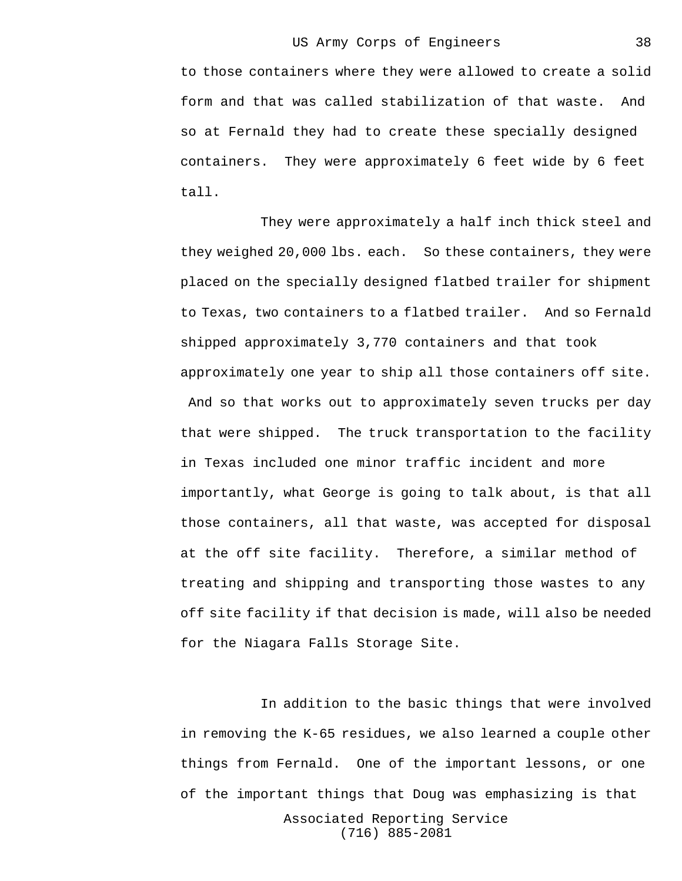to those containers where they were allowed to create a solid form and that was called stabilization of that waste. And so at Fernald they had to create these specially designed containers. They were approximately 6 feet wide by 6 feet tall.

They were approximately a half inch thick steel and they weighed 20,000 lbs. each. So these containers, they were placed on the specially designed flatbed trailer for shipment to Texas, two containers to a flatbed trailer. And so Fernald shipped approximately 3,770 containers and that took approximately one year to ship all those containers off site. And so that works out to approximately seven trucks per day that were shipped. The truck transportation to the facility in Texas included one minor traffic incident and more importantly, what George is going to talk about, is that all those containers, all that waste, was accepted for disposal at the off site facility. Therefore, a similar method of treating and shipping and transporting those wastes to any off site facility if that decision is made, will also be needed for the Niagara Falls Storage Site.

In addition to the basic things that were involved in removing the K-65 residues, we also learned a couple other things from Fernald. One of the important lessons, or one of the important things that Doug was emphasizing is that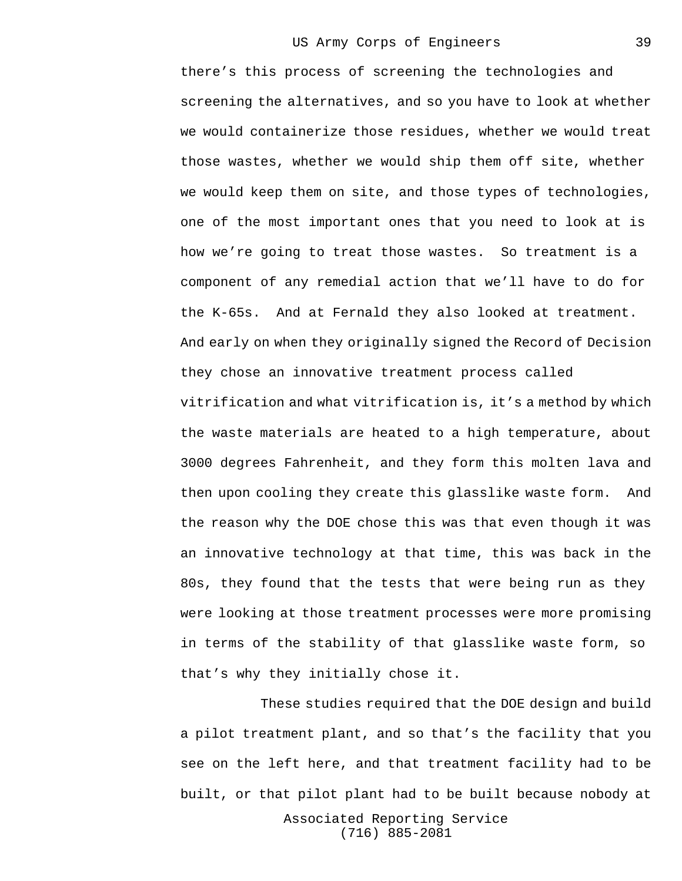there's this process of screening the technologies and screening the alternatives, and so you have to look at whether we would containerize those residues, whether we would treat those wastes, whether we would ship them off site, whether we would keep them on site, and those types of technologies, one of the most important ones that you need to look at is how we're going to treat those wastes. So treatment is a component of any remedial action that we'll have to do for the K-65s. And at Fernald they also looked at treatment. And early on when they originally signed the Record of Decision they chose an innovative treatment process called vitrification and what vitrification is, it's a method by which the waste materials are heated to a high temperature, about 3000 degrees Fahrenheit, and they form this molten lava and then upon cooling they create this glasslike waste form. And the reason why the DOE chose this was that even though it was an innovative technology at that time, this was back in the 80s, they found that the tests that were being run as they were looking at those treatment processes were more promising in terms of the stability of that glasslike waste form, so that's why they initially chose it.

These studies required that the DOE design and build a pilot treatment plant, and so that's the facility that you see on the left here, and that treatment facility had to be built, or that pilot plant had to be built because nobody at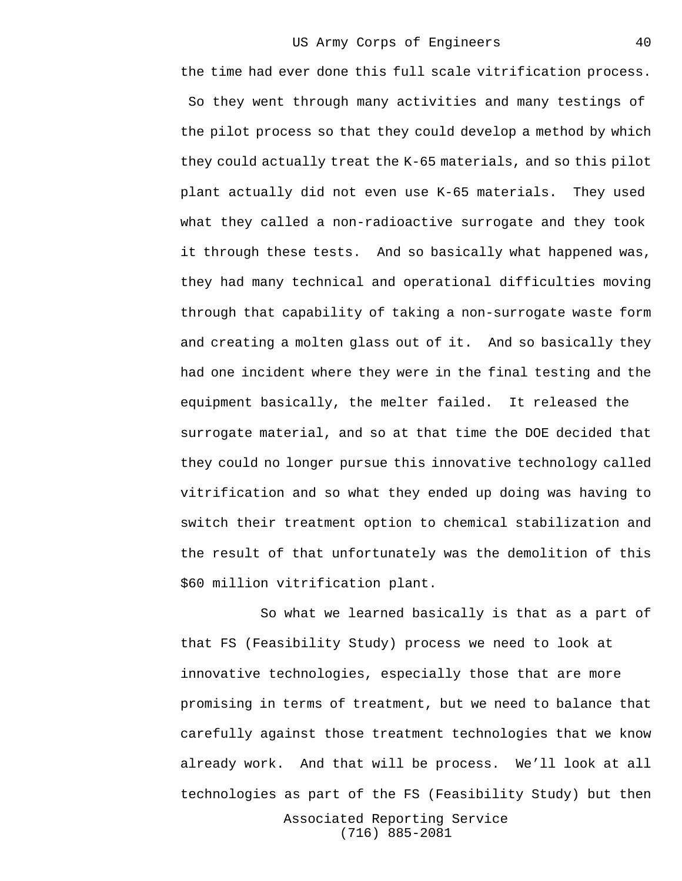the time had ever done this full scale vitrification process. So they went through many activities and many testings of the pilot process so that they could develop a method by which they could actually treat the K-65 materials, and so this pilot plant actually did not even use K-65 materials. They used what they called a non-radioactive surrogate and they took it through these tests. And so basically what happened was, they had many technical and operational difficulties moving through that capability of taking a non-surrogate waste form and creating a molten glass out of it. And so basically they had one incident where they were in the final testing and the equipment basically, the melter failed. It released the surrogate material, and so at that time the DOE decided that they could no longer pursue this innovative technology called vitrification and so what they ended up doing was having to switch their treatment option to chemical stabilization and the result of that unfortunately was the demolition of this \$60 million vitrification plant.

So what we learned basically is that as a part of that FS (Feasibility Study) process we need to look at innovative technologies, especially those that are more promising in terms of treatment, but we need to balance that carefully against those treatment technologies that we know already work. And that will be process. We'll look at all technologies as part of the FS (Feasibility Study) but then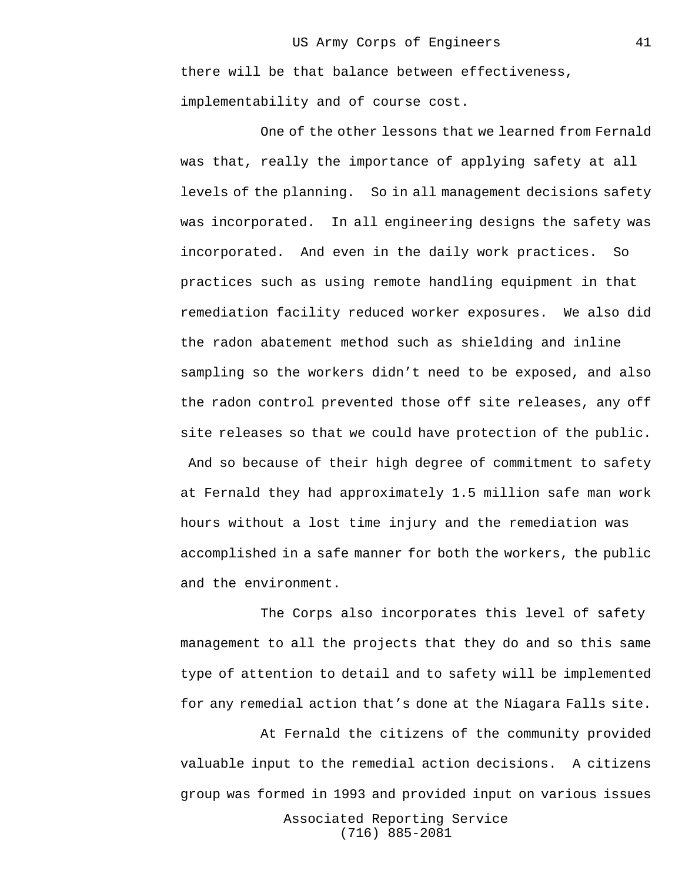there will be that balance between effectiveness, implementability and of course cost.

One of the other lessons that we learned from Fernald was that, really the importance of applying safety at all levels of the planning. So in all management decisions safety was incorporated. In all engineering designs the safety was incorporated. And even in the daily work practices. So practices such as using remote handling equipment in that remediation facility reduced worker exposures. We also did the radon abatement method such as shielding and inline sampling so the workers didn't need to be exposed, and also the radon control prevented those off site releases, any off site releases so that we could have protection of the public. And so because of their high degree of commitment to safety at Fernald they had approximately 1.5 million safe man work hours without a lost time injury and the remediation was accomplished in a safe manner for both the workers, the public and the environment.

The Corps also incorporates this level of safety management to all the projects that they do and so this same type of attention to detail and to safety will be implemented for any remedial action that's done at the Niagara Falls site.

At Fernald the citizens of the community provided valuable input to the remedial action decisions. A citizens group was formed in 1993 and provided input on various issues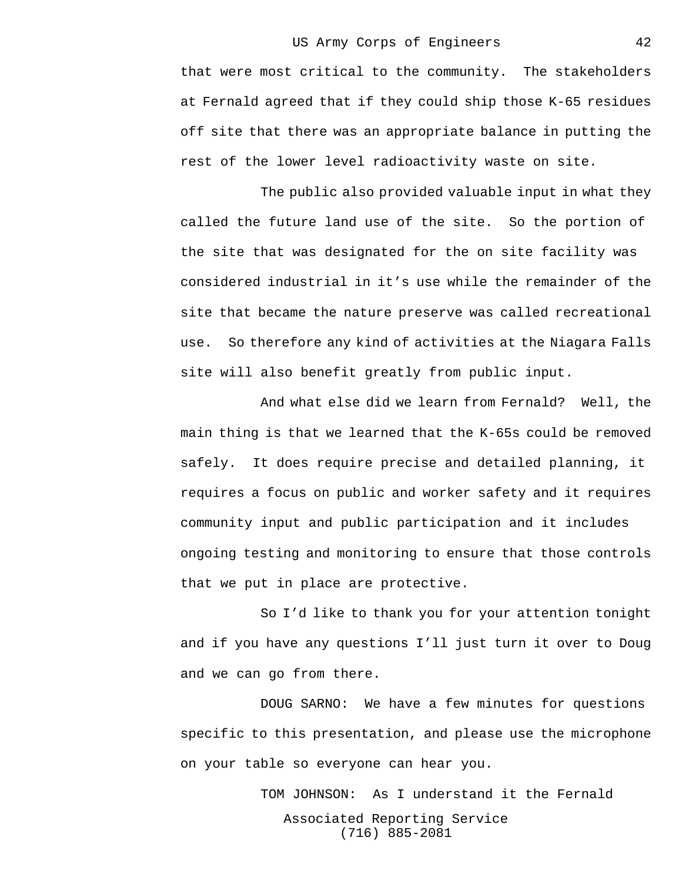that were most critical to the community. The stakeholders at Fernald agreed that if they could ship those K-65 residues off site that there was an appropriate balance in putting the rest of the lower level radioactivity waste on site.

The public also provided valuable input in what they called the future land use of the site. So the portion of the site that was designated for the on site facility was considered industrial in it's use while the remainder of the site that became the nature preserve was called recreational use. So therefore any kind of activities at the Niagara Falls site will also benefit greatly from public input.

And what else did we learn from Fernald? Well, the main thing is that we learned that the K-65s could be removed safely. It does require precise and detailed planning, it requires a focus on public and worker safety and it requires community input and public participation and it includes ongoing testing and monitoring to ensure that those controls that we put in place are protective.

So I'd like to thank you for your attention tonight and if you have any questions I'll just turn it over to Doug and we can go from there.

DOUG SARNO: We have a few minutes for questions specific to this presentation, and please use the microphone on your table so everyone can hear you.

> Associated Reporting Service (716) 885-2081 TOM JOHNSON: As I understand it the Fernald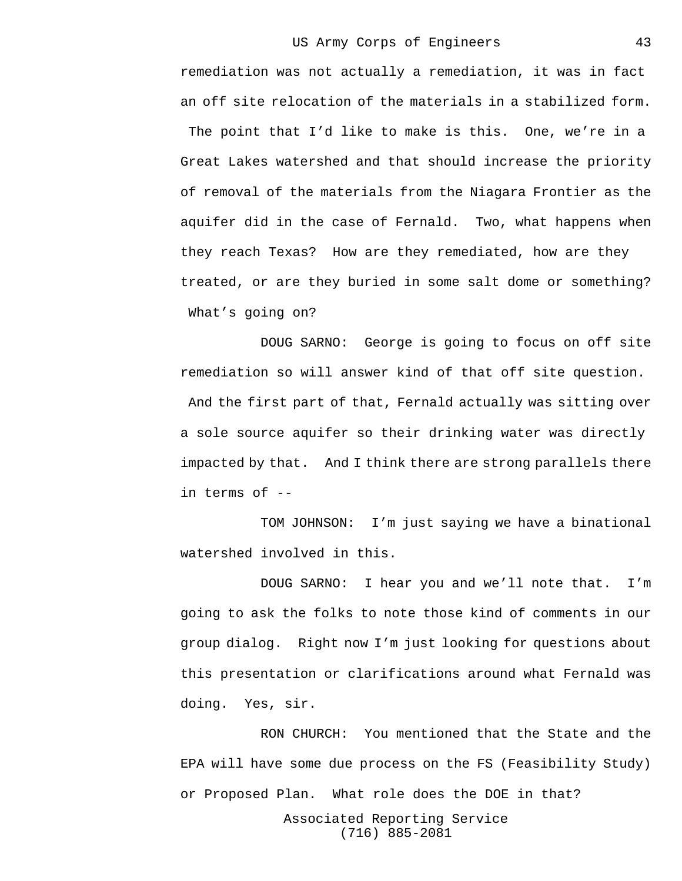remediation was not actually a remediation, it was in fact an off site relocation of the materials in a stabilized form. The point that I'd like to make is this. One, we're in a Great Lakes watershed and that should increase the priority of removal of the materials from the Niagara Frontier as the aquifer did in the case of Fernald. Two, what happens when they reach Texas? How are they remediated, how are they treated, or are they buried in some salt dome or something? What's going on?

DOUG SARNO: George is going to focus on off site remediation so will answer kind of that off site question. And the first part of that, Fernald actually was sitting over a sole source aquifer so their drinking water was directly impacted by that. And I think there are strong parallels there in terms of --

TOM JOHNSON: I'm just saying we have a binational watershed involved in this.

DOUG SARNO: I hear you and we'll note that. I'm going to ask the folks to note those kind of comments in our group dialog. Right now I'm just looking for questions about this presentation or clarifications around what Fernald was doing. Yes, sir.

RON CHURCH: You mentioned that the State and the EPA will have some due process on the FS (Feasibility Study) or Proposed Plan. What role does the DOE in that?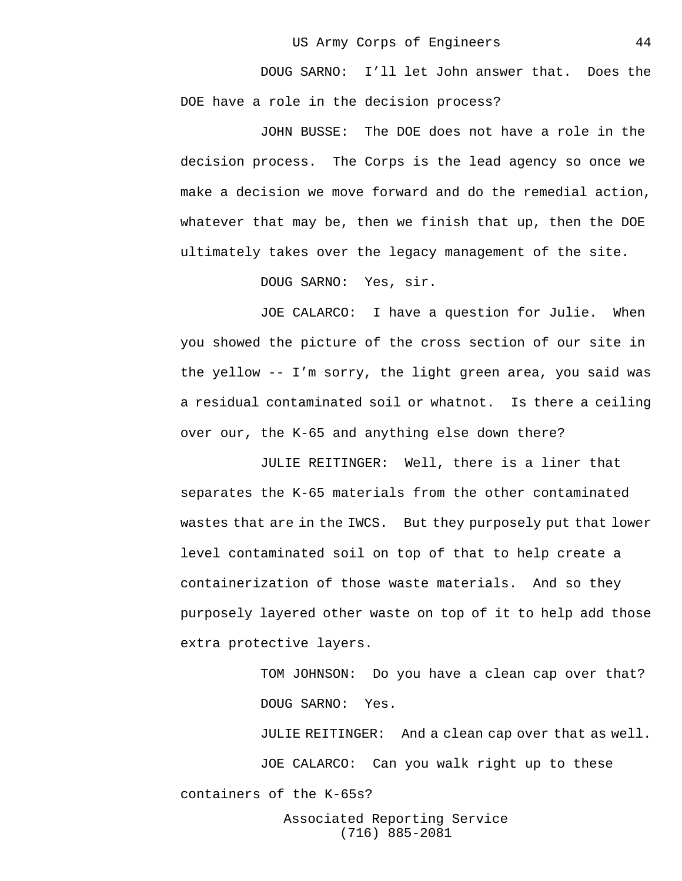DOUG SARNO: I'll let John answer that. Does the DOE have a role in the decision process?

JOHN BUSSE: The DOE does not have a role in the decision process. The Corps is the lead agency so once we make a decision we move forward and do the remedial action, whatever that may be, then we finish that up, then the DOE ultimately takes over the legacy management of the site.

DOUG SARNO: Yes, sir.

JOE CALARCO: I have a question for Julie. When you showed the picture of the cross section of our site in the yellow -- I'm sorry, the light green area, you said was a residual contaminated soil or whatnot. Is there a ceiling over our, the K-65 and anything else down there?

JULIE REITINGER: Well, there is a liner that separates the K-65 materials from the other contaminated wastes that are in the IWCS. But they purposely put that lower level contaminated soil on top of that to help create a containerization of those waste materials. And so they purposely layered other waste on top of it to help add those extra protective layers.

> TOM JOHNSON: Do you have a clean cap over that? DOUG SARNO: Yes.

JULIE REITINGER: And a clean cap over that as well. JOE CALARCO: Can you walk right up to these containers of the K-65s?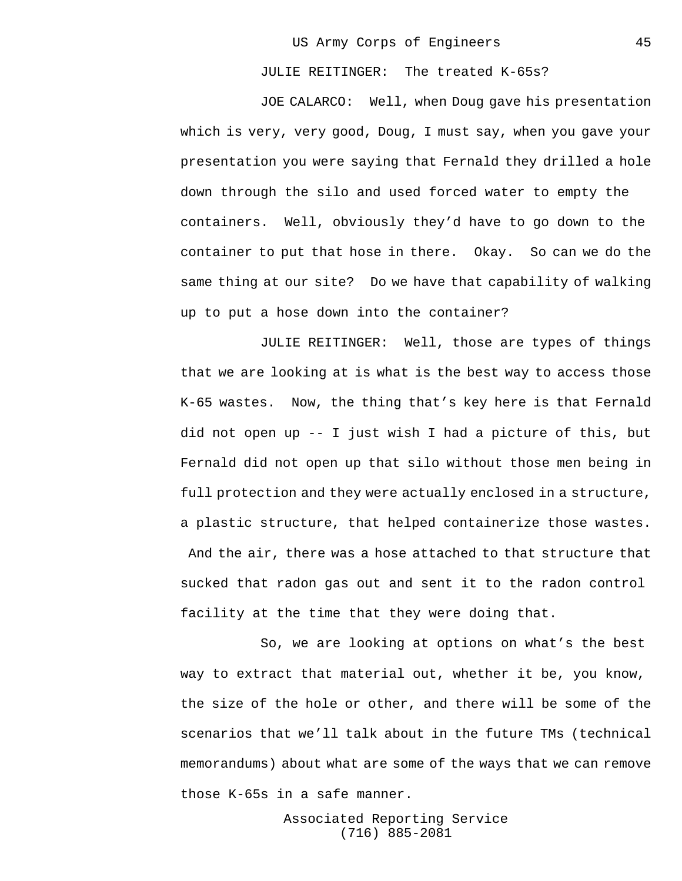JULIE REITINGER: The treated K-65s?

JOE CALARCO: Well, when Doug gave his presentation which is very, very good, Doug, I must say, when you gave your presentation you were saying that Fernald they drilled a hole down through the silo and used forced water to empty the containers. Well, obviously they'd have to go down to the container to put that hose in there. Okay. So can we do the same thing at our site? Do we have that capability of walking up to put a hose down into the container?

JULIE REITINGER: Well, those are types of things that we are looking at is what is the best way to access those K-65 wastes. Now, the thing that's key here is that Fernald did not open up -- I just wish I had a picture of this, but Fernald did not open up that silo without those men being in full protection and they were actually enclosed in a structure, a plastic structure, that helped containerize those wastes. And the air, there was a hose attached to that structure that sucked that radon gas out and sent it to the radon control facility at the time that they were doing that.

So, we are looking at options on what's the best way to extract that material out, whether it be, you know, the size of the hole or other, and there will be some of the scenarios that we'll talk about in the future TMs (technical memorandums) about what are some of the ways that we can remove those K-65s in a safe manner.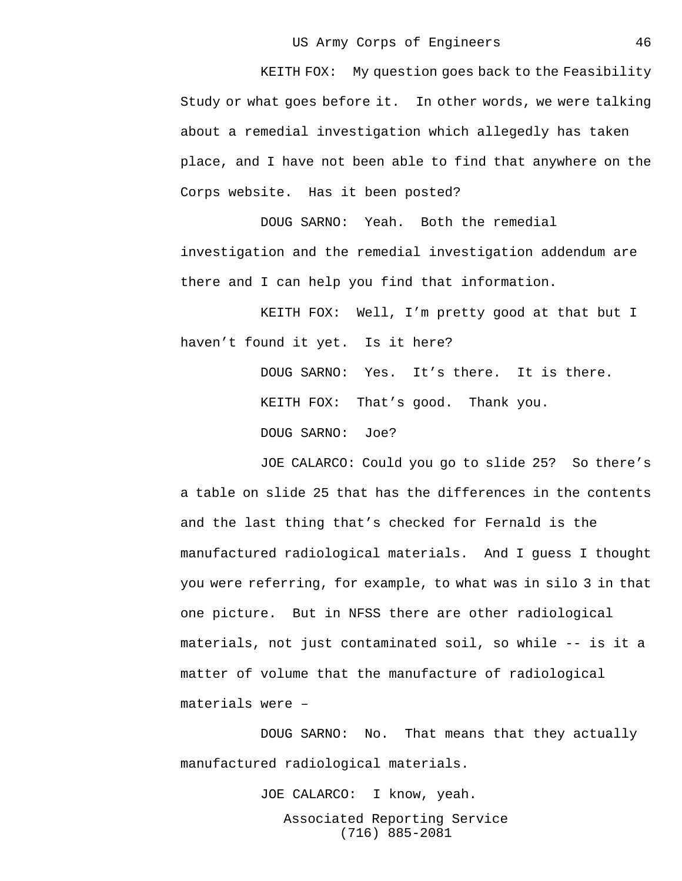KEITH FOX: My question goes back to the Feasibility Study or what goes before it. In other words, we were talking about a remedial investigation which allegedly has taken place, and I have not been able to find that anywhere on the Corps website. Has it been posted?

DOUG SARNO: Yeah. Both the remedial investigation and the remedial investigation addendum are there and I can help you find that information.

KEITH FOX: Well, I'm pretty good at that but I haven't found it yet. Is it here?

> DOUG SARNO: Yes. It's there. It is there. KEITH FOX: That's good. Thank you. DOUG SARNO: Joe?

JOE CALARCO: Could you go to slide 25? So there's a table on slide 25 that has the differences in the contents and the last thing that's checked for Fernald is the manufactured radiological materials. And I guess I thought you were referring, for example, to what was in silo 3 in that one picture. But in NFSS there are other radiological materials, not just contaminated soil, so while -- is it a matter of volume that the manufacture of radiological materials were –

DOUG SARNO: No. That means that they actually manufactured radiological materials.

> Associated Reporting Service (716) 885-2081 JOE CALARCO: I know, yeah.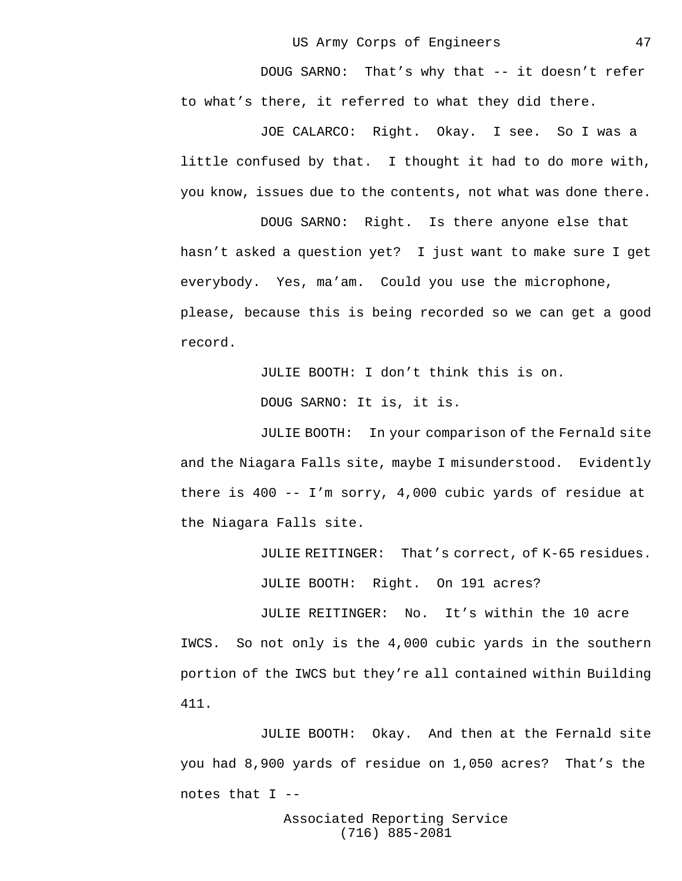DOUG SARNO: That's why that -- it doesn't refer to what's there, it referred to what they did there.

JOE CALARCO: Right. Okay. I see. So I was a little confused by that. I thought it had to do more with, you know, issues due to the contents, not what was done there.

DOUG SARNO: Right. Is there anyone else that hasn't asked a question yet? I just want to make sure I get everybody. Yes, ma'am. Could you use the microphone, please, because this is being recorded so we can get a good record.

JULIE BOOTH: I don't think this is on.

DOUG SARNO: It is, it is.

JULIE BOOTH: In your comparison of the Fernald site and the Niagara Falls site, maybe I misunderstood. Evidently there is 400 -- I'm sorry, 4,000 cubic yards of residue at the Niagara Falls site.

JULIE REITINGER: That's correct, of K-65 residues.

JULIE BOOTH: Right. On 191 acres?

JULIE REITINGER: No. It's within the 10 acre IWCS. So not only is the 4,000 cubic yards in the southern portion of the IWCS but they're all contained within Building 411.

JULIE BOOTH: Okay. And then at the Fernald site you had 8,900 yards of residue on 1,050 acres? That's the notes that I --

> Associated Reporting Service (716) 885-2081

47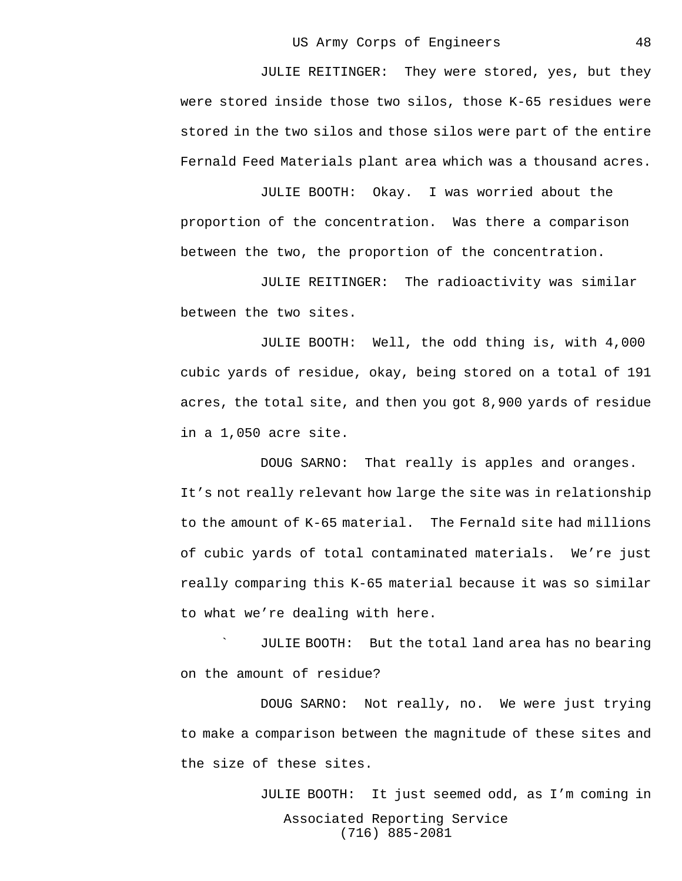JULIE REITINGER: They were stored, yes, but they were stored inside those two silos, those K-65 residues were stored in the two silos and those silos were part of the entire Fernald Feed Materials plant area which was a thousand acres.

JULIE BOOTH: Okay. I was worried about the proportion of the concentration. Was there a comparison between the two, the proportion of the concentration.

JULIE REITINGER: The radioactivity was similar between the two sites.

JULIE BOOTH: Well, the odd thing is, with 4,000 cubic yards of residue, okay, being stored on a total of 191 acres, the total site, and then you got 8,900 yards of residue in a 1,050 acre site.

DOUG SARNO: That really is apples and oranges. It's not really relevant how large the site was in relationship to the amount of K-65 material. The Fernald site had millions of cubic yards of total contaminated materials. We're just really comparing this K-65 material because it was so similar to what we're dealing with here.

` JULIE BOOTH: But the total land area has no bearing on the amount of residue?

DOUG SARNO: Not really, no. We were just trying to make a comparison between the magnitude of these sites and the size of these sites.

> Associated Reporting Service (716) 885-2081 JULIE BOOTH: It just seemed odd, as I'm coming in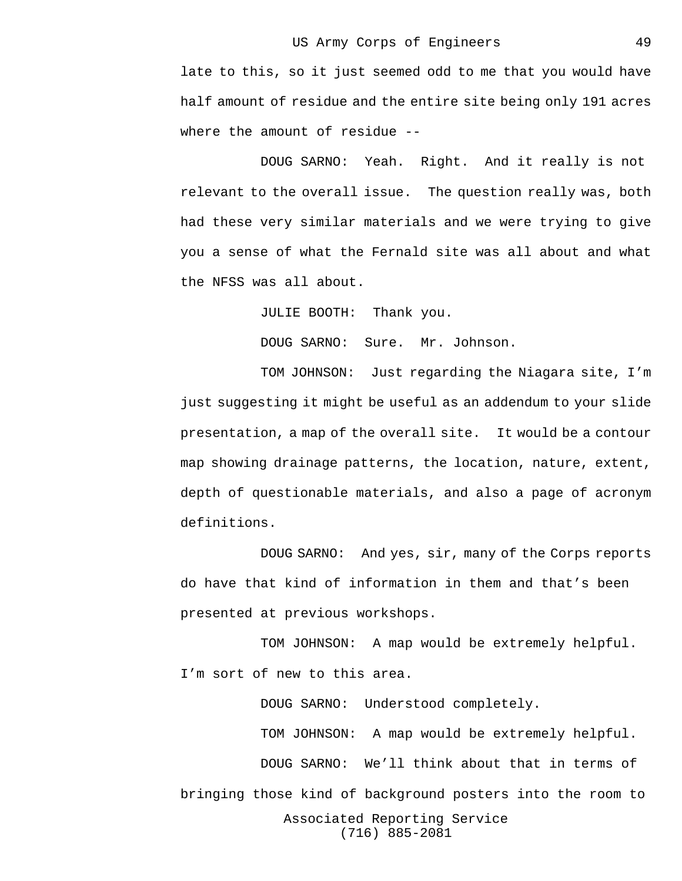late to this, so it just seemed odd to me that you would have half amount of residue and the entire site being only 191 acres where the amount of residue --

DOUG SARNO: Yeah. Right. And it really is not relevant to the overall issue. The question really was, both had these very similar materials and we were trying to give you a sense of what the Fernald site was all about and what the NFSS was all about.

JULIE BOOTH: Thank you.

DOUG SARNO: Sure. Mr. Johnson.

TOM JOHNSON: Just regarding the Niagara site, I'm just suggesting it might be useful as an addendum to your slide presentation, a map of the overall site. It would be a contour map showing drainage patterns, the location, nature, extent, depth of questionable materials, and also a page of acronym definitions.

DOUG SARNO: And yes, sir, many of the Corps reports do have that kind of information in them and that's been presented at previous workshops.

TOM JOHNSON: A map would be extremely helpful. I'm sort of new to this area.

Associated Reporting Service (716) 885-2081 DOUG SARNO: Understood completely. TOM JOHNSON: A map would be extremely helpful. DOUG SARNO: We'll think about that in terms of bringing those kind of background posters into the room to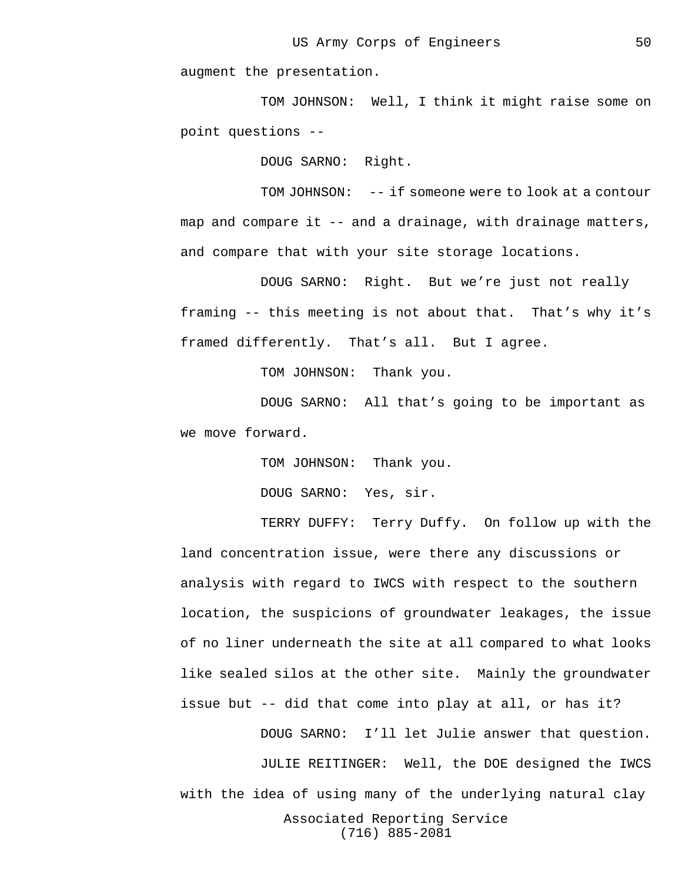augment the presentation.

TOM JOHNSON: Well, I think it might raise some on point questions --

DOUG SARNO: Right.

TOM JOHNSON: -- if someone were to look at a contour map and compare it -- and a drainage, with drainage matters, and compare that with your site storage locations.

DOUG SARNO: Right. But we're just not really framing -- this meeting is not about that. That's why it's framed differently. That's all. But I agree.

TOM JOHNSON: Thank you.

DOUG SARNO: All that's going to be important as we move forward.

> TOM JOHNSON: Thank you. DOUG SARNO: Yes, sir.

TERRY DUFFY: Terry Duffy. On follow up with the land concentration issue, were there any discussions or analysis with regard to IWCS with respect to the southern location, the suspicions of groundwater leakages, the issue of no liner underneath the site at all compared to what looks like sealed silos at the other site. Mainly the groundwater issue but -- did that come into play at all, or has it?

Associated Reporting Service (716) 885-2081 DOUG SARNO: I'll let Julie answer that question. JULIE REITINGER: Well, the DOE designed the IWCS with the idea of using many of the underlying natural clay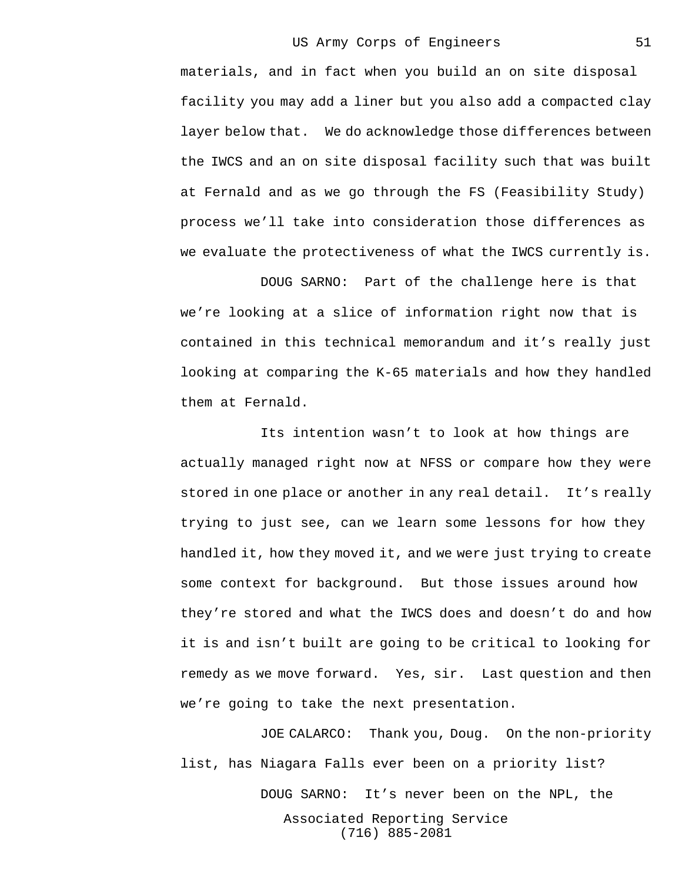materials, and in fact when you build an on site disposal facility you may add a liner but you also add a compacted clay layer below that. We do acknowledge those differences between the IWCS and an on site disposal facility such that was built at Fernald and as we go through the FS (Feasibility Study) process we'll take into consideration those differences as we evaluate the protectiveness of what the IWCS currently is.

DOUG SARNO: Part of the challenge here is that we're looking at a slice of information right now that is contained in this technical memorandum and it's really just looking at comparing the K-65 materials and how they handled them at Fernald.

Its intention wasn't to look at how things are actually managed right now at NFSS or compare how they were stored in one place or another in any real detail. It's really trying to just see, can we learn some lessons for how they handled it, how they moved it, and we were just trying to create some context for background. But those issues around how they're stored and what the IWCS does and doesn't do and how it is and isn't built are going to be critical to looking for remedy as we move forward. Yes, sir. Last question and then we're going to take the next presentation.

Associated Reporting Service (716) 885-2081 JOE CALARCO: Thank you, Doug. On the non-priority list, has Niagara Falls ever been on a priority list? DOUG SARNO: It's never been on the NPL, the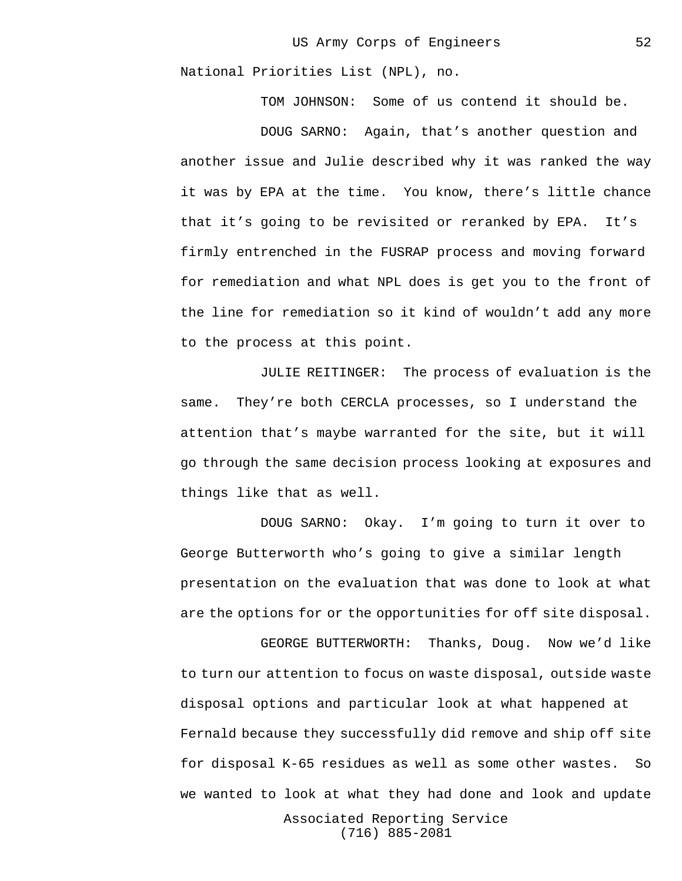National Priorities List (NPL), no.

TOM JOHNSON: Some of us contend it should be.

DOUG SARNO: Again, that's another question and another issue and Julie described why it was ranked the way it was by EPA at the time. You know, there's little chance that it's going to be revisited or reranked by EPA. It's firmly entrenched in the FUSRAP process and moving forward for remediation and what NPL does is get you to the front of the line for remediation so it kind of wouldn't add any more to the process at this point.

JULIE REITINGER: The process of evaluation is the same. They're both CERCLA processes, so I understand the attention that's maybe warranted for the site, but it will go through the same decision process looking at exposures and things like that as well.

DOUG SARNO: Okay. I'm going to turn it over to George Butterworth who's going to give a similar length presentation on the evaluation that was done to look at what are the options for or the opportunities for off site disposal.

GEORGE BUTTERWORTH: Thanks, Doug. Now we'd like to turn our attention to focus on waste disposal, outside waste disposal options and particular look at what happened at Fernald because they successfully did remove and ship off site for disposal K-65 residues as well as some other wastes. So we wanted to look at what they had done and look and update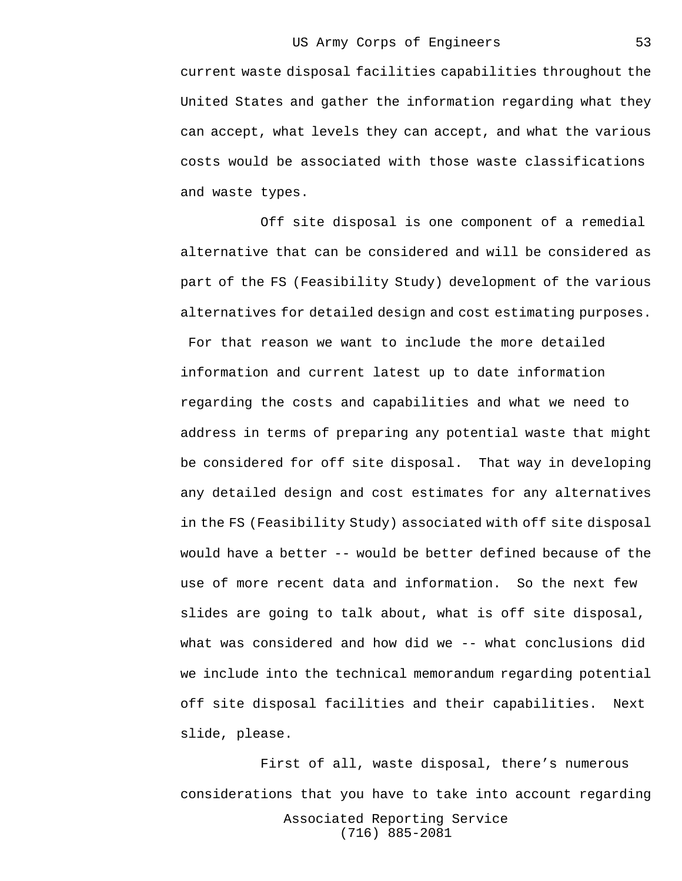current waste disposal facilities capabilities throughout the United States and gather the information regarding what they can accept, what levels they can accept, and what the various costs would be associated with those waste classifications and waste types.

Off site disposal is one component of a remedial alternative that can be considered and will be considered as part of the FS (Feasibility Study) development of the various alternatives for detailed design and cost estimating purposes.

 For that reason we want to include the more detailed information and current latest up to date information regarding the costs and capabilities and what we need to address in terms of preparing any potential waste that might be considered for off site disposal. That way in developing any detailed design and cost estimates for any alternatives in the FS (Feasibility Study) associated with off site disposal would have a better -- would be better defined because of the use of more recent data and information. So the next few slides are going to talk about, what is off site disposal, what was considered and how did we -- what conclusions did we include into the technical memorandum regarding potential off site disposal facilities and their capabilities. Next slide, please.

Associated Reporting Service (716) 885-2081 First of all, waste disposal, there's numerous considerations that you have to take into account regarding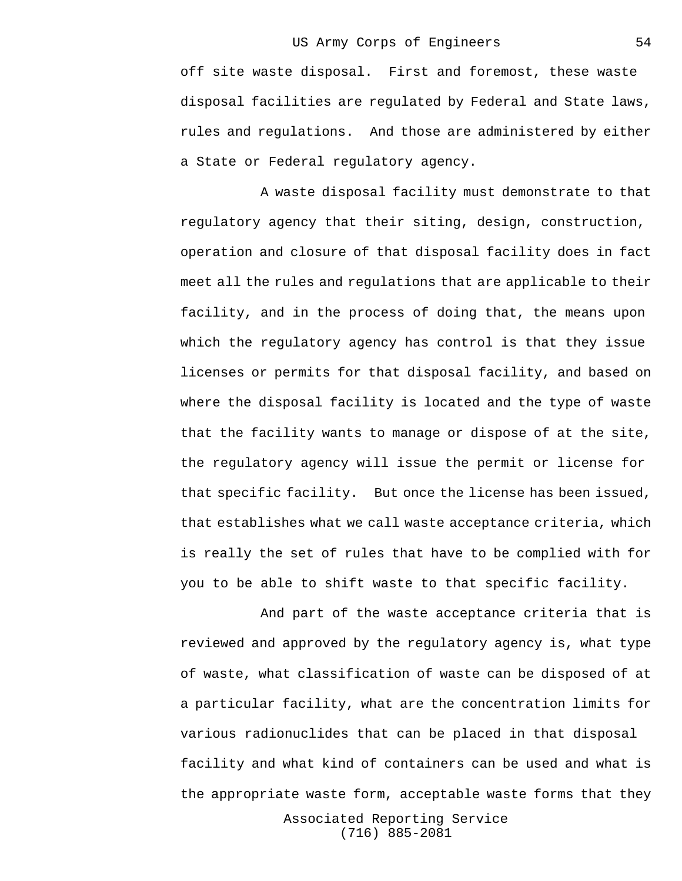off site waste disposal. First and foremost, these waste disposal facilities are regulated by Federal and State laws, rules and regulations. And those are administered by either a State or Federal regulatory agency.

A waste disposal facility must demonstrate to that regulatory agency that their siting, design, construction, operation and closure of that disposal facility does in fact meet all the rules and regulations that are applicable to their facility, and in the process of doing that, the means upon which the regulatory agency has control is that they issue licenses or permits for that disposal facility, and based on where the disposal facility is located and the type of waste that the facility wants to manage or dispose of at the site, the regulatory agency will issue the permit or license for that specific facility. But once the license has been issued, that establishes what we call waste acceptance criteria, which is really the set of rules that have to be complied with for you to be able to shift waste to that specific facility.

And part of the waste acceptance criteria that is reviewed and approved by the regulatory agency is, what type of waste, what classification of waste can be disposed of at a particular facility, what are the concentration limits for various radionuclides that can be placed in that disposal facility and what kind of containers can be used and what is the appropriate waste form, acceptable waste forms that they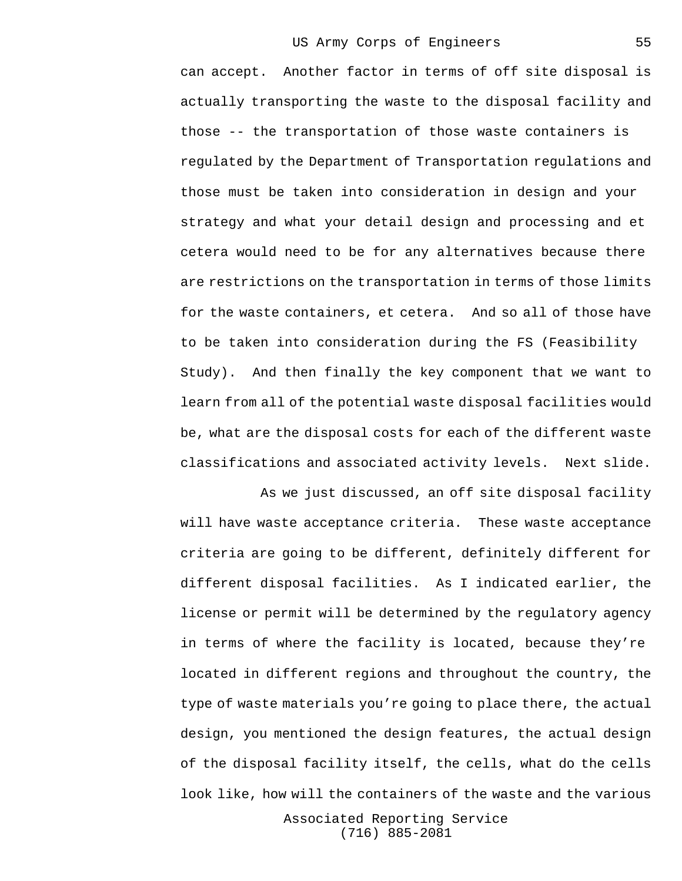can accept. Another factor in terms of off site disposal is actually transporting the waste to the disposal facility and those -- the transportation of those waste containers is regulated by the Department of Transportation regulations and those must be taken into consideration in design and your strategy and what your detail design and processing and et cetera would need to be for any alternatives because there are restrictions on the transportation in terms of those limits for the waste containers, et cetera. And so all of those have to be taken into consideration during the FS (Feasibility Study). And then finally the key component that we want to learn from all of the potential waste disposal facilities would be, what are the disposal costs for each of the different waste classifications and associated activity levels. Next slide.

As we just discussed, an off site disposal facility will have waste acceptance criteria. These waste acceptance criteria are going to be different, definitely different for different disposal facilities. As I indicated earlier, the license or permit will be determined by the regulatory agency in terms of where the facility is located, because they're located in different regions and throughout the country, the type of waste materials you're going to place there, the actual design, you mentioned the design features, the actual design of the disposal facility itself, the cells, what do the cells look like, how will the containers of the waste and the various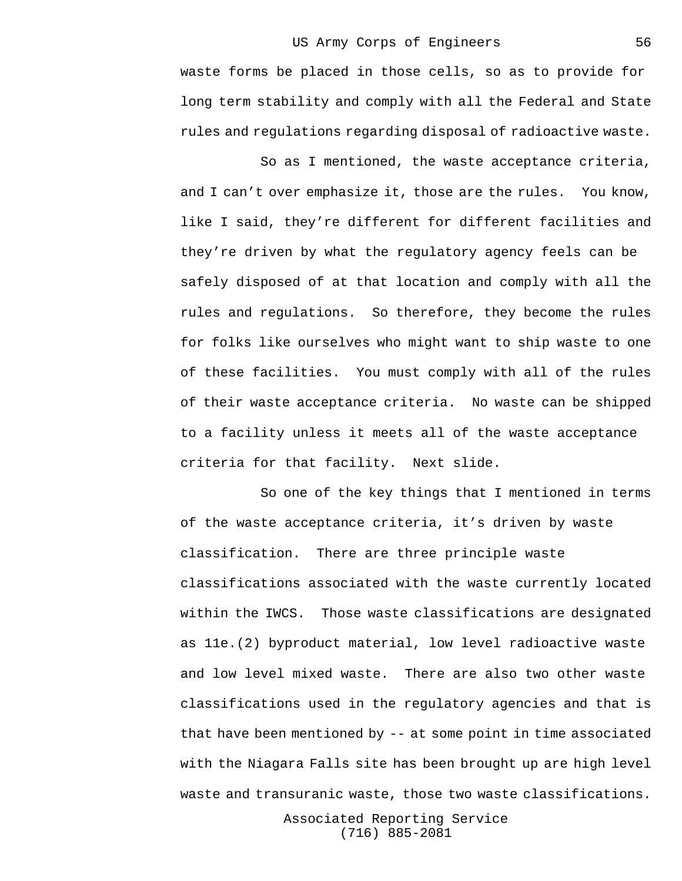waste forms be placed in those cells, so as to provide for long term stability and comply with all the Federal and State rules and regulations regarding disposal of radioactive waste.

So as I mentioned, the waste acceptance criteria, and I can't over emphasize it, those are the rules. You know, like I said, they're different for different facilities and they're driven by what the regulatory agency feels can be safely disposed of at that location and comply with all the rules and regulations. So therefore, they become the rules for folks like ourselves who might want to ship waste to one of these facilities. You must comply with all of the rules of their waste acceptance criteria. No waste can be shipped to a facility unless it meets all of the waste acceptance criteria for that facility. Next slide.

So one of the key things that I mentioned in terms of the waste acceptance criteria, it's driven by waste classification. There are three principle waste classifications associated with the waste currently located within the IWCS. Those waste classifications are designated as 11e.(2) byproduct material, low level radioactive waste and low level mixed waste. There are also two other waste classifications used in the regulatory agencies and that is that have been mentioned by -- at some point in time associated with the Niagara Falls site has been brought up are high level waste and transuranic waste, those two waste classifications.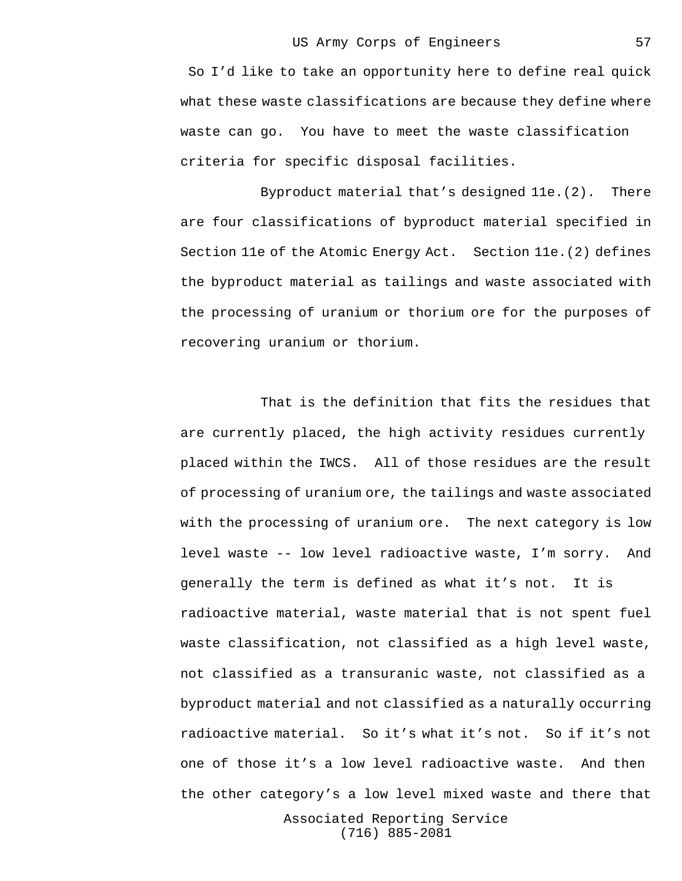So I'd like to take an opportunity here to define real quick what these waste classifications are because they define where waste can go. You have to meet the waste classification criteria for specific disposal facilities.

Byproduct material that's designed 11e.(2). There are four classifications of byproduct material specified in Section 11e of the Atomic Energy Act. Section 11e.(2) defines the byproduct material as tailings and waste associated with the processing of uranium or thorium ore for the purposes of recovering uranium or thorium.

That is the definition that fits the residues that are currently placed, the high activity residues currently placed within the IWCS. All of those residues are the result of processing of uranium ore, the tailings and waste associated with the processing of uranium ore. The next category is low level waste -- low level radioactive waste, I'm sorry. And generally the term is defined as what it's not. It is radioactive material, waste material that is not spent fuel waste classification, not classified as a high level waste, not classified as a transuranic waste, not classified as a byproduct material and not classified as a naturally occurring radioactive material. So it's what it's not. So if it's not one of those it's a low level radioactive waste. And then the other category's a low level mixed waste and there that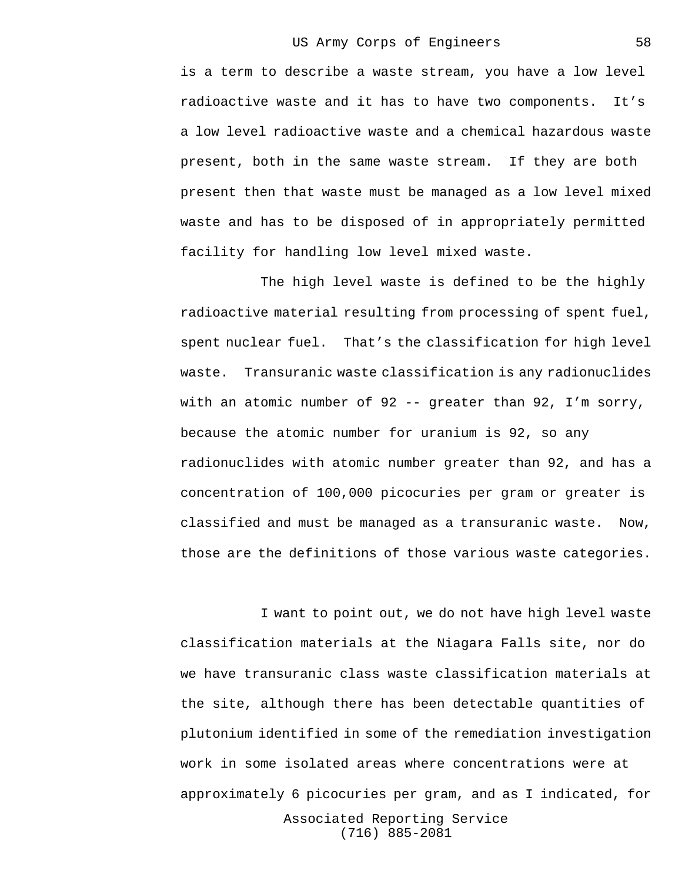is a term to describe a waste stream, you have a low level radioactive waste and it has to have two components. It's a low level radioactive waste and a chemical hazardous waste present, both in the same waste stream. If they are both present then that waste must be managed as a low level mixed waste and has to be disposed of in appropriately permitted facility for handling low level mixed waste.

The high level waste is defined to be the highly radioactive material resulting from processing of spent fuel, spent nuclear fuel. That's the classification for high level waste. Transuranic waste classification is any radionuclides with an atomic number of 92 -- greater than 92, I'm sorry, because the atomic number for uranium is 92, so any radionuclides with atomic number greater than 92, and has a concentration of 100,000 picocuries per gram or greater is classified and must be managed as a transuranic waste. Now, those are the definitions of those various waste categories.

Associated Reporting Service I want to point out, we do not have high level waste classification materials at the Niagara Falls site, nor do we have transuranic class waste classification materials at the site, although there has been detectable quantities of plutonium identified in some of the remediation investigation work in some isolated areas where concentrations were at approximately 6 picocuries per gram, and as I indicated, for

(716) 885-2081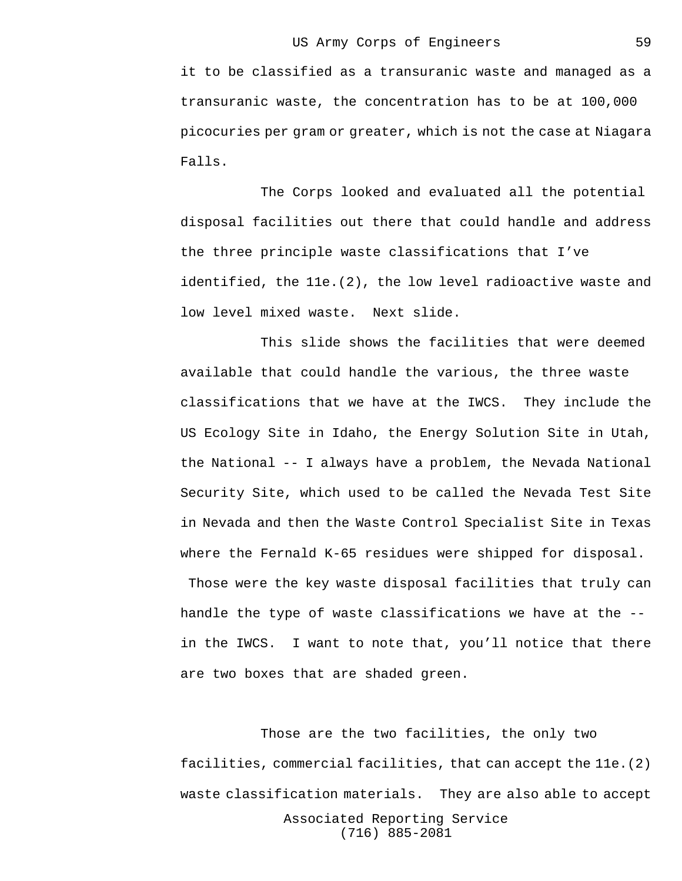it to be classified as a transuranic waste and managed as a transuranic waste, the concentration has to be at 100,000 picocuries per gram or greater, which is not the case at Niagara Falls.

The Corps looked and evaluated all the potential disposal facilities out there that could handle and address the three principle waste classifications that I've identified, the 11e.(2), the low level radioactive waste and low level mixed waste. Next slide.

This slide shows the facilities that were deemed available that could handle the various, the three waste classifications that we have at the IWCS. They include the US Ecology Site in Idaho, the Energy Solution Site in Utah, the National -- I always have a problem, the Nevada National Security Site, which used to be called the Nevada Test Site in Nevada and then the Waste Control Specialist Site in Texas where the Fernald K-65 residues were shipped for disposal.

 Those were the key waste disposal facilities that truly can handle the type of waste classifications we have at the - in the IWCS. I want to note that, you'll notice that there are two boxes that are shaded green.

Associated Reporting Service (716) 885-2081 Those are the two facilities, the only two facilities, commercial facilities, that can accept the 11e.(2) waste classification materials. They are also able to accept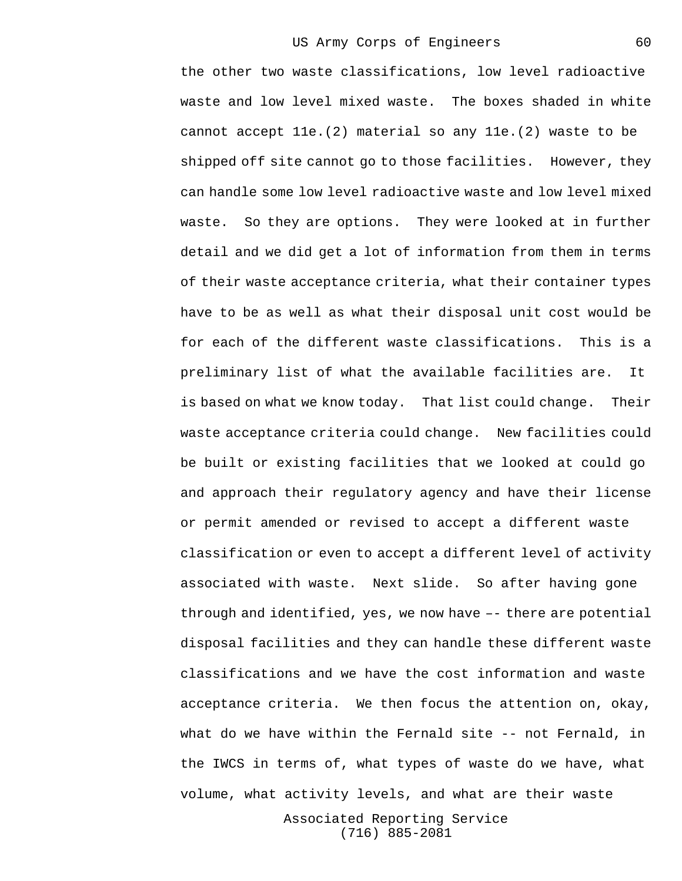the other two waste classifications, low level radioactive waste and low level mixed waste. The boxes shaded in white cannot accept 11e.(2) material so any 11e.(2) waste to be shipped off site cannot go to those facilities. However, they can handle some low level radioactive waste and low level mixed waste. So they are options. They were looked at in further detail and we did get a lot of information from them in terms of their waste acceptance criteria, what their container types have to be as well as what their disposal unit cost would be for each of the different waste classifications. This is a preliminary list of what the available facilities are. It is based on what we know today. That list could change. Their waste acceptance criteria could change. New facilities could be built or existing facilities that we looked at could go and approach their regulatory agency and have their license or permit amended or revised to accept a different waste classification or even to accept a different level of activity associated with waste. Next slide. So after having gone through and identified, yes, we now have –- there are potential disposal facilities and they can handle these different waste classifications and we have the cost information and waste acceptance criteria. We then focus the attention on, okay, what do we have within the Fernald site -- not Fernald, in the IWCS in terms of, what types of waste do we have, what volume, what activity levels, and what are their waste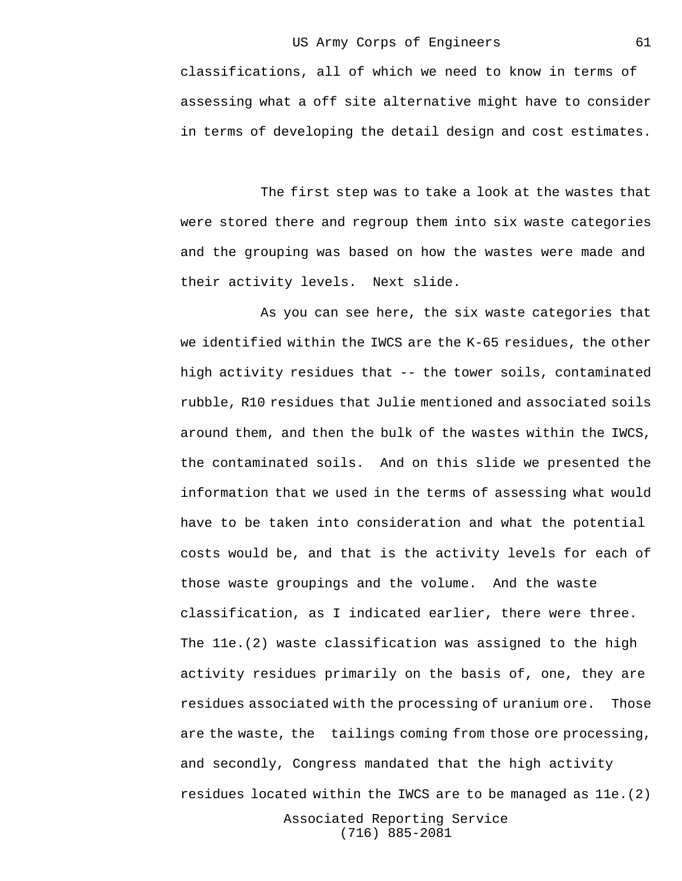classifications, all of which we need to know in terms of assessing what a off site alternative might have to consider in terms of developing the detail design and cost estimates.

The first step was to take a look at the wastes that were stored there and regroup them into six waste categories and the grouping was based on how the wastes were made and their activity levels. Next slide.

As you can see here, the six waste categories that we identified within the IWCS are the K-65 residues, the other high activity residues that -- the tower soils, contaminated rubble, R10 residues that Julie mentioned and associated soils around them, and then the bulk of the wastes within the IWCS, the contaminated soils. And on this slide we presented the information that we used in the terms of assessing what would have to be taken into consideration and what the potential costs would be, and that is the activity levels for each of those waste groupings and the volume. And the waste classification, as I indicated earlier, there were three. The 11e.(2) waste classification was assigned to the high activity residues primarily on the basis of, one, they are residues associated with the processing of uranium ore. Those are the waste, the tailings coming from those ore processing, and secondly, Congress mandated that the high activity residues located within the IWCS are to be managed as 11e.(2)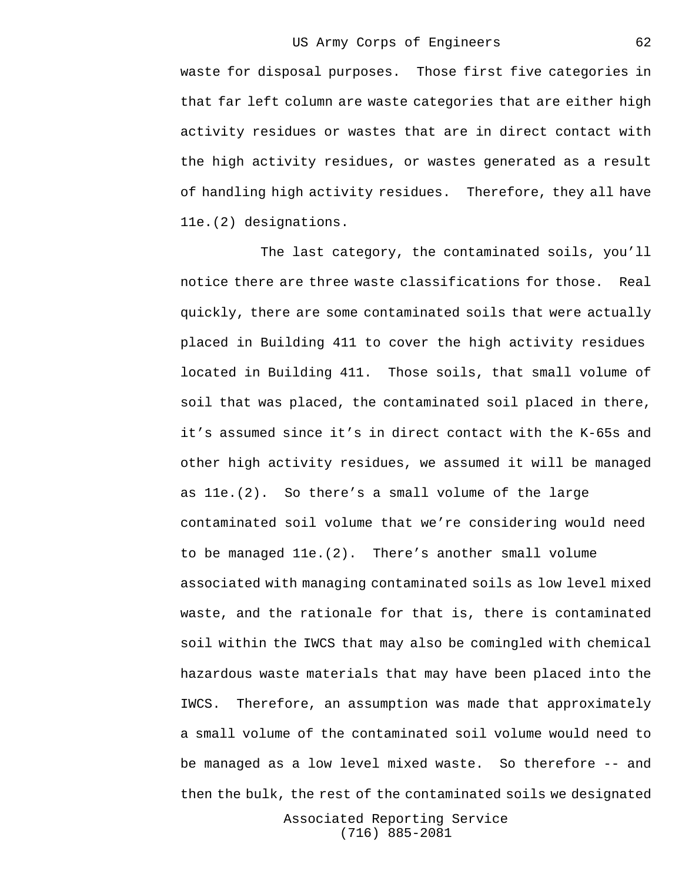62

waste for disposal purposes. Those first five categories in that far left column are waste categories that are either high activity residues or wastes that are in direct contact with the high activity residues, or wastes generated as a result of handling high activity residues. Therefore, they all have 11e.(2) designations.

The last category, the contaminated soils, you'll notice there are three waste classifications for those. Real quickly, there are some contaminated soils that were actually placed in Building 411 to cover the high activity residues located in Building 411. Those soils, that small volume of soil that was placed, the contaminated soil placed in there, it's assumed since it's in direct contact with the K-65s and other high activity residues, we assumed it will be managed as 11e.(2). So there's a small volume of the large contaminated soil volume that we're considering would need to be managed 11e.(2). There's another small volume associated with managing contaminated soils as low level mixed waste, and the rationale for that is, there is contaminated soil within the IWCS that may also be comingled with chemical hazardous waste materials that may have been placed into the IWCS. Therefore, an assumption was made that approximately a small volume of the contaminated soil volume would need to be managed as a low level mixed waste. So therefore -- and then the bulk, the rest of the contaminated soils we designated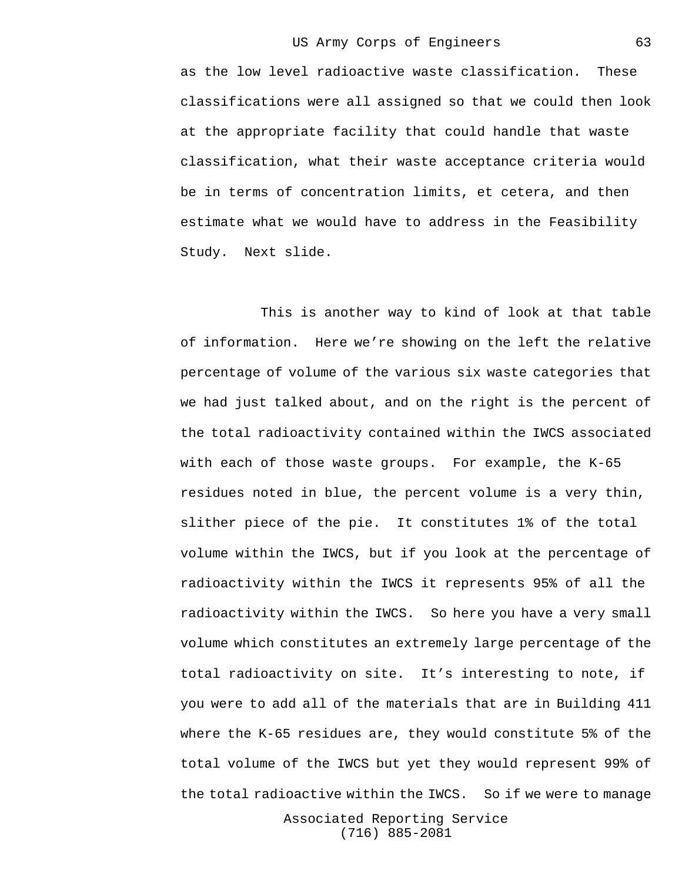as the low level radioactive waste classification. These classifications were all assigned so that we could then look at the appropriate facility that could handle that waste classification, what their waste acceptance criteria would be in terms of concentration limits, et cetera, and then estimate what we would have to address in the Feasibility Study. Next slide.

This is another way to kind of look at that table of information. Here we're showing on the left the relative percentage of volume of the various six waste categories that we had just talked about, and on the right is the percent of the total radioactivity contained within the IWCS associated with each of those waste groups. For example, the K-65 residues noted in blue, the percent volume is a very thin, slither piece of the pie. It constitutes 1% of the total volume within the IWCS, but if you look at the percentage of radioactivity within the IWCS it represents 95% of all the radioactivity within the IWCS. So here you have a very small volume which constitutes an extremely large percentage of the total radioactivity on site. It's interesting to note, if you were to add all of the materials that are in Building 411 where the K-65 residues are, they would constitute 5% of the total volume of the IWCS but yet they would represent 99% of the total radioactive within the IWCS. So if we were to manage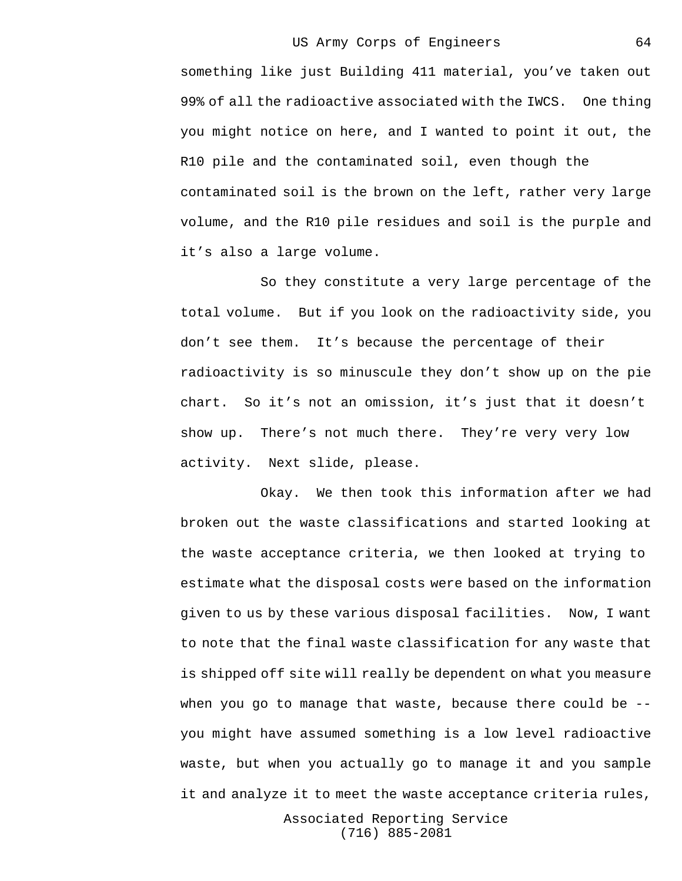64

something like just Building 411 material, you've taken out 99% of all the radioactive associated with the IWCS. One thing you might notice on here, and I wanted to point it out, the R10 pile and the contaminated soil, even though the contaminated soil is the brown on the left, rather very large volume, and the R10 pile residues and soil is the purple and it's also a large volume.

So they constitute a very large percentage of the total volume. But if you look on the radioactivity side, you don't see them. It's because the percentage of their radioactivity is so minuscule they don't show up on the pie chart. So it's not an omission, it's just that it doesn't show up. There's not much there. They're very very low activity. Next slide, please.

Okay. We then took this information after we had broken out the waste classifications and started looking at the waste acceptance criteria, we then looked at trying to estimate what the disposal costs were based on the information given to us by these various disposal facilities. Now, I want to note that the final waste classification for any waste that is shipped off site will really be dependent on what you measure when you go to manage that waste, because there could be - you might have assumed something is a low level radioactive waste, but when you actually go to manage it and you sample it and analyze it to meet the waste acceptance criteria rules,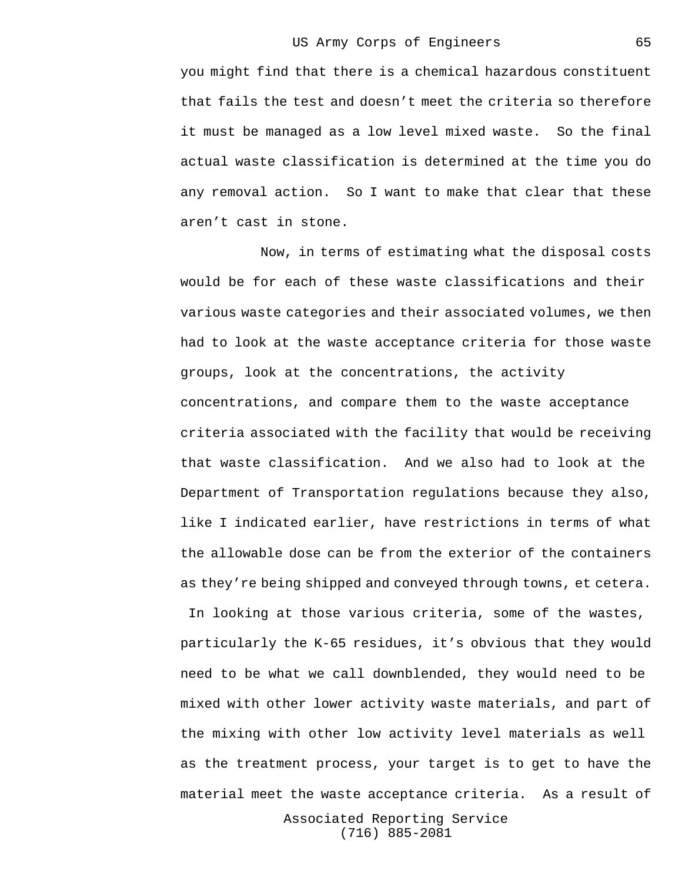65

you might find that there is a chemical hazardous constituent that fails the test and doesn't meet the criteria so therefore it must be managed as a low level mixed waste. So the final actual waste classification is determined at the time you do any removal action. So I want to make that clear that these aren't cast in stone.

Now, in terms of estimating what the disposal costs would be for each of these waste classifications and their various waste categories and their associated volumes, we then had to look at the waste acceptance criteria for those waste groups, look at the concentrations, the activity concentrations, and compare them to the waste acceptance criteria associated with the facility that would be receiving that waste classification. And we also had to look at the Department of Transportation regulations because they also, like I indicated earlier, have restrictions in terms of what the allowable dose can be from the exterior of the containers as they're being shipped and conveyed through towns, et cetera.

 In looking at those various criteria, some of the wastes, particularly the K-65 residues, it's obvious that they would need to be what we call downblended, they would need to be mixed with other lower activity waste materials, and part of the mixing with other low activity level materials as well as the treatment process, your target is to get to have the material meet the waste acceptance criteria. As a result of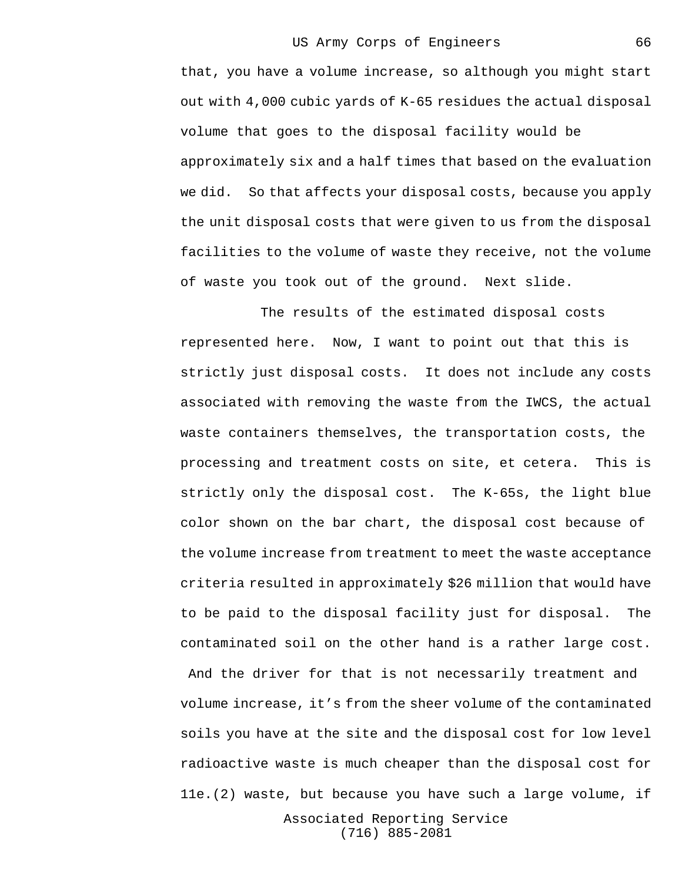that, you have a volume increase, so although you might start out with 4,000 cubic yards of K-65 residues the actual disposal volume that goes to the disposal facility would be approximately six and a half times that based on the evaluation we did. So that affects your disposal costs, because you apply the unit disposal costs that were given to us from the disposal facilities to the volume of waste they receive, not the volume of waste you took out of the ground. Next slide.

The results of the estimated disposal costs represented here. Now, I want to point out that this is strictly just disposal costs. It does not include any costs associated with removing the waste from the IWCS, the actual waste containers themselves, the transportation costs, the processing and treatment costs on site, et cetera. This is strictly only the disposal cost. The K-65s, the light blue color shown on the bar chart, the disposal cost because of the volume increase from treatment to meet the waste acceptance criteria resulted in approximately \$26 million that would have to be paid to the disposal facility just for disposal. The contaminated soil on the other hand is a rather large cost. And the driver for that is not necessarily treatment and volume increase, it's from the sheer volume of the contaminated soils you have at the site and the disposal cost for low level radioactive waste is much cheaper than the disposal cost for 11e.(2) waste, but because you have such a large volume, if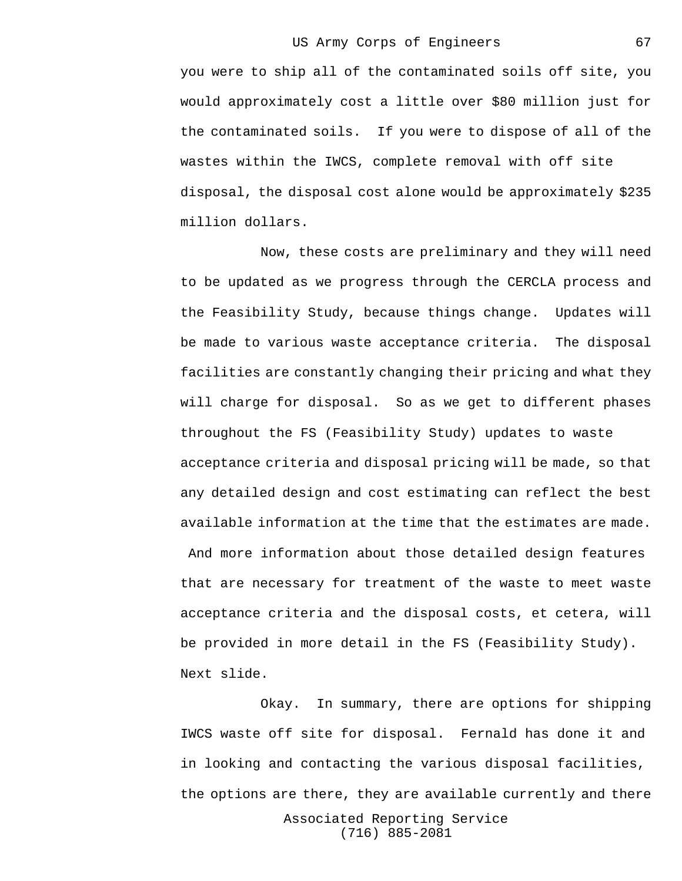you were to ship all of the contaminated soils off site, you would approximately cost a little over \$80 million just for the contaminated soils. If you were to dispose of all of the wastes within the IWCS, complete removal with off site disposal, the disposal cost alone would be approximately \$235 million dollars.

Now, these costs are preliminary and they will need to be updated as we progress through the CERCLA process and the Feasibility Study, because things change. Updates will be made to various waste acceptance criteria. The disposal facilities are constantly changing their pricing and what they will charge for disposal. So as we get to different phases throughout the FS (Feasibility Study) updates to waste acceptance criteria and disposal pricing will be made, so that any detailed design and cost estimating can reflect the best available information at the time that the estimates are made.

 And more information about those detailed design features that are necessary for treatment of the waste to meet waste acceptance criteria and the disposal costs, et cetera, will be provided in more detail in the FS (Feasibility Study). Next slide.

Okay. In summary, there are options for shipping IWCS waste off site for disposal. Fernald has done it and in looking and contacting the various disposal facilities, the options are there, they are available currently and there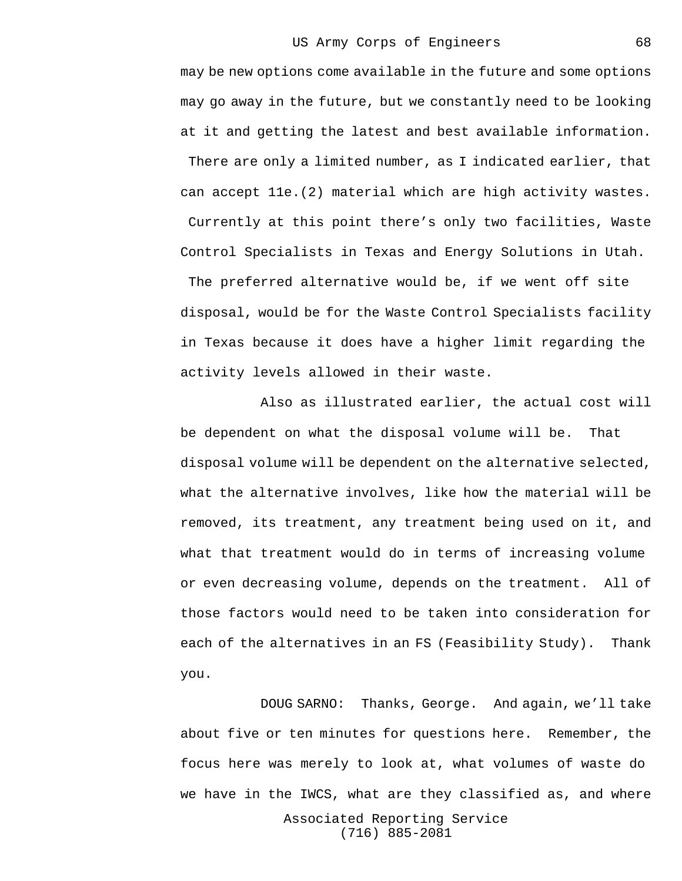may be new options come available in the future and some options may go away in the future, but we constantly need to be looking at it and getting the latest and best available information. There are only a limited number, as I indicated earlier, that can accept 11e.(2) material which are high activity wastes. Currently at this point there's only two facilities, Waste Control Specialists in Texas and Energy Solutions in Utah. The preferred alternative would be, if we went off site disposal, would be for the Waste Control Specialists facility in Texas because it does have a higher limit regarding the activity levels allowed in their waste.

Also as illustrated earlier, the actual cost will be dependent on what the disposal volume will be. That disposal volume will be dependent on the alternative selected, what the alternative involves, like how the material will be removed, its treatment, any treatment being used on it, and what that treatment would do in terms of increasing volume or even decreasing volume, depends on the treatment. All of those factors would need to be taken into consideration for each of the alternatives in an FS (Feasibility Study). Thank you.

Associated Reporting Service DOUG SARNO: Thanks, George. And again, we'll take about five or ten minutes for questions here. Remember, the focus here was merely to look at, what volumes of waste do we have in the IWCS, what are they classified as, and where

(716) 885-2081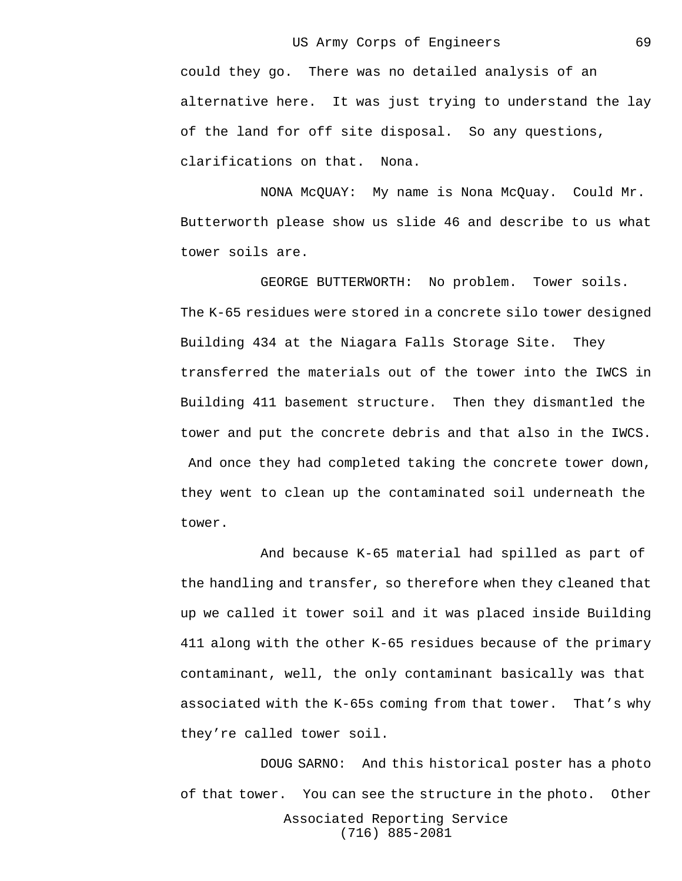could they go. There was no detailed analysis of an alternative here. It was just trying to understand the lay of the land for off site disposal. So any questions, clarifications on that. Nona.

NONA McQUAY: My name is Nona McQuay. Could Mr. Butterworth please show us slide 46 and describe to us what tower soils are.

GEORGE BUTTERWORTH: No problem. Tower soils. The K-65 residues were stored in a concrete silo tower designed Building 434 at the Niagara Falls Storage Site. They transferred the materials out of the tower into the IWCS in Building 411 basement structure. Then they dismantled the tower and put the concrete debris and that also in the IWCS. And once they had completed taking the concrete tower down, they went to clean up the contaminated soil underneath the tower.

And because K-65 material had spilled as part of the handling and transfer, so therefore when they cleaned that up we called it tower soil and it was placed inside Building 411 along with the other K-65 residues because of the primary contaminant, well, the only contaminant basically was that associated with the K-65s coming from that tower. That's why they're called tower soil.

Associated Reporting Service (716) 885-2081 DOUG SARNO: And this historical poster has a photo of that tower. You can see the structure in the photo. Other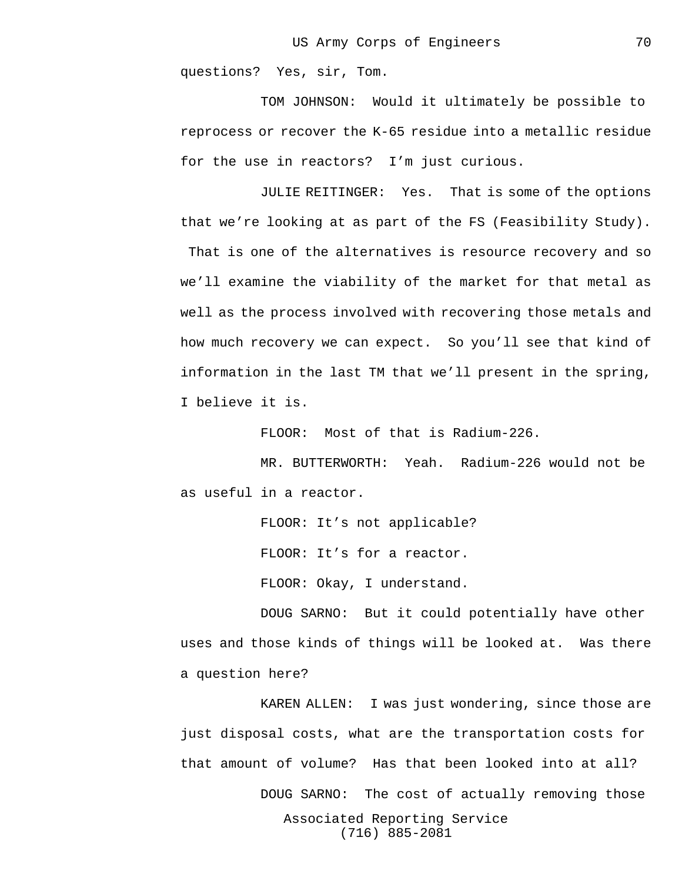questions? Yes, sir, Tom.

TOM JOHNSON: Would it ultimately be possible to reprocess or recover the K-65 residue into a metallic residue for the use in reactors? I'm just curious.

JULIE REITINGER: Yes. That is some of the options that we're looking at as part of the FS (Feasibility Study). That is one of the alternatives is resource recovery and so we'll examine the viability of the market for that metal as well as the process involved with recovering those metals and how much recovery we can expect. So you'll see that kind of information in the last TM that we'll present in the spring, I believe it is.

FLOOR: Most of that is Radium-226.

MR. BUTTERWORTH: Yeah. Radium-226 would not be as useful in a reactor.

> FLOOR: It's not applicable? FLOOR: It's for a reactor. FLOOR: Okay, I understand.

DOUG SARNO: But it could potentially have other uses and those kinds of things will be looked at. Was there a question here?

Associated Reporting Service (716) 885-2081 KAREN ALLEN: I was just wondering, since those are just disposal costs, what are the transportation costs for that amount of volume? Has that been looked into at all? DOUG SARNO: The cost of actually removing those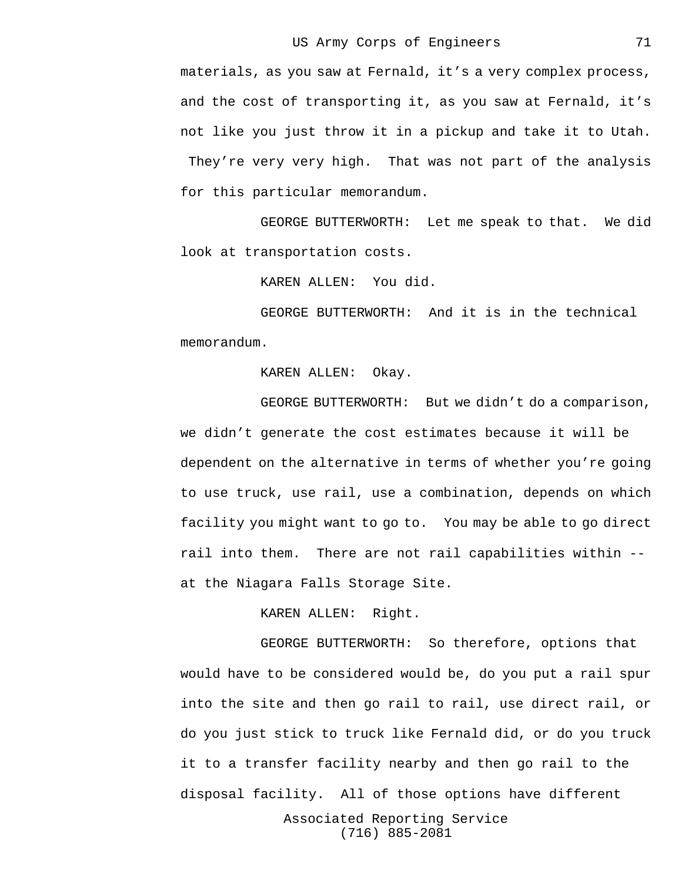materials, as you saw at Fernald, it's a very complex process, and the cost of transporting it, as you saw at Fernald, it's not like you just throw it in a pickup and take it to Utah. They're very very high. That was not part of the analysis for this particular memorandum.

GEORGE BUTTERWORTH: Let me speak to that. We did look at transportation costs.

KAREN ALLEN: You did.

GEORGE BUTTERWORTH: And it is in the technical memorandum.

KAREN ALLEN: Okay.

GEORGE BUTTERWORTH: But we didn't do a comparison, we didn't generate the cost estimates because it will be dependent on the alternative in terms of whether you're going to use truck, use rail, use a combination, depends on which facility you might want to go to. You may be able to go direct rail into them. There are not rail capabilities within - at the Niagara Falls Storage Site.

KAREN ALLEN: Right.

GEORGE BUTTERWORTH: So therefore, options that would have to be considered would be, do you put a rail spur into the site and then go rail to rail, use direct rail, or do you just stick to truck like Fernald did, or do you truck it to a transfer facility nearby and then go rail to the disposal facility. All of those options have different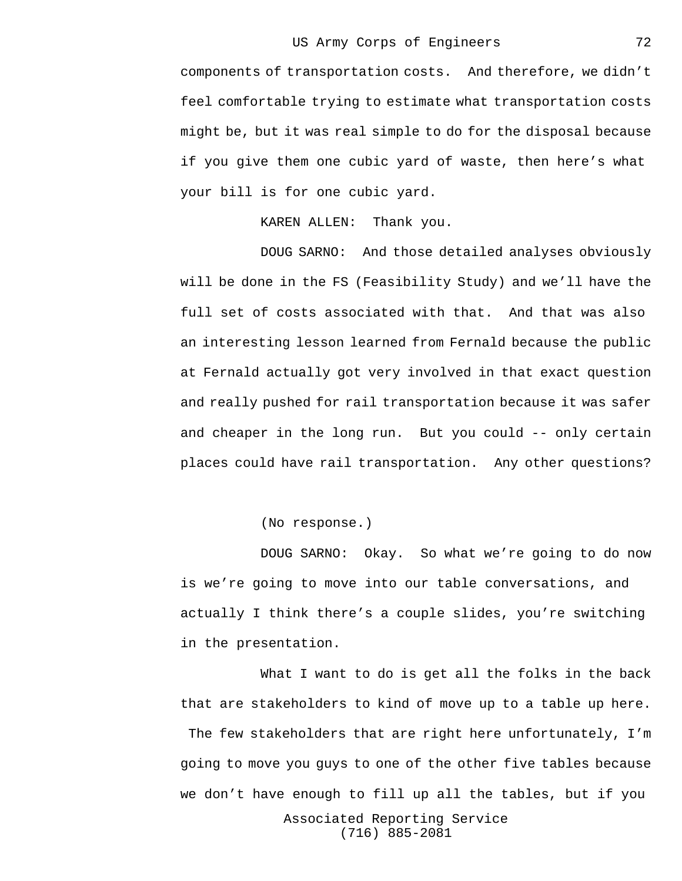components of transportation costs. And therefore, we didn't feel comfortable trying to estimate what transportation costs might be, but it was real simple to do for the disposal because if you give them one cubic yard of waste, then here's what your bill is for one cubic yard.

KAREN ALLEN: Thank you.

DOUG SARNO: And those detailed analyses obviously will be done in the FS (Feasibility Study) and we'll have the full set of costs associated with that. And that was also an interesting lesson learned from Fernald because the public at Fernald actually got very involved in that exact question and really pushed for rail transportation because it was safer and cheaper in the long run. But you could -- only certain places could have rail transportation. Any other questions?

(No response.)

DOUG SARNO: Okay. So what we're going to do now is we're going to move into our table conversations, and actually I think there's a couple slides, you're switching in the presentation.

What I want to do is get all the folks in the back that are stakeholders to kind of move up to a table up here. The few stakeholders that are right here unfortunately, I'm going to move you guys to one of the other five tables because we don't have enough to fill up all the tables, but if you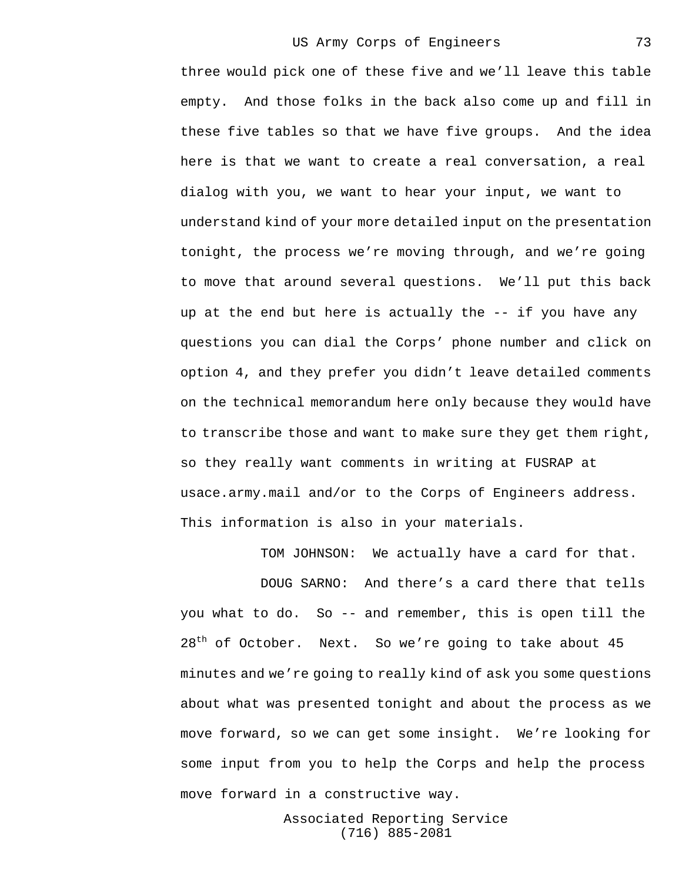three would pick one of these five and we'll leave this table empty. And those folks in the back also come up and fill in these five tables so that we have five groups. And the idea here is that we want to create a real conversation, a real dialog with you, we want to hear your input, we want to understand kind of your more detailed input on the presentation tonight, the process we're moving through, and we're going to move that around several questions. We'll put this back up at the end but here is actually the -- if you have any questions you can dial the Corps' phone number and click on option 4, and they prefer you didn't leave detailed comments on the technical memorandum here only because they would have to transcribe those and want to make sure they get them right, so they really want comments in writing at FUSRAP at usace.army.mail and/or to the Corps of Engineers address. This information is also in your materials.

TOM JOHNSON: We actually have a card for that.

DOUG SARNO: And there's a card there that tells you what to do. So -- and remember, this is open till the  $28<sup>th</sup>$  of October. Next. So we're going to take about 45 minutes and we're going to really kind of ask you some questions about what was presented tonight and about the process as we move forward, so we can get some insight. We're looking for some input from you to help the Corps and help the process move forward in a constructive way.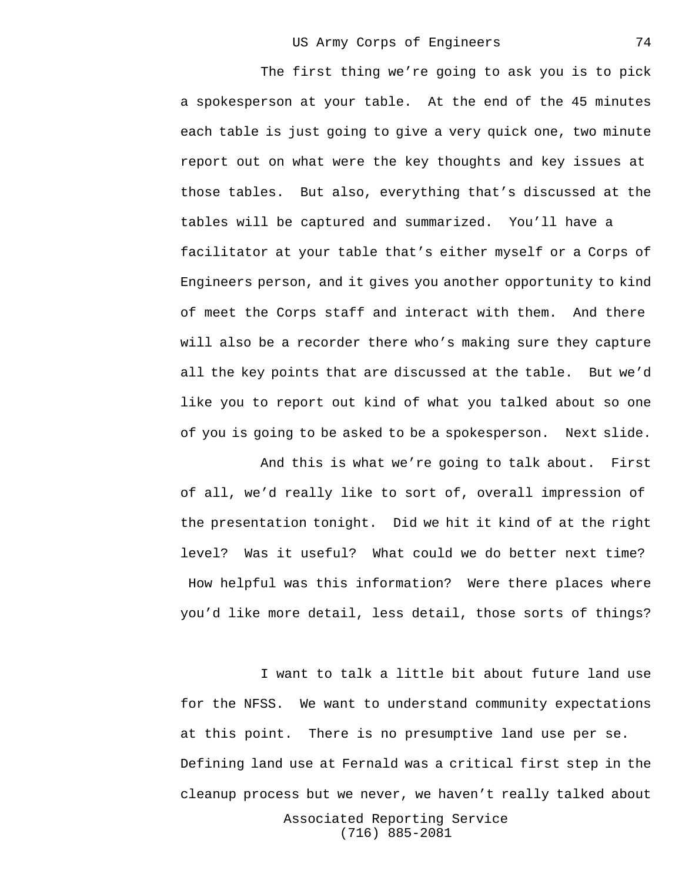The first thing we're going to ask you is to pick a spokesperson at your table. At the end of the 45 minutes each table is just going to give a very quick one, two minute report out on what were the key thoughts and key issues at those tables. But also, everything that's discussed at the tables will be captured and summarized. You'll have a facilitator at your table that's either myself or a Corps of Engineers person, and it gives you another opportunity to kind of meet the Corps staff and interact with them. And there will also be a recorder there who's making sure they capture all the key points that are discussed at the table. But we'd like you to report out kind of what you talked about so one of you is going to be asked to be a spokesperson. Next slide.

And this is what we're going to talk about. First of all, we'd really like to sort of, overall impression of the presentation tonight. Did we hit it kind of at the right level? Was it useful? What could we do better next time? How helpful was this information? Were there places where you'd like more detail, less detail, those sorts of things?

I want to talk a little bit about future land use for the NFSS. We want to understand community expectations at this point. There is no presumptive land use per se. Defining land use at Fernald was a critical first step in the cleanup process but we never, we haven't really talked about

> Associated Reporting Service (716) 885-2081

74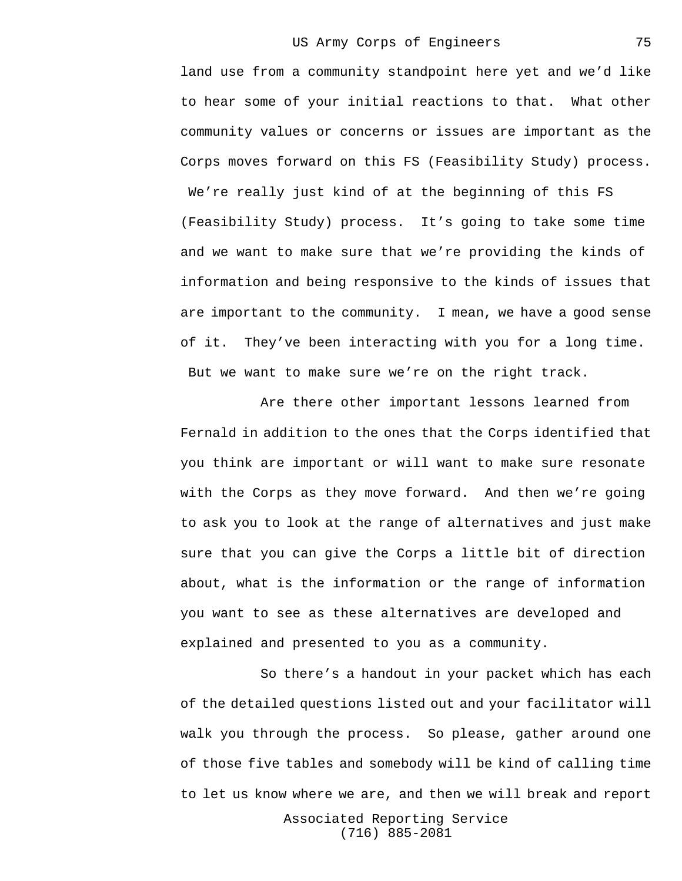land use from a community standpoint here yet and we'd like to hear some of your initial reactions to that. What other community values or concerns or issues are important as the Corps moves forward on this FS (Feasibility Study) process. We're really just kind of at the beginning of this FS (Feasibility Study) process. It's going to take some time and we want to make sure that we're providing the kinds of information and being responsive to the kinds of issues that are important to the community. I mean, we have a good sense of it. They've been interacting with you for a long time. But we want to make sure we're on the right track.

Are there other important lessons learned from Fernald in addition to the ones that the Corps identified that you think are important or will want to make sure resonate with the Corps as they move forward. And then we're going to ask you to look at the range of alternatives and just make sure that you can give the Corps a little bit of direction about, what is the information or the range of information you want to see as these alternatives are developed and explained and presented to you as a community.

So there's a handout in your packet which has each of the detailed questions listed out and your facilitator will walk you through the process. So please, gather around one of those five tables and somebody will be kind of calling time to let us know where we are, and then we will break and report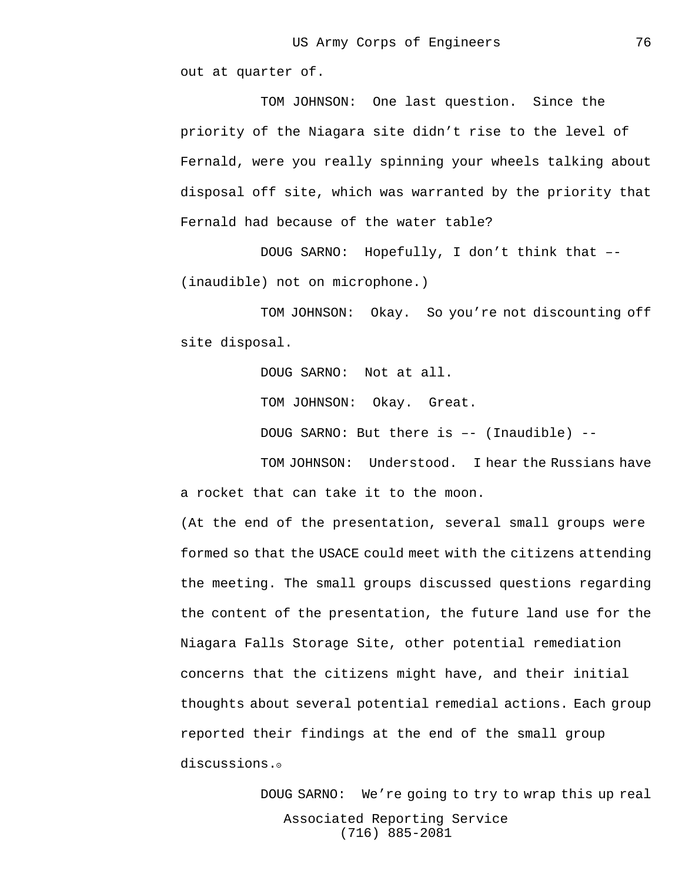out at quarter of.

TOM JOHNSON: One last question. Since the priority of the Niagara site didn't rise to the level of Fernald, were you really spinning your wheels talking about disposal off site, which was warranted by the priority that Fernald had because of the water table?

DOUG SARNO: Hopefully, I don't think that –- (inaudible) not on microphone.)

TOM JOHNSON: Okay. So you're not discounting off site disposal.

> DOUG SARNO: Not at all. TOM JOHNSON: Okay. Great. DOUG SARNO: But there is –- (Inaudible) --

TOM JOHNSON: Understood. I hear the Russians have a rocket that can take it to the moon.

(At the end of the presentation, several small groups were formed so that the USACE could meet with the citizens attending the meeting. The small groups discussed questions regarding the content of the presentation, the future land use for the Niagara Falls Storage Site, other potential remediation concerns that the citizens might have, and their initial thoughts about several potential remedial actions. Each group reported their findings at the end of the small group discussions.<sup>o</sup>

> Associated Reporting Service (716) 885-2081 DOUG SARNO: We're going to try to wrap this up real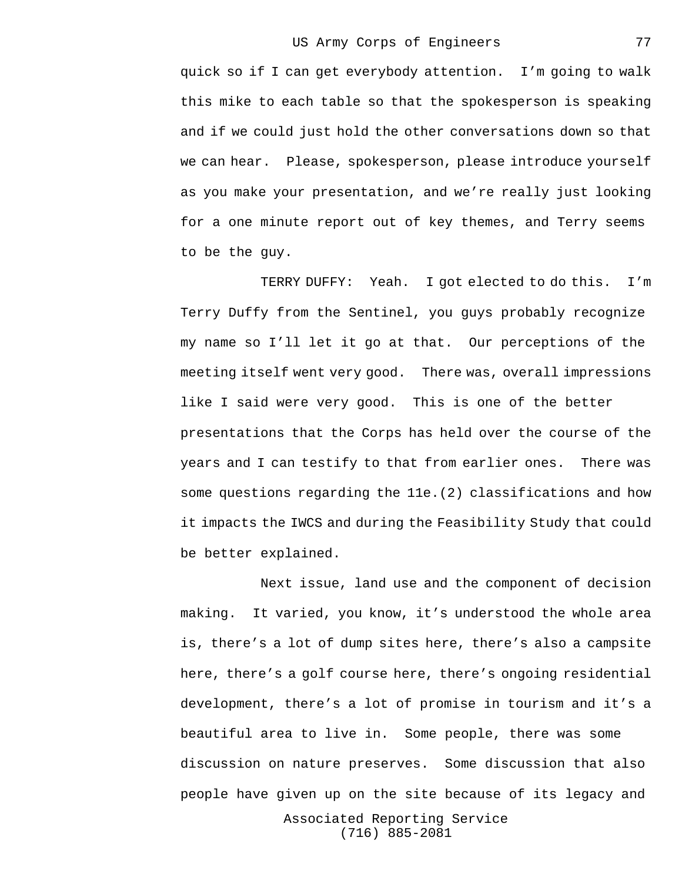quick so if I can get everybody attention. I'm going to walk this mike to each table so that the spokesperson is speaking and if we could just hold the other conversations down so that we can hear. Please, spokesperson, please introduce yourself as you make your presentation, and we're really just looking for a one minute report out of key themes, and Terry seems to be the guy.

TERRY DUFFY: Yeah. I got elected to do this. I'm Terry Duffy from the Sentinel, you guys probably recognize my name so I'll let it go at that. Our perceptions of the meeting itself went very good. There was, overall impressions like I said were very good. This is one of the better presentations that the Corps has held over the course of the years and I can testify to that from earlier ones. There was some questions regarding the 11e.(2) classifications and how it impacts the IWCS and during the Feasibility Study that could be better explained.

Next issue, land use and the component of decision making. It varied, you know, it's understood the whole area is, there's a lot of dump sites here, there's also a campsite here, there's a golf course here, there's ongoing residential development, there's a lot of promise in tourism and it's a beautiful area to live in. Some people, there was some discussion on nature preserves. Some discussion that also people have given up on the site because of its legacy and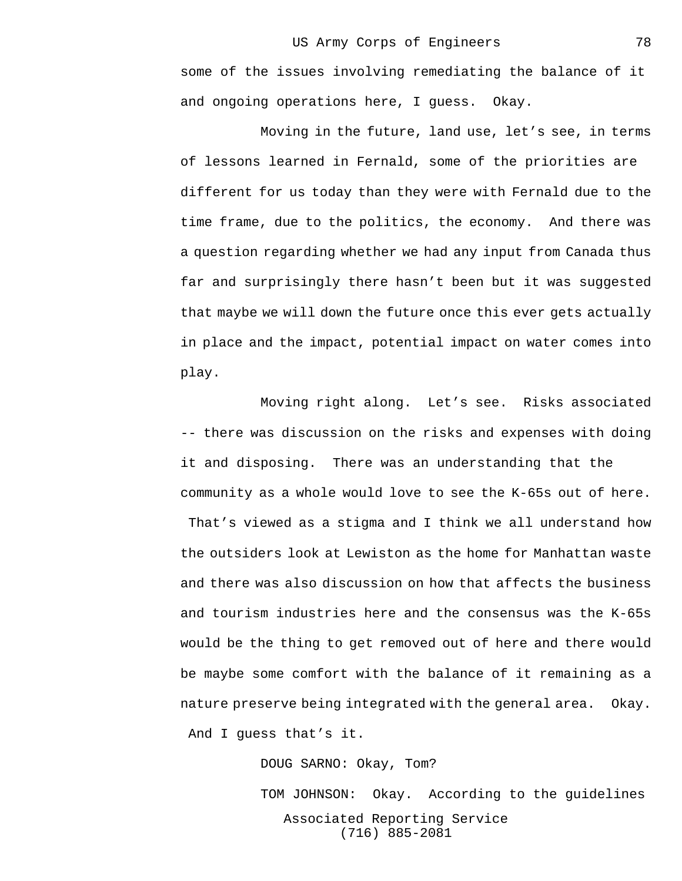some of the issues involving remediating the balance of it and ongoing operations here, I guess. Okay.

Moving in the future, land use, let's see, in terms of lessons learned in Fernald, some of the priorities are different for us today than they were with Fernald due to the time frame, due to the politics, the economy. And there was a question regarding whether we had any input from Canada thus far and surprisingly there hasn't been but it was suggested that maybe we will down the future once this ever gets actually in place and the impact, potential impact on water comes into play.

Moving right along. Let's see. Risks associated -- there was discussion on the risks and expenses with doing it and disposing. There was an understanding that the community as a whole would love to see the K-65s out of here. That's viewed as a stigma and I think we all understand how the outsiders look at Lewiston as the home for Manhattan waste and there was also discussion on how that affects the business and tourism industries here and the consensus was the K-65s would be the thing to get removed out of here and there would be maybe some comfort with the balance of it remaining as a nature preserve being integrated with the general area. Okay. And I guess that's it.

DOUG SARNO: Okay, Tom?

Associated Reporting Service (716) 885-2081 TOM JOHNSON: Okay. According to the guidelines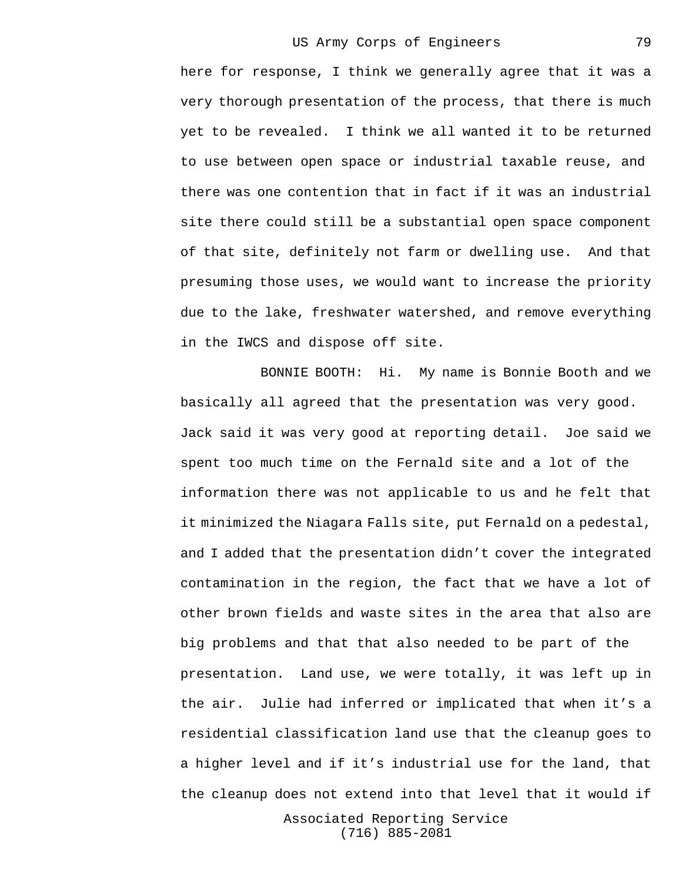here for response, I think we generally agree that it was a very thorough presentation of the process, that there is much yet to be revealed. I think we all wanted it to be returned to use between open space or industrial taxable reuse, and there was one contention that in fact if it was an industrial site there could still be a substantial open space component of that site, definitely not farm or dwelling use. And that presuming those uses, we would want to increase the priority due to the lake, freshwater watershed, and remove everything in the IWCS and dispose off site.

BONNIE BOOTH: Hi. My name is Bonnie Booth and we basically all agreed that the presentation was very good. Jack said it was very good at reporting detail. Joe said we spent too much time on the Fernald site and a lot of the information there was not applicable to us and he felt that it minimized the Niagara Falls site, put Fernald on a pedestal, and I added that the presentation didn't cover the integrated contamination in the region, the fact that we have a lot of other brown fields and waste sites in the area that also are big problems and that that also needed to be part of the presentation. Land use, we were totally, it was left up in the air. Julie had inferred or implicated that when it's a residential classification land use that the cleanup goes to a higher level and if it's industrial use for the land, that the cleanup does not extend into that level that it would if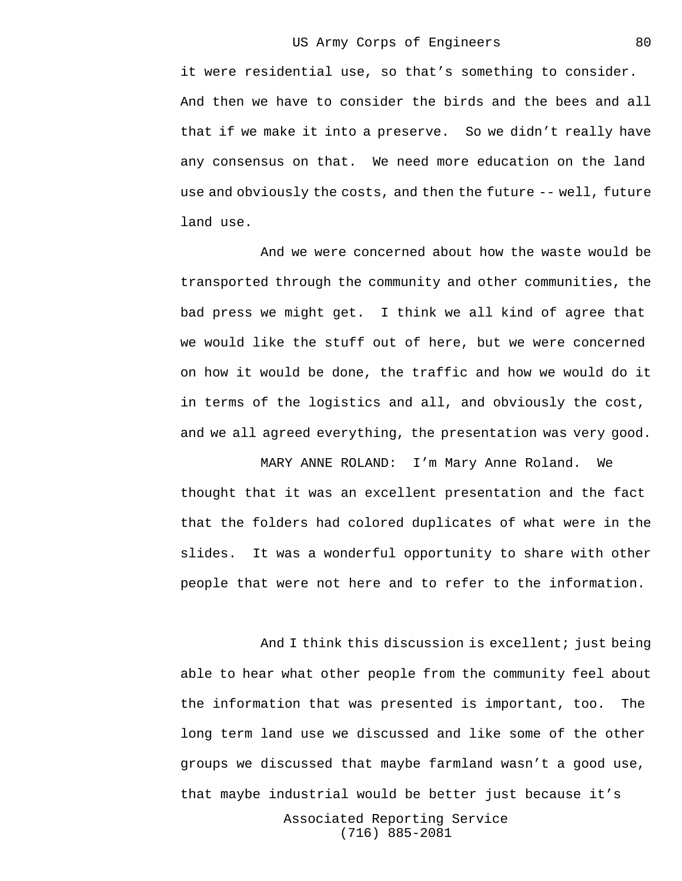it were residential use, so that's something to consider. And then we have to consider the birds and the bees and all that if we make it into a preserve. So we didn't really have any consensus on that. We need more education on the land use and obviously the costs, and then the future -- well, future land use.

And we were concerned about how the waste would be transported through the community and other communities, the bad press we might get. I think we all kind of agree that we would like the stuff out of here, but we were concerned on how it would be done, the traffic and how we would do it in terms of the logistics and all, and obviously the cost, and we all agreed everything, the presentation was very good.

MARY ANNE ROLAND: I'm Mary Anne Roland. We thought that it was an excellent presentation and the fact that the folders had colored duplicates of what were in the slides. It was a wonderful opportunity to share with other people that were not here and to refer to the information.

And I think this discussion is excellent; just being able to hear what other people from the community feel about the information that was presented is important, too. The long term land use we discussed and like some of the other groups we discussed that maybe farmland wasn't a good use, that maybe industrial would be better just because it's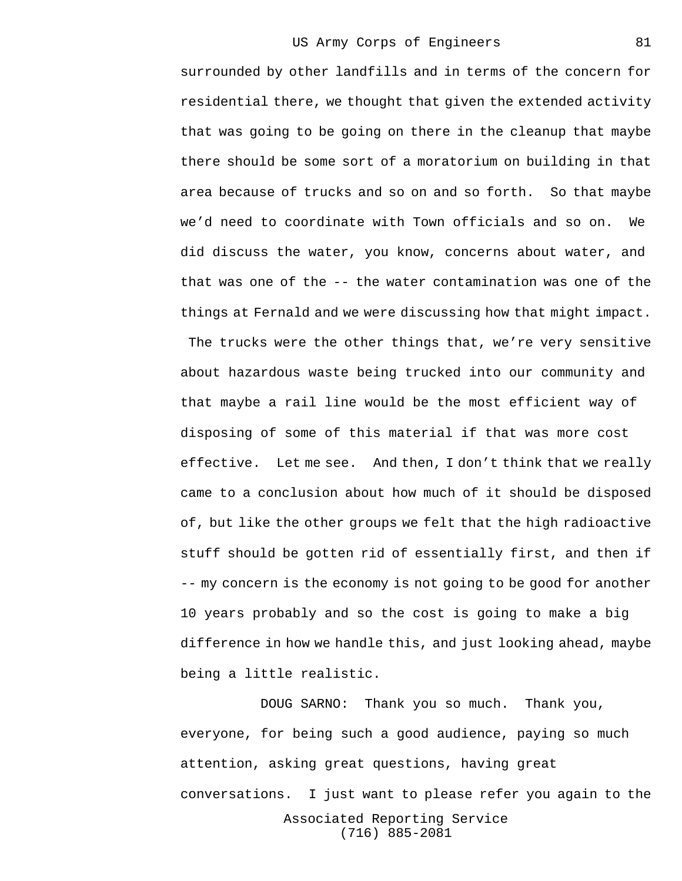surrounded by other landfills and in terms of the concern for residential there, we thought that given the extended activity that was going to be going on there in the cleanup that maybe there should be some sort of a moratorium on building in that area because of trucks and so on and so forth. So that maybe we'd need to coordinate with Town officials and so on. We did discuss the water, you know, concerns about water, and that was one of the -- the water contamination was one of the things at Fernald and we were discussing how that might impact. The trucks were the other things that, we're very sensitive about hazardous waste being trucked into our community and that maybe a rail line would be the most efficient way of disposing of some of this material if that was more cost effective. Let me see. And then, I don't think that we really came to a conclusion about how much of it should be disposed of, but like the other groups we felt that the high radioactive stuff should be gotten rid of essentially first, and then if -- my concern is the economy is not going to be good for another 10 years probably and so the cost is going to make a big difference in how we handle this, and just looking ahead, maybe being a little realistic.

Associated Reporting Service (716) 885-2081 DOUG SARNO: Thank you so much. Thank you, everyone, for being such a good audience, paying so much attention, asking great questions, having great conversations. I just want to please refer you again to the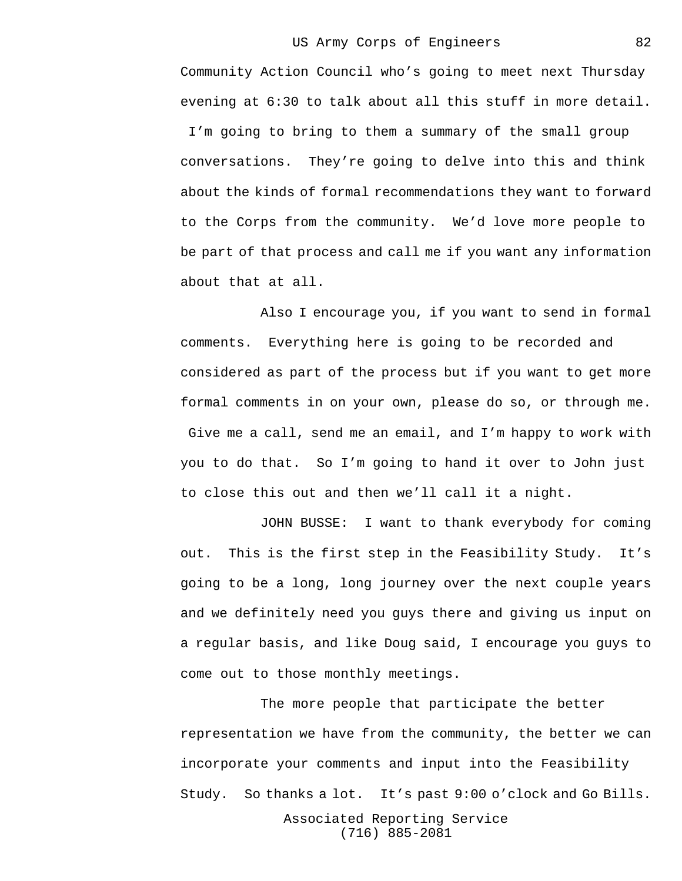Community Action Council who's going to meet next Thursday evening at 6:30 to talk about all this stuff in more detail. I'm going to bring to them a summary of the small group conversations. They're going to delve into this and think about the kinds of formal recommendations they want to forward to the Corps from the community. We'd love more people to be part of that process and call me if you want any information about that at all.

Also I encourage you, if you want to send in formal comments. Everything here is going to be recorded and considered as part of the process but if you want to get more formal comments in on your own, please do so, or through me. Give me a call, send me an email, and I'm happy to work with you to do that. So I'm going to hand it over to John just to close this out and then we'll call it a night.

JOHN BUSSE: I want to thank everybody for coming out. This is the first step in the Feasibility Study. It's going to be a long, long journey over the next couple years and we definitely need you guys there and giving us input on a regular basis, and like Doug said, I encourage you guys to come out to those monthly meetings.

The more people that participate the better representation we have from the community, the better we can incorporate your comments and input into the Feasibility Study. So thanks a lot. It's past 9:00 o'clock and Go Bills.